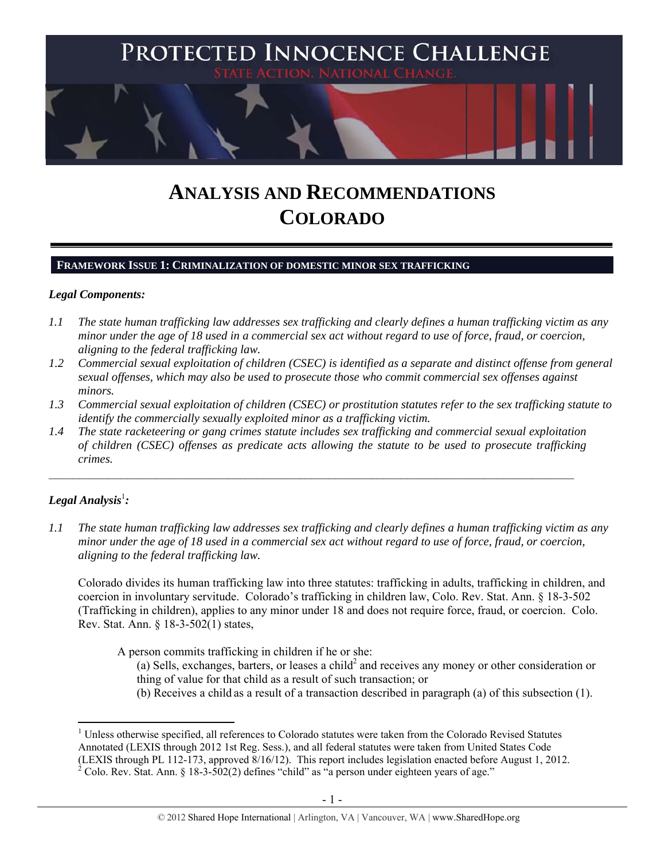

# **ANALYSIS AND RECOMMENDATIONS COLORADO**

## **FRAMEWORK ISSUE 1: CRIMINALIZATION OF DOMESTIC MINOR SEX TRAFFICKING**

## *Legal Components:*

- *1.1 The state human trafficking law addresses sex trafficking and clearly defines a human trafficking victim as any minor under the age of 18 used in a commercial sex act without regard to use of force, fraud, or coercion, aligning to the federal trafficking law.*
- *1.2 Commercial sexual exploitation of children (CSEC) is identified as a separate and distinct offense from general sexual offenses, which may also be used to prosecute those who commit commercial sex offenses against minors.*
- *1.3 Commercial sexual exploitation of children (CSEC) or prostitution statutes refer to the sex trafficking statute to identify the commercially sexually exploited minor as a trafficking victim.*
- *1.4 The state racketeering or gang crimes statute includes sex trafficking and commercial sexual exploitation of children (CSEC) offenses as predicate acts allowing the statute to be used to prosecute trafficking crimes.*

## $\bm{\mathit{Legal\, Analysis}^{\text{l}}:}$

*1.1 The state human trafficking law addresses sex trafficking and clearly defines a human trafficking victim as any minor under the age of 18 used in a commercial sex act without regard to use of force, fraud, or coercion, aligning to the federal trafficking law.* 

Colorado divides its human trafficking law into three statutes: trafficking in adults, trafficking in children, and coercion in involuntary servitude. Colorado's trafficking in children law, Colo. Rev. Stat. Ann. § 18-3-502 (Trafficking in children), applies to any minor under 18 and does not require force, fraud, or coercion. Colo. Rev. Stat. Ann. § 18-3-502(1) states,

A person commits trafficking in children if he or she:

- (a) Sells, exchanges, barters, or leases a child<sup>2</sup> and receives any money or other consideration or thing of value for that child as a result of such transaction; or
- (b) Receives a child as a result of a transaction described in paragraph (a) of this subsection (1).

 <sup>1</sup> Unless otherwise specified, all references to Colorado statutes were taken from the Colorado Revised Statutes Annotated (LEXIS through 2012 1st Reg. Sess.), and all federal statutes were taken from United States Code (LEXIS through PL 112-173, approved 8/16/12). This report includes legislation enacted before August 1, 2012. <sup>2</sup> Colo. Rev. Stat. Ann. § 18-3-502(2) defines "child" as "a person under eighteen years of age."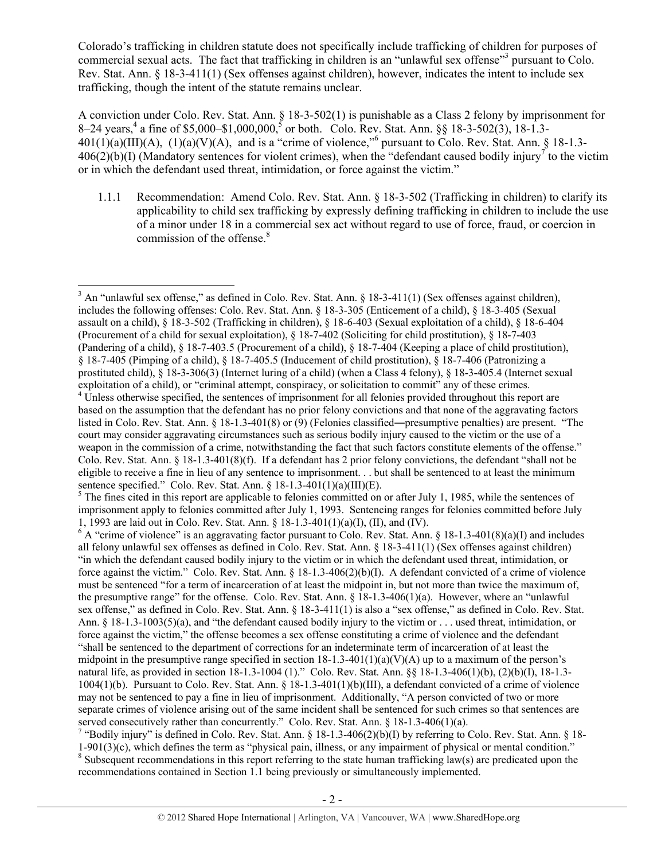Colorado's trafficking in children statute does not specifically include trafficking of children for purposes of commercial sexual acts. The fact that trafficking in children is an "unlawful sex offense"<sup>3</sup> pursuant to Colo. Rev. Stat. Ann. § 18-3-411(1) (Sex offenses against children), however, indicates the intent to include sex trafficking, though the intent of the statute remains unclear.

A conviction under Colo. Rev. Stat. Ann. § 18-3-502(1) is punishable as a Class 2 felony by imprisonment for 8–24 years,<sup>4</sup> a fine of \$5,000–\$1,000,000,<sup>5</sup> or both. Colo. Rev. Stat. Ann. §§ 18-3-502(3), 18-1.3- $401(1)(a)(III)(A)$ ,  $(1)(a)(V)(A)$ , and is a "crime of violence,"<sup>6</sup> pursuant to Colo. Rev. Stat. Ann. § 18-1.3- $406(2)(b)(I)$  (Mandatory sentences for violent crimes), when the "defendant caused bodily injury<sup>7</sup> to the victim or in which the defendant used threat, intimidation, or force against the victim."

1.1.1 Recommendation: Amend Colo. Rev. Stat. Ann. § 18-3-502 (Trafficking in children) to clarify its applicability to child sex trafficking by expressly defining trafficking in children to include the use of a minor under 18 in a commercial sex act without regard to use of force, fraud, or coercion in commission of the offense.<sup>8</sup>

 $3$  An "unlawful sex offense," as defined in Colo. Rev. Stat. Ann. § 18-3-411(1) (Sex offenses against children), includes the following offenses: Colo. Rev. Stat. Ann. § 18-3-305 (Enticement of a child), § 18-3-405 (Sexual assault on a child), § 18-3-502 (Trafficking in children), § 18-6-403 (Sexual exploitation of a child), § 18-6-404 (Procurement of a child for sexual exploitation), § 18-7-402 (Soliciting for child prostitution), § 18-7-403 (Pandering of a child), § 18-7-403.5 (Procurement of a child), § 18-7-404 (Keeping a place of child prostitution), § 18-7-405 (Pimping of a child), § 18-7-405.5 (Inducement of child prostitution), § 18-7-406 (Patronizing a prostituted child), § 18-3-306(3) (Internet luring of a child) (when a Class 4 felony), § 18-3-405.4 (Internet sexual exploitation of a child), or "criminal attempt, conspiracy, or solicitation to commit" any of these crimes.<br><sup>4</sup> Unless otherwise specified, the sentences of imprisonment for all felonies provided throughout this report are based on the assumption that the defendant has no prior felony convictions and that none of the aggravating factors listed in Colo. Rev. Stat. Ann. § 18-1.3-401(8) or (9) (Felonies classified―presumptive penalties) are present. "The court may consider aggravating circumstances such as serious bodily injury caused to the victim or the use of a weapon in the commission of a crime, notwithstanding the fact that such factors constitute elements of the offense." Colo. Rev. Stat. Ann. § 18-1.3-401(8)(f). If a defendant has 2 prior felony convictions, the defendant "shall not be eligible to receive a fine in lieu of any sentence to imprisonment. . . but shall be sentenced to at least the minimum

sentence specified." Colo. Rev. Stat. Ann.  $\S$  18-1.3-401(1)(a)(III)(E).  $<sup>5</sup>$  The fines cited in this report are applicable to felonies committed on or after July 1, 1985, while the sentences of</sup> imprisonment apply to felonies committed after July 1, 1993. Sentencing ranges for felonies committed before July 1, 1993 are laid out in Colo. Rev. Stat. Ann. § 18-1.3-401(1)(a)(I), (II), and (IV).

 $6$  A "crime of violence" is an aggravating factor pursuant to Colo. Rev. Stat. Ann. § 18-1.3-401(8)(a)(I) and includes all felony unlawful sex offenses as defined in Colo. Rev. Stat. Ann. § 18-3-411(1) (Sex offenses against children) "in which the defendant caused bodily injury to the victim or in which the defendant used threat, intimidation, or force against the victim." Colo. Rev. Stat. Ann. § 18-1.3-406(2)(b)(I). A defendant convicted of a crime of violence must be sentenced "for a term of incarceration of at least the midpoint in, but not more than twice the maximum of, the presumptive range" for the offense. Colo. Rev. Stat. Ann. § 18-1.3-406(1)(a). However, where an "unlawful sex offense," as defined in Colo. Rev. Stat. Ann. § 18-3-411(1) is also a "sex offense," as defined in Colo. Rev. Stat. Ann. § 18-1.3-1003(5)(a), and "the defendant caused bodily injury to the victim or . . . used threat, intimidation, or force against the victim," the offense becomes a sex offense constituting a crime of violence and the defendant "shall be sentenced to the department of corrections for an indeterminate term of incarceration of at least the midpoint in the presumptive range specified in section  $18-1.3-401(1)(a)(V)(A)$  up to a maximum of the person's natural life, as provided in section 18-1.3-1004 (1)." Colo. Rev. Stat. Ann. §§ 18-1.3-406(1)(b), (2)(b)(I), 18-1.3- 1004(1)(b). Pursuant to Colo. Rev. Stat. Ann. § 18-1.3-401(1)(b)(III), a defendant convicted of a crime of violence may not be sentenced to pay a fine in lieu of imprisonment. Additionally, "A person convicted of two or more separate crimes of violence arising out of the same incident shall be sentenced for such crimes so that sentences are served consecutively rather than concurrently." Colo. Rev. Stat. Ann. § 18-1.3-406(1)(a).<br><sup>7</sup> "Bodily injury" is defined in Colo. Rev. Stat. Ann. § 18-1.3-406(2)(b)(I) by referring to Colo. Rev. Stat. Ann. § 18-

1-901(3)(c), which defines the term as "physical pain, illness, or any impairment of physical or mental condition."

 $8$  Subsequent recommendations in this report referring to the state human trafficking law(s) are predicated upon the recommendations contained in Section 1.1 being previously or simultaneously implemented.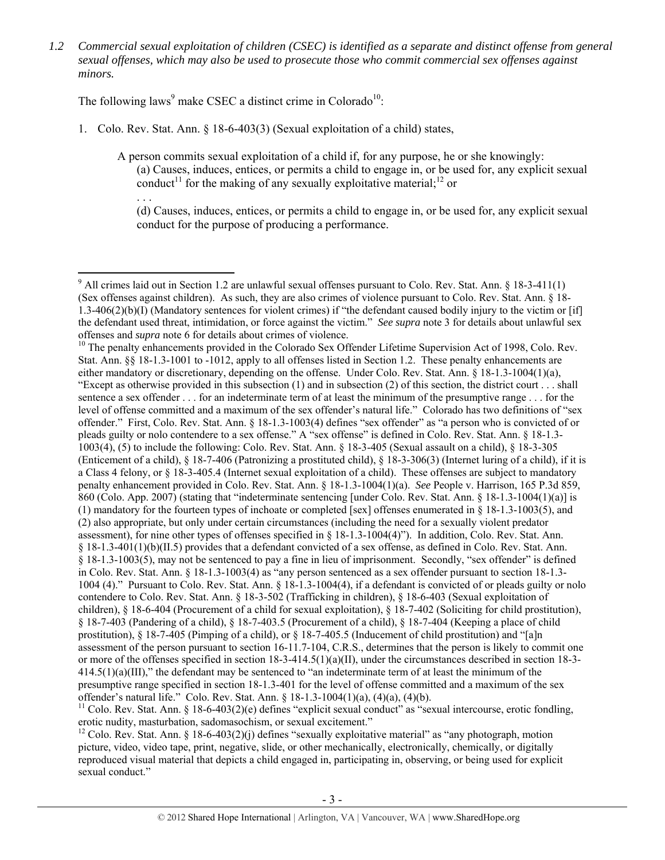*1.2 Commercial sexual exploitation of children (CSEC) is identified as a separate and distinct offense from general sexual offenses, which may also be used to prosecute those who commit commercial sex offenses against minors.* 

The following laws<sup>9</sup> make CSEC a distinct crime in Colorado<sup>10</sup>:

. . .

1. Colo. Rev. Stat. Ann. § 18-6-403(3) (Sexual exploitation of a child) states,

A person commits sexual exploitation of a child if, for any purpose, he or she knowingly:

(a) Causes, induces, entices, or permits a child to engage in, or be used for, any explicit sexual conduct<sup>11</sup> for the making of any sexually exploitative material;<sup>12</sup> or

(d) Causes, induces, entices, or permits a child to engage in, or be used for, any explicit sexual conduct for the purpose of producing a performance.

<sup>11</sup> Colo. Rev. Stat. Ann. § 18-6-403(2)(e) defines "explicit sexual conduct" as "sexual intercourse, erotic fondling, erotic nudity, masturbation, sadomasochism, or sexual excitement."

<sup>12</sup> Colo. Rev. Stat. Ann. § 18-6-403(2)(j) defines "sexually exploitative material" as "any photograph, motion picture, video, video tape, print, negative, slide, or other mechanically, electronically, chemically, or digitally reproduced visual material that depicts a child engaged in, participating in, observing, or being used for explicit sexual conduct."

  $9$  All crimes laid out in Section 1.2 are unlawful sexual offenses pursuant to Colo. Rev. Stat. Ann. § 18-3-411(1) (Sex offenses against children). As such, they are also crimes of violence pursuant to Colo. Rev. Stat. Ann. § 18- 1.3-406(2)(b)(I) (Mandatory sentences for violent crimes) if "the defendant caused bodily injury to the victim or [if] the defendant used threat, intimidation, or force against the victim." *See supra* note 3 for details about unlawful sex

<sup>&</sup>lt;sup>10</sup> The penalty enhancements provided in the Colorado Sex Offender Lifetime Supervision Act of 1998, Colo. Rev. Stat. Ann. §§ 18-1.3-1001 to -1012, apply to all offenses listed in Section 1.2. These penalty enhancements are either mandatory or discretionary, depending on the offense. Under Colo. Rev. Stat. Ann. § 18-1.3-1004(1)(a), "Except as otherwise provided in this subsection  $(1)$  and in subsection  $(2)$  of this section, the district court . . . shall sentence a sex offender . . . for an indeterminate term of at least the minimum of the presumptive range . . . for the level of offense committed and a maximum of the sex offender's natural life." Colorado has two definitions of "sex offender." First, Colo. Rev. Stat. Ann. § 18-1.3-1003(4) defines "sex offender" as "a person who is convicted of or pleads guilty or nolo contendere to a sex offense." A "sex offense" is defined in Colo. Rev. Stat. Ann. § 18-1.3- 1003(4), (5) to include the following: Colo. Rev. Stat. Ann. § 18-3-405 (Sexual assault on a child), § 18-3-305 (Enticement of a child), § 18-7-406 (Patronizing a prostituted child), § 18-3-306(3) (Internet luring of a child), if it is a Class 4 felony, or § 18-3-405.4 (Internet sexual exploitation of a child). These offenses are subject to mandatory penalty enhancement provided in Colo. Rev. Stat. Ann. § 18-1.3-1004(1)(a). *See* People v. Harrison, 165 P.3d 859, 860 (Colo. App. 2007) (stating that "indeterminate sentencing [under Colo. Rev. Stat. Ann. § 18-1.3-1004(1)(a)] is (1) mandatory for the fourteen types of inchoate or completed [sex] offenses enumerated in § 18-1.3-1003(5), and (2) also appropriate, but only under certain circumstances (including the need for a sexually violent predator assessment), for nine other types of offenses specified in § 18-1.3-1004(4)"). In addition, Colo. Rev. Stat. Ann. § 18-1.3-401(1)(b)(II.5) provides that a defendant convicted of a sex offense, as defined in Colo. Rev. Stat. Ann. § 18-1.3-1003(5), may not be sentenced to pay a fine in lieu of imprisonment. Secondly, "sex offender" is defined in Colo. Rev. Stat. Ann. § 18-1.3-1003(4) as "any person sentenced as a sex offender pursuant to section 18-1.3- 1004 (4)." Pursuant to Colo. Rev. Stat. Ann. § 18-1.3-1004(4), if a defendant is convicted of or pleads guilty or nolo contendere to Colo. Rev. Stat. Ann. § 18-3-502 (Trafficking in children), § 18-6-403 (Sexual exploitation of children), § 18-6-404 (Procurement of a child for sexual exploitation), § 18-7-402 (Soliciting for child prostitution), § 18-7-403 (Pandering of a child), § 18-7-403.5 (Procurement of a child), § 18-7-404 (Keeping a place of child prostitution), § 18-7-405 (Pimping of a child), or § 18-7-405.5 (Inducement of child prostitution) and "[a]n assessment of the person pursuant to section 16-11.7-104, C.R.S., determines that the person is likely to commit one or more of the offenses specified in section 18-3-414.5(1)(a)(II), under the circumstances described in section 18-3-  $414.5(1)(a)(III)$ ," the defendant may be sentenced to "an indeterminate term of at least the minimum of the presumptive range specified in section 18-1.3-401 for the level of offense committed and a maximum of the sex offender's natural life." Colo. Rev. Stat. Ann. § 18-1.3-1004(1)(a), (4)(a), (4)(b).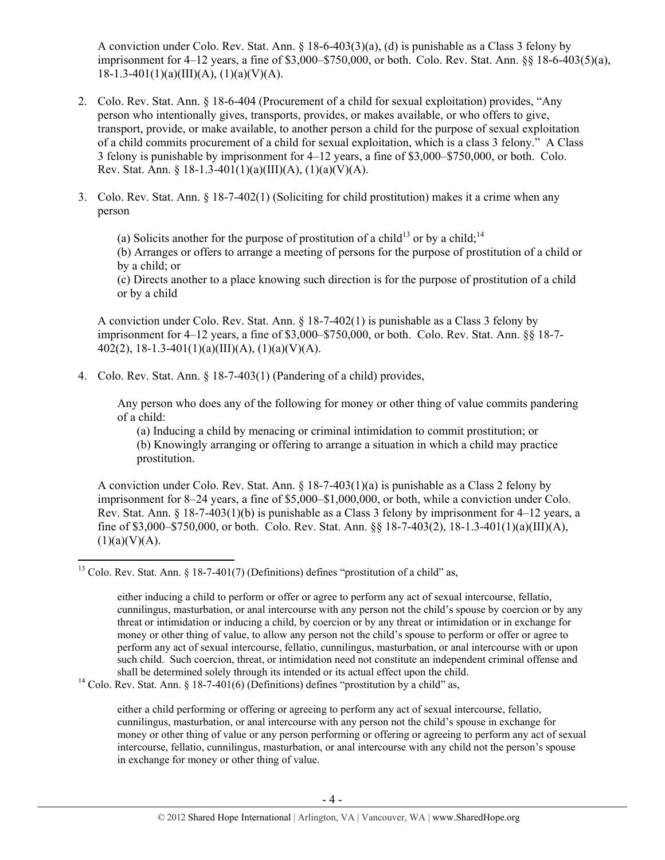A conviction under Colo. Rev. Stat. Ann. § 18-6-403(3)(a), (d) is punishable as a Class 3 felony by imprisonment for 4–12 years, a fine of \$3,000–\$750,000, or both. Colo. Rev. Stat. Ann. §§ 18-6-403(5)(a),  $18-1.3-401(1)(a)(III)(A), (1)(a)(V)(A).$ 

- 2. Colo. Rev. Stat. Ann. § 18-6-404 (Procurement of a child for sexual exploitation) provides, "Any person who intentionally gives, transports, provides, or makes available, or who offers to give, transport, provide, or make available, to another person a child for the purpose of sexual exploitation of a child commits procurement of a child for sexual exploitation, which is a class 3 felony." A Class 3 felony is punishable by imprisonment for 4–12 years, a fine of \$3,000–\$750,000, or both. Colo. Rev. Stat. Ann. § 18-1.3-401(1)(a)(III)(A), (1)(a)(V)(A).
- 3. Colo. Rev. Stat. Ann. § 18-7-402(1) (Soliciting for child prostitution) makes it a crime when any person

(a) Solicits another for the purpose of prostitution of a child<sup>13</sup> or by a child;<sup>14</sup>

(b) Arranges or offers to arrange a meeting of persons for the purpose of prostitution of a child or by a child; or

(c) Directs another to a place knowing such direction is for the purpose of prostitution of a child or by a child

A conviction under Colo. Rev. Stat. Ann. § 18-7-402(1) is punishable as a Class 3 felony by imprisonment for 4–12 years, a fine of \$3,000–\$750,000, or both. Colo. Rev. Stat. Ann. §§ 18-7- 402(2), 18-1.3-401(1)(a)(III)(A), (1)(a)(V)(A).

4. Colo. Rev. Stat. Ann. § 18-7-403(1) (Pandering of a child) provides,

Any person who does any of the following for money or other thing of value commits pandering of a child:

(a) Inducing a child by menacing or criminal intimidation to commit prostitution; or (b) Knowingly arranging or offering to arrange a situation in which a child may practice prostitution.

A conviction under Colo. Rev. Stat. Ann. § 18-7-403(1)(a) is punishable as a Class 2 felony by imprisonment for 8–24 years, a fine of \$5,000–\$1,000,000, or both, while a conviction under Colo. Rev. Stat. Ann. § 18-7-403(1)(b) is punishable as a Class 3 felony by imprisonment for 4–12 years, a fine of \$3,000–\$750,000, or both. Colo. Rev. Stat. Ann. §§ 18-7-403(2), 18-1.3-401(1)(a)(III)(A),  $(1)(a)(V)(A)$ .

shall be determined solely through its intended or its actual effect upon the child. <sup>14</sup> Colo. Rev. Stat. Ann. § 18-7-401(6) (Definitions) defines "prostitution by a child" as,

either a child performing or offering or agreeing to perform any act of sexual intercourse, fellatio, cunnilingus, masturbation, or anal intercourse with any person not the child's spouse in exchange for money or other thing of value or any person performing or offering or agreeing to perform any act of sexual intercourse, fellatio, cunnilingus, masturbation, or anal intercourse with any child not the person's spouse in exchange for money or other thing of value.

 <sup>13</sup> Colo. Rev. Stat. Ann. § 18-7-401(7) (Definitions) defines "prostitution of a child" as,

either inducing a child to perform or offer or agree to perform any act of sexual intercourse, fellatio, cunnilingus, masturbation, or anal intercourse with any person not the child's spouse by coercion or by any threat or intimidation or inducing a child, by coercion or by any threat or intimidation or in exchange for money or other thing of value, to allow any person not the child's spouse to perform or offer or agree to perform any act of sexual intercourse, fellatio, cunnilingus, masturbation, or anal intercourse with or upon such child. Such coercion, threat, or intimidation need not constitute an independent criminal offense and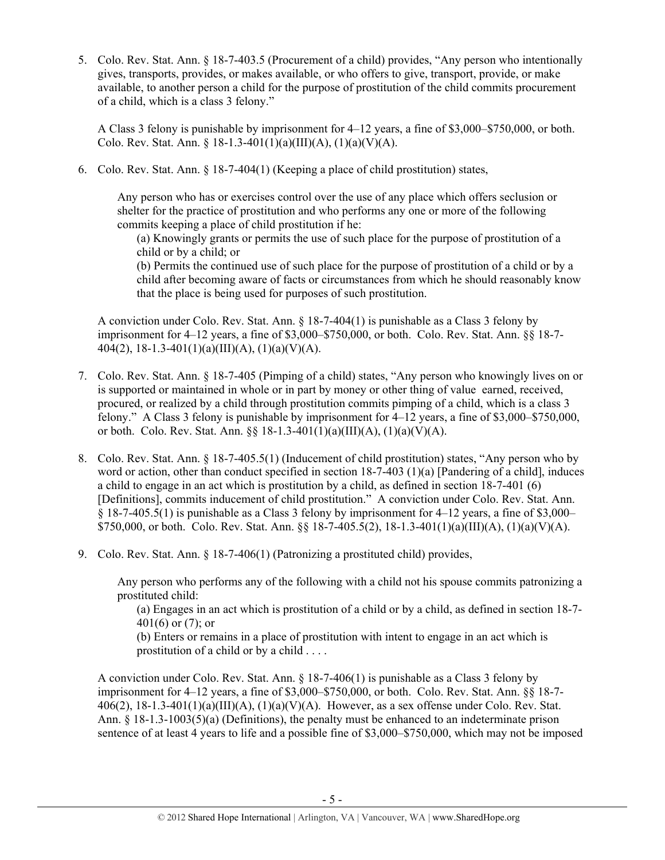5. Colo. Rev. Stat. Ann. § 18-7-403.5 (Procurement of a child) provides, "Any person who intentionally gives, transports, provides, or makes available, or who offers to give, transport, provide, or make available, to another person a child for the purpose of prostitution of the child commits procurement of a child, which is a class 3 felony."

A Class 3 felony is punishable by imprisonment for 4–12 years, a fine of \$3,000–\$750,000, or both. Colo. Rev. Stat. Ann. § 18-1.3-401(1)(a)(III)(A), (1)(a)(V)(A).

6. Colo. Rev. Stat. Ann. § 18-7-404(1) (Keeping a place of child prostitution) states,

Any person who has or exercises control over the use of any place which offers seclusion or shelter for the practice of prostitution and who performs any one or more of the following commits keeping a place of child prostitution if he:

(a) Knowingly grants or permits the use of such place for the purpose of prostitution of a child or by a child; or

(b) Permits the continued use of such place for the purpose of prostitution of a child or by a child after becoming aware of facts or circumstances from which he should reasonably know that the place is being used for purposes of such prostitution.

A conviction under Colo. Rev. Stat. Ann. § 18-7-404(1) is punishable as a Class 3 felony by imprisonment for 4–12 years, a fine of \$3,000–\$750,000, or both. Colo. Rev. Stat. Ann. §§ 18-7- 404(2), 18-1.3-401(1)(a)(III)(A), (1)(a)(V)(A).

- 7. Colo. Rev. Stat. Ann. § 18-7-405 (Pimping of a child) states, "Any person who knowingly lives on or is supported or maintained in whole or in part by money or other thing of value earned, received, procured, or realized by a child through prostitution commits pimping of a child, which is a class 3 felony." A Class 3 felony is punishable by imprisonment for 4–12 years, a fine of \$3,000–\$750,000, or both. Colo. Rev. Stat. Ann. §§ 18-1.3-401(1)(a)(III)(A), (1)(a)(V)(A).
- 8. Colo. Rev. Stat. Ann. § 18-7-405.5(1) (Inducement of child prostitution) states, "Any person who by word or action, other than conduct specified in section 18-7-403 (1)(a) [Pandering of a child], induces a child to engage in an act which is prostitution by a child, as defined in section 18-7-401 (6) [Definitions], commits inducement of child prostitution." A conviction under Colo. Rev. Stat. Ann. § 18-7-405.5(1) is punishable as a Class 3 felony by imprisonment for 4–12 years, a fine of \$3,000– \$750,000, or both. Colo. Rev. Stat. Ann. §§ 18-7-405.5(2), 18-1.3-401(1)(a)(III)(A), (1)(a)(V)(A).
- 9. Colo. Rev. Stat. Ann. § 18-7-406(1) (Patronizing a prostituted child) provides,

Any person who performs any of the following with a child not his spouse commits patronizing a prostituted child:

(a) Engages in an act which is prostitution of a child or by a child, as defined in section 18-7- 401(6) or (7); or

(b) Enters or remains in a place of prostitution with intent to engage in an act which is prostitution of a child or by a child . . . .

A conviction under Colo. Rev. Stat. Ann. § 18-7-406(1) is punishable as a Class 3 felony by imprisonment for 4–12 years, a fine of \$3,000–\$750,000, or both. Colo. Rev. Stat. Ann. §§ 18-7-  $406(2)$ , 18-1.3-401(1)(a)(III)(A), (1)(a)(V)(A). However, as a sex offense under Colo. Rev. Stat. Ann. § 18-1.3-1003(5)(a) (Definitions), the penalty must be enhanced to an indeterminate prison sentence of at least 4 years to life and a possible fine of \$3,000–\$750,000, which may not be imposed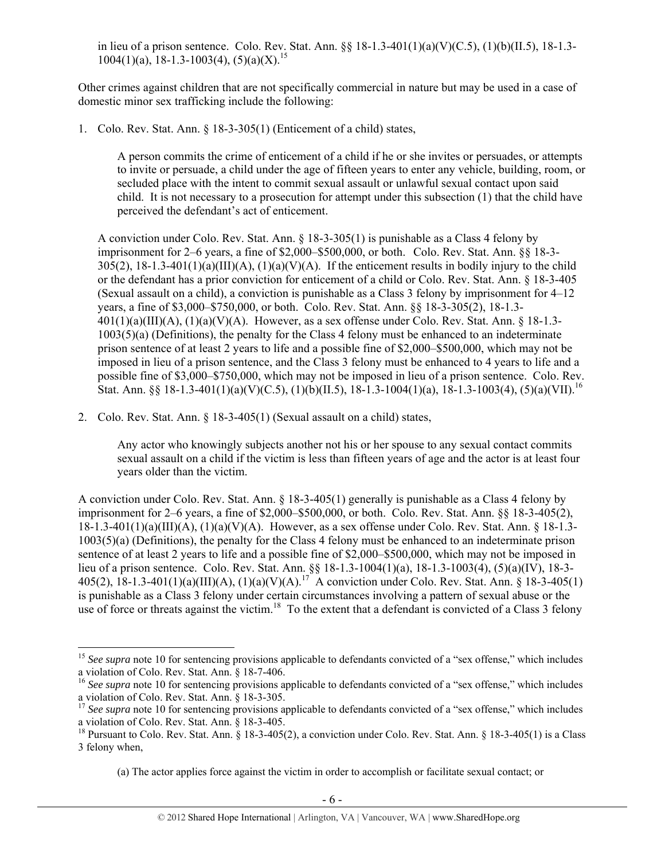in lieu of a prison sentence. Colo. Rev. Stat. Ann. §§ 18-1.3-401(1)(a)(V)(C.5), (1)(b)(II.5), 18-1.3-  $1004(1)(a)$ , 18-1.3-1003(4), (5)(a)(X).<sup>15</sup>

Other crimes against children that are not specifically commercial in nature but may be used in a case of domestic minor sex trafficking include the following:

1. Colo. Rev. Stat. Ann. § 18-3-305(1) (Enticement of a child) states,

A person commits the crime of enticement of a child if he or she invites or persuades, or attempts to invite or persuade, a child under the age of fifteen years to enter any vehicle, building, room, or secluded place with the intent to commit sexual assault or unlawful sexual contact upon said child. It is not necessary to a prosecution for attempt under this subsection (1) that the child have perceived the defendant's act of enticement.

A conviction under Colo. Rev. Stat. Ann. § 18-3-305(1) is punishable as a Class 4 felony by imprisonment for 2–6 years, a fine of \$2,000–\$500,000, or both. Colo. Rev. Stat. Ann. §§ 18-3-  $305(2)$ ,  $18-1.3-401(1)(a)(III)(A)$ ,  $(1)(a)(V)(A)$ . If the enticement results in bodily injury to the child or the defendant has a prior conviction for enticement of a child or Colo. Rev. Stat. Ann. § 18-3-405 (Sexual assault on a child), a conviction is punishable as a Class 3 felony by imprisonment for 4–12 years, a fine of \$3,000–\$750,000, or both. Colo. Rev. Stat. Ann. §§ 18-3-305(2), 18-1.3-  $401(1)(a)(III)(A)$ ,  $(1)(a)(V)(A)$ . However, as a sex offense under Colo. Rev. Stat. Ann. § 18-1.3-1003(5)(a) (Definitions), the penalty for the Class 4 felony must be enhanced to an indeterminate prison sentence of at least 2 years to life and a possible fine of \$2,000–\$500,000, which may not be imposed in lieu of a prison sentence, and the Class 3 felony must be enhanced to 4 years to life and a possible fine of \$3,000–\$750,000, which may not be imposed in lieu of a prison sentence. Colo. Rev. Stat. Ann. §§ 18-1.3-401(1)(a)(V)(C.5), (1)(b)(II.5), 18-1.3-1004(1)(a), 18-1.3-1003(4), (5)(a)(VII).<sup>16</sup>

2. Colo. Rev. Stat. Ann. § 18-3-405(1) (Sexual assault on a child) states,

Any actor who knowingly subjects another not his or her spouse to any sexual contact commits sexual assault on a child if the victim is less than fifteen years of age and the actor is at least four years older than the victim.

A conviction under Colo. Rev. Stat. Ann. § 18-3-405(1) generally is punishable as a Class 4 felony by imprisonment for 2–6 years, a fine of \$2,000–\$500,000, or both. Colo. Rev. Stat. Ann. §§ 18-3-405(2), 18-1.3-401(1)(a)(III)(A), (1)(a)(V)(A). However, as a sex offense under Colo. Rev. Stat. Ann. § 18-1.3- 1003(5)(a) (Definitions), the penalty for the Class 4 felony must be enhanced to an indeterminate prison sentence of at least 2 years to life and a possible fine of \$2,000–\$500,000, which may not be imposed in lieu of a prison sentence. Colo. Rev. Stat. Ann. §§ 18-1.3-1004(1)(a), 18-1.3-1003(4), (5)(a)(IV), 18-3- 405(2), 18-1.3-401(1)(a)(III)(A), (1)(a)(V)(A).<sup>17</sup> A conviction under Colo. Rev. Stat. Ann. § 18-3-405(1) is punishable as a Class 3 felony under certain circumstances involving a pattern of sexual abuse or the use of force or threats against the victim.<sup>18</sup> To the extent that a defendant is convicted of a Class 3 felony

 <sup>15</sup> See supra note 10 for sentencing provisions applicable to defendants convicted of a "sex offense," which includes a violation of Colo. Rev. Stat. Ann. § 18-7-406.

<sup>&</sup>lt;sup>16</sup> See supra note 10 for sentencing provisions applicable to defendants convicted of a "sex offense," which includes a violation of Colo. Rev. Stat. Ann. § 18-3-305.

<sup>&</sup>lt;sup>17</sup> See supra note 10 for sentencing provisions applicable to defendants convicted of a "sex offense," which includes a violation of Colo. Rev. Stat. Ann. § 18-3-405.

<sup>&</sup>lt;sup>18</sup> Pursuant to Colo. Rev. Stat. Ann.  $\tilde{g}$  18-3-405(2), a conviction under Colo. Rev. Stat. Ann.  $\tilde{g}$  18-3-405(1) is a Class 3 felony when,

<sup>(</sup>a) The actor applies force against the victim in order to accomplish or facilitate sexual contact; or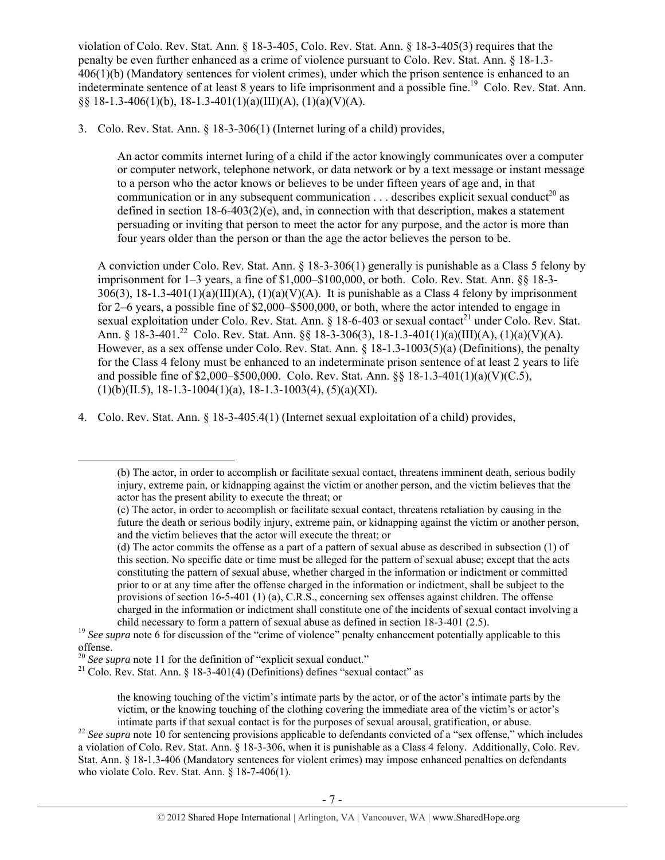violation of Colo. Rev. Stat. Ann. § 18-3-405, Colo. Rev. Stat. Ann. § 18-3-405(3) requires that the penalty be even further enhanced as a crime of violence pursuant to Colo. Rev. Stat. Ann. § 18-1.3-  $406(1)(b)$  (Mandatory sentences for violent crimes), under which the prison sentence is enhanced to an indeterminate sentence of at least 8 years to life imprisonment and a possible fine.<sup>19</sup> Colo. Rev. Stat. Ann. §§ 18-1.3-406(1)(b), 18-1.3-401(1)(a)(III)(A), (1)(a)(V)(A).

3. Colo. Rev. Stat. Ann. § 18-3-306(1) (Internet luring of a child) provides,

An actor commits internet luring of a child if the actor knowingly communicates over a computer or computer network, telephone network, or data network or by a text message or instant message to a person who the actor knows or believes to be under fifteen years of age and, in that communication or in any subsequent communication  $\dots$  describes explicit sexual conduct<sup>20</sup> as defined in section  $18-6-403(2)(e)$ , and, in connection with that description, makes a statement persuading or inviting that person to meet the actor for any purpose, and the actor is more than four years older than the person or than the age the actor believes the person to be.

A conviction under Colo. Rev. Stat. Ann. § 18-3-306(1) generally is punishable as a Class 5 felony by imprisonment for 1–3 years, a fine of \$1,000–\$100,000, or both. Colo. Rev. Stat. Ann. §§ 18-3-  $306(3)$ ,  $18-1.3-401(1)(a)(III)(A)$ ,  $(1)(a)(V)(A)$ . It is punishable as a Class 4 felony by imprisonment for 2–6 years, a possible fine of \$2,000–\$500,000, or both, where the actor intended to engage in sexual exploitation under Colo. Rev. Stat. Ann. § 18-6-403 or sexual contact<sup>21</sup> under Colo. Rev. Stat. Ann. § 18-3-401.<sup>22</sup> Colo. Rev. Stat. Ann. §§ 18-3-306(3), 18-1.3-401(1)(a)(III)(A), (1)(a)(V)(A). However, as a sex offense under Colo. Rev. Stat. Ann. § 18-1.3-1003(5)(a) (Definitions), the penalty for the Class 4 felony must be enhanced to an indeterminate prison sentence of at least 2 years to life and possible fine of \$2,000–\$500,000. Colo. Rev. Stat. Ann. §§ 18-1.3-401(1)(a)(V)(C.5),  $(1)(b)(II.5), 18-1.3-1004(1)(a), 18-1.3-1003(4), (5)(a)(XI).$ 

4. Colo. Rev. Stat. Ann. § 18-3-405.4(1) (Internet sexual exploitation of a child) provides,

 (b) The actor, in order to accomplish or facilitate sexual contact, threatens imminent death, serious bodily injury, extreme pain, or kidnapping against the victim or another person, and the victim believes that the actor has the present ability to execute the threat; or

<sup>(</sup>c) The actor, in order to accomplish or facilitate sexual contact, threatens retaliation by causing in the future the death or serious bodily injury, extreme pain, or kidnapping against the victim or another person, and the victim believes that the actor will execute the threat; or

<sup>(</sup>d) The actor commits the offense as a part of a pattern of sexual abuse as described in subsection (1) of this section. No specific date or time must be alleged for the pattern of sexual abuse; except that the acts constituting the pattern of sexual abuse, whether charged in the information or indictment or committed prior to or at any time after the offense charged in the information or indictment, shall be subject to the provisions of section 16-5-401 (1) (a), C.R.S., concerning sex offenses against children. The offense charged in the information or indictment shall constitute one of the incidents of sexual contact involving a

child necessary to form a pattern of sexual abuse as defined in section 18-3-401 (2.5). 19 *See supra* note 6 for discussion of the "crime of violence" penalty enhancement potentially applicable to this % offense.<br>
<sup>20</sup> See supra note 11 for the definition of "explicit sexual conduct."

<sup>&</sup>lt;sup>21</sup> Colo. Rev. Stat. Ann. § 18-3-401(4) (Definitions) defines "sexual contact" as

the knowing touching of the victim's intimate parts by the actor, or of the actor's intimate parts by the victim, or the knowing touching of the clothing covering the immediate area of the victim's or actor's

intimate parts if that sexual contact is for the purposes of sexual arousal, gratification, or abuse.<br><sup>22</sup> See supra note 10 for sentencing provisions applicable to defendants convicted of a "sex offense," which includes a violation of Colo. Rev. Stat. Ann. § 18-3-306, when it is punishable as a Class 4 felony. Additionally, Colo. Rev. Stat. Ann. § 18-1.3-406 (Mandatory sentences for violent crimes) may impose enhanced penalties on defendants who violate Colo. Rev. Stat. Ann. § 18-7-406(1).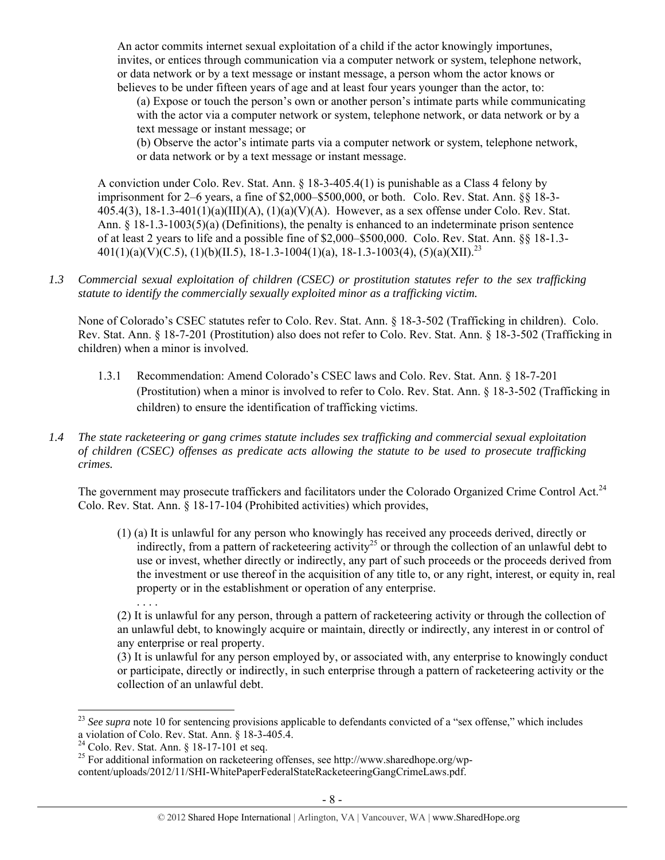An actor commits internet sexual exploitation of a child if the actor knowingly importunes, invites, or entices through communication via a computer network or system, telephone network, or data network or by a text message or instant message, a person whom the actor knows or believes to be under fifteen years of age and at least four years younger than the actor, to:

(a) Expose or touch the person's own or another person's intimate parts while communicating with the actor via a computer network or system, telephone network, or data network or by a text message or instant message; or

(b) Observe the actor's intimate parts via a computer network or system, telephone network, or data network or by a text message or instant message.

A conviction under Colo. Rev. Stat. Ann. § 18-3-405.4(1) is punishable as a Class 4 felony by imprisonment for 2–6 years, a fine of \$2,000–\$500,000, or both. Colo. Rev. Stat. Ann. §§ 18-3-  $405.4(3)$ ,  $18-1.3-401(1)(a)(III)(A)$ ,  $(1)(a)(V)(A)$ . However, as a sex offense under Colo. Rev. Stat. Ann. § 18-1.3-1003(5)(a) (Definitions), the penalty is enhanced to an indeterminate prison sentence of at least 2 years to life and a possible fine of \$2,000–\$500,000. Colo. Rev. Stat. Ann. §§ 18-1.3-  $401(1)(a)(V)(C.5)$ ,  $(1)(b)(II.5)$ ,  $18-1.3-1004(1)(a)$ ,  $18-1.3-1003(4)$ ,  $(5)(a)(XII)$ <sup>23</sup>

*1.3 Commercial sexual exploitation of children (CSEC) or prostitution statutes refer to the sex trafficking statute to identify the commercially sexually exploited minor as a trafficking victim.* 

None of Colorado's CSEC statutes refer to Colo. Rev. Stat. Ann. § 18-3-502 (Trafficking in children). Colo. Rev. Stat. Ann. § 18-7-201 (Prostitution) also does not refer to Colo. Rev. Stat. Ann. § 18-3-502 (Trafficking in children) when a minor is involved.

- 1.3.1 Recommendation: Amend Colorado's CSEC laws and Colo. Rev. Stat. Ann. § 18-7-201 (Prostitution) when a minor is involved to refer to Colo. Rev. Stat. Ann. § 18-3-502 (Trafficking in children) to ensure the identification of trafficking victims.
- *1.4 The state racketeering or gang crimes statute includes sex trafficking and commercial sexual exploitation of children (CSEC) offenses as predicate acts allowing the statute to be used to prosecute trafficking crimes.*

The government may prosecute traffickers and facilitators under the Colorado Organized Crime Control Act.<sup>24</sup> Colo. Rev. Stat. Ann. § 18-17-104 (Prohibited activities) which provides,

(1) (a) It is unlawful for any person who knowingly has received any proceeds derived, directly or indirectly, from a pattern of racketeering activity<sup>25</sup> or through the collection of an unlawful debt to use or invest, whether directly or indirectly, any part of such proceeds or the proceeds derived from the investment or use thereof in the acquisition of any title to, or any right, interest, or equity in, real property or in the establishment or operation of any enterprise.

(2) It is unlawful for any person, through a pattern of racketeering activity or through the collection of an unlawful debt, to knowingly acquire or maintain, directly or indirectly, any interest in or control of any enterprise or real property.

(3) It is unlawful for any person employed by, or associated with, any enterprise to knowingly conduct or participate, directly or indirectly, in such enterprise through a pattern of racketeering activity or the collection of an unlawful debt.

<sup>&</sup>lt;sup>23</sup> See supra note 10 for sentencing provisions applicable to defendants convicted of a "sex offense," which includes a violation of Colo. Rev. Stat. Ann. § 18-3-405.4.

 $24$  Colo. Rev. Stat. Ann. § 18-17-101 et seq.

<sup>&</sup>lt;sup>25</sup> For additional information on racketeering offenses, see http://www.sharedhope.org/wp-

content/uploads/2012/11/SHI-WhitePaperFederalStateRacketeeringGangCrimeLaws.pdf.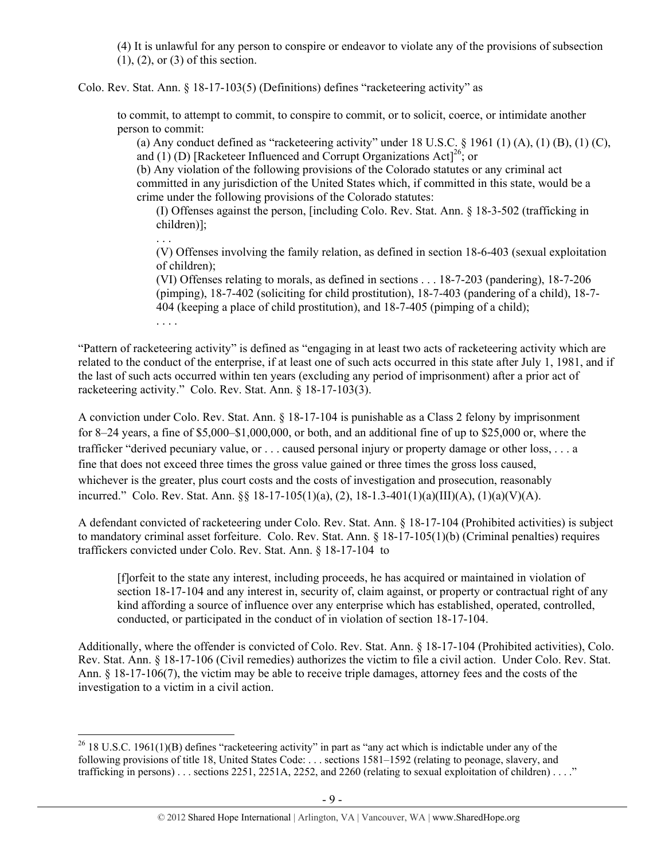(4) It is unlawful for any person to conspire or endeavor to violate any of the provisions of subsection (1), (2), or (3) of this section.

Colo. Rev. Stat. Ann. § 18-17-103(5) (Definitions) defines "racketeering activity" as

to commit, to attempt to commit, to conspire to commit, or to solicit, coerce, or intimidate another person to commit:

(a) Any conduct defined as "racketeering activity" under  $18 \text{ U.S.C.}$  §  $1961 \text{ (1) (A), (1) (B), (1) (C),}$ and (1) (D) [Racketeer Influenced and Corrupt Organizations Act]<sup>26</sup>; or

(b) Any violation of the following provisions of the Colorado statutes or any criminal act committed in any jurisdiction of the United States which, if committed in this state, would be a crime under the following provisions of the Colorado statutes:

(I) Offenses against the person, [including Colo. Rev. Stat. Ann. § 18-3-502 (trafficking in children)];

(V) Offenses involving the family relation, as defined in section 18-6-403 (sexual exploitation of children);

(VI) Offenses relating to morals, as defined in sections . . . 18-7-203 (pandering), 18-7-206 (pimping), 18-7-402 (soliciting for child prostitution), 18-7-403 (pandering of a child), 18-7- 404 (keeping a place of child prostitution), and 18-7-405 (pimping of a child);

. . . .

"Pattern of racketeering activity" is defined as "engaging in at least two acts of racketeering activity which are related to the conduct of the enterprise, if at least one of such acts occurred in this state after July 1, 1981, and if the last of such acts occurred within ten years (excluding any period of imprisonment) after a prior act of racketeering activity." Colo. Rev. Stat. Ann. § 18-17-103(3).

A conviction under Colo. Rev. Stat. Ann. § 18-17-104 is punishable as a Class 2 felony by imprisonment for 8–24 years, a fine of \$5,000–\$1,000,000, or both, and an additional fine of up to \$25,000 or, where the trafficker "derived pecuniary value, or . . . caused personal injury or property damage or other loss, . . . a fine that does not exceed three times the gross value gained or three times the gross loss caused, whichever is the greater, plus court costs and the costs of investigation and prosecution, reasonably incurred." Colo. Rev. Stat. Ann. §§ 18-17-105(1)(a), (2), 18-1.3-401(1)(a)(III)(A), (1)(a)(V)(A).

A defendant convicted of racketeering under Colo. Rev. Stat. Ann. § 18-17-104 (Prohibited activities) is subject to mandatory criminal asset forfeiture. Colo. Rev. Stat. Ann. § 18-17-105(1)(b) (Criminal penalties) requires traffickers convicted under Colo. Rev. Stat. Ann. § 18-17-104 to

[f]orfeit to the state any interest, including proceeds, he has acquired or maintained in violation of section 18-17-104 and any interest in, security of, claim against, or property or contractual right of any kind affording a source of influence over any enterprise which has established, operated, controlled, conducted, or participated in the conduct of in violation of section 18-17-104.

Additionally, where the offender is convicted of Colo. Rev. Stat. Ann. § 18-17-104 (Prohibited activities), Colo. Rev. Stat. Ann. § 18-17-106 (Civil remedies) authorizes the victim to file a civil action. Under Colo. Rev. Stat. Ann. § 18-17-106(7), the victim may be able to receive triple damages, attorney fees and the costs of the investigation to a victim in a civil action.

<sup>&</sup>lt;sup>26</sup> 18 U.S.C. 1961(1)(B) defines "racketeering activity" in part as "any act which is indictable under any of the following provisions of title 18, United States Code: . . . sections 1581–1592 (relating to peonage, slavery, and trafficking in persons) . . . sections 2251, 2251A, 2252, and 2260 (relating to sexual exploitation of children) . . . ."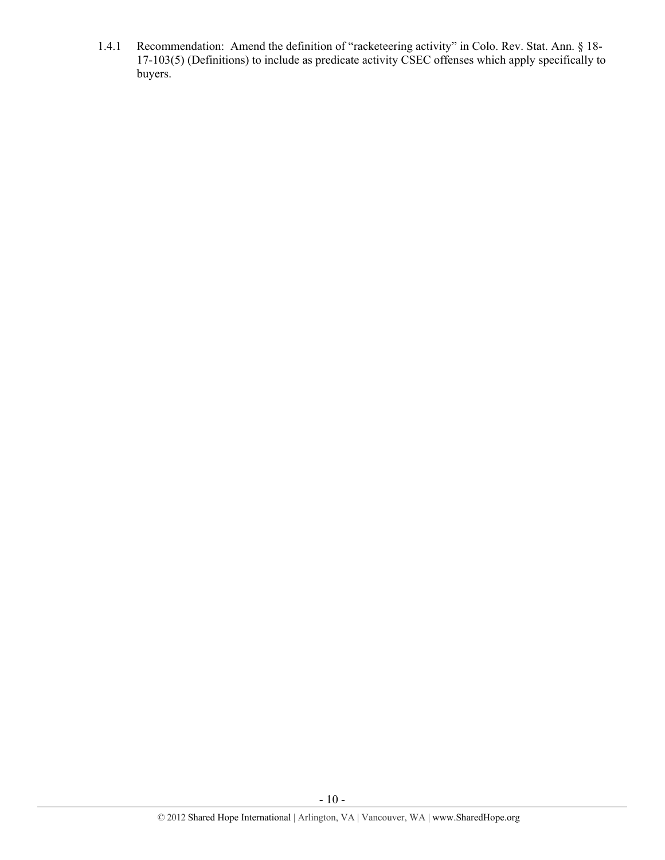1.4.1 Recommendation: Amend the definition of "racketeering activity" in Colo. Rev. Stat. Ann. § 18- 17-103(5) (Definitions) to include as predicate activity CSEC offenses which apply specifically to buyers.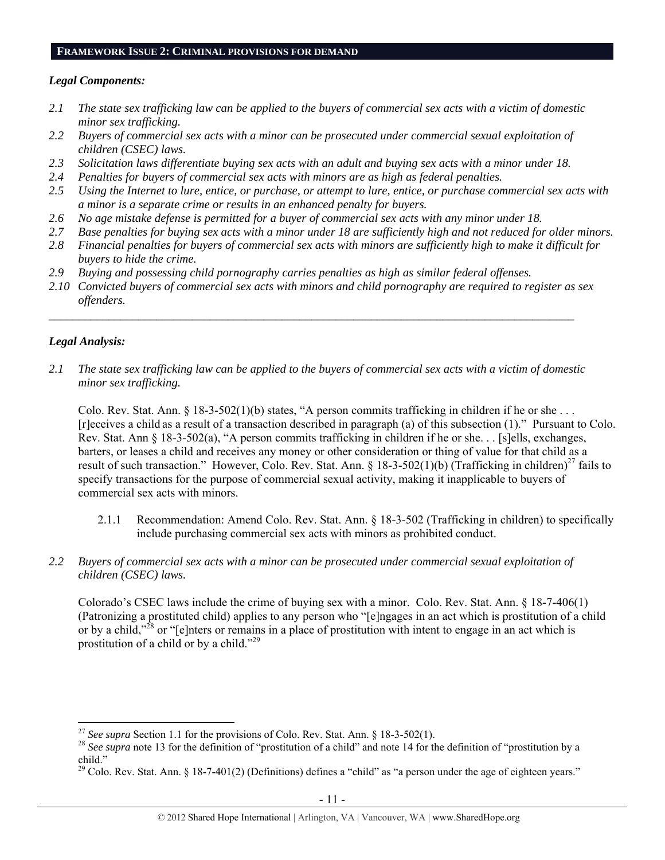## **FRAMEWORK ISSUE 2: CRIMINAL PROVISIONS FOR DEMAND**

## *Legal Components:*

- *2.1 The state sex trafficking law can be applied to the buyers of commercial sex acts with a victim of domestic minor sex trafficking.*
- *2.2 Buyers of commercial sex acts with a minor can be prosecuted under commercial sexual exploitation of children (CSEC) laws.*
- *2.3 Solicitation laws differentiate buying sex acts with an adult and buying sex acts with a minor under 18.*
- *2.4 Penalties for buyers of commercial sex acts with minors are as high as federal penalties.*
- *2.5 Using the Internet to lure, entice, or purchase, or attempt to lure, entice, or purchase commercial sex acts with a minor is a separate crime or results in an enhanced penalty for buyers.*
- *2.6 No age mistake defense is permitted for a buyer of commercial sex acts with any minor under 18.*
- *2.7 Base penalties for buying sex acts with a minor under 18 are sufficiently high and not reduced for older minors.*
- *2.8 Financial penalties for buyers of commercial sex acts with minors are sufficiently high to make it difficult for buyers to hide the crime.*
- *2.9 Buying and possessing child pornography carries penalties as high as similar federal offenses.*
- *2.10 Convicted buyers of commercial sex acts with minors and child pornography are required to register as sex offenders.*

 $\mathcal{L}_\mathcal{L} = \mathcal{L}_\mathcal{L} = \mathcal{L}_\mathcal{L} = \mathcal{L}_\mathcal{L} = \mathcal{L}_\mathcal{L} = \mathcal{L}_\mathcal{L} = \mathcal{L}_\mathcal{L} = \mathcal{L}_\mathcal{L} = \mathcal{L}_\mathcal{L} = \mathcal{L}_\mathcal{L} = \mathcal{L}_\mathcal{L} = \mathcal{L}_\mathcal{L} = \mathcal{L}_\mathcal{L} = \mathcal{L}_\mathcal{L} = \mathcal{L}_\mathcal{L} = \mathcal{L}_\mathcal{L} = \mathcal{L}_\mathcal{L}$ 

## *Legal Analysis:*

*2.1 The state sex trafficking law can be applied to the buyers of commercial sex acts with a victim of domestic minor sex trafficking.* 

Colo. Rev. Stat. Ann. § 18-3-502(1)(b) states, "A person commits trafficking in children if he or she ... [r]eceives a child as a result of a transaction described in paragraph (a) of this subsection (1)." Pursuant to Colo. Rev. Stat. Ann § 18-3-502(a), "A person commits trafficking in children if he or she. . . [s]ells, exchanges, barters, or leases a child and receives any money or other consideration or thing of value for that child as a result of such transaction." However, Colo. Rev. Stat. Ann. § 18-3-502(1)(b) (Trafficking in children)<sup>27</sup> fails to specify transactions for the purpose of commercial sexual activity, making it inapplicable to buyers of commercial sex acts with minors.

- 2.1.1 Recommendation: Amend Colo. Rev. Stat. Ann. § 18-3-502 (Trafficking in children) to specifically include purchasing commercial sex acts with minors as prohibited conduct.
- *2.2 Buyers of commercial sex acts with a minor can be prosecuted under commercial sexual exploitation of children (CSEC) laws.*

Colorado's CSEC laws include the crime of buying sex with a minor. Colo. Rev. Stat. Ann. § 18-7-406(1) (Patronizing a prostituted child) applies to any person who "[e]ngages in an act which is prostitution of a child or by a child,"28 or "[e]nters or remains in a place of prostitution with intent to engage in an act which is prostitution of a child or by a child." $^{29}$ 

<sup>&</sup>lt;sup>27</sup> See supra Section 1.1 for the provisions of Colo. Rev. Stat. Ann. § 18-3-502(1).

<sup>&</sup>lt;sup>28</sup> See supra note 13 for the definition of "prostitution of a child" and note 14 for the definition of "prostitution by a child."

<sup>&</sup>lt;sup>29</sup> Colo. Rev. Stat. Ann. § 18-7-401(2) (Definitions) defines a "child" as "a person under the age of eighteen years."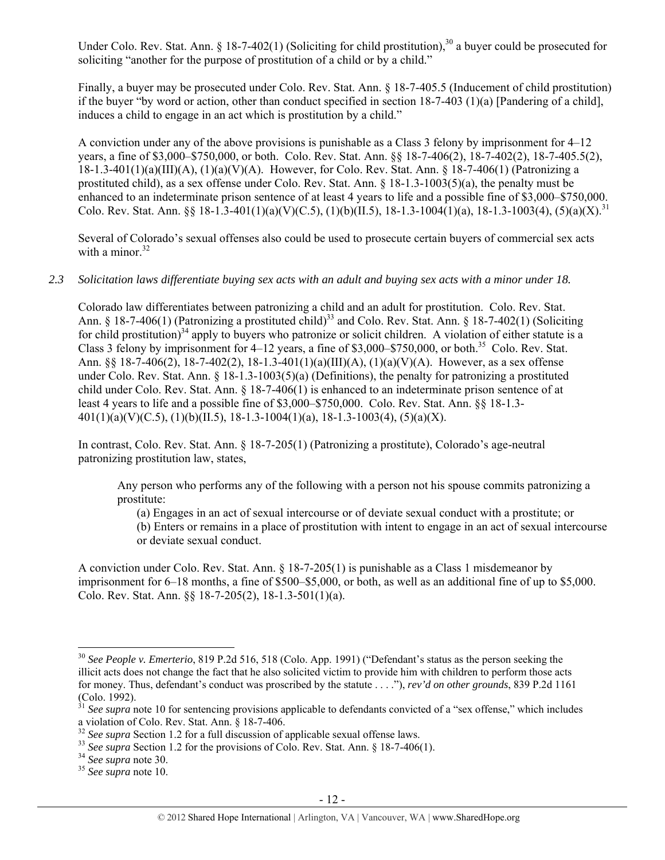Under Colo. Rev. Stat. Ann. § 18-7-402(1) (Soliciting for child prostitution),<sup>30</sup> a buyer could be prosecuted for soliciting "another for the purpose of prostitution of a child or by a child."

Finally, a buyer may be prosecuted under Colo. Rev. Stat. Ann. § 18-7-405.5 (Inducement of child prostitution) if the buyer "by word or action, other than conduct specified in section  $18-7-403$  (1)(a) [Pandering of a child], induces a child to engage in an act which is prostitution by a child."

A conviction under any of the above provisions is punishable as a Class 3 felony by imprisonment for 4–12 years, a fine of \$3,000–\$750,000, or both. Colo. Rev. Stat. Ann. §§ 18-7-406(2), 18-7-402(2), 18-7-405.5(2), 18-1.3-401(1)(a)(III)(A), (1)(a)(V)(A). However, for Colo. Rev. Stat. Ann. § 18-7-406(1) (Patronizing a prostituted child), as a sex offense under Colo. Rev. Stat. Ann. § 18-1.3-1003(5)(a), the penalty must be enhanced to an indeterminate prison sentence of at least 4 years to life and a possible fine of \$3,000–\$750,000. Colo. Rev. Stat. Ann. §§ 18-1.3-401(1)(a)(V)(C.5), (1)(b)(II.5), 18-1.3-1004(1)(a), 18-1.3-1003(4), (5)(a)(X).<sup>31</sup>

Several of Colorado's sexual offenses also could be used to prosecute certain buyers of commercial sex acts with a minor. $32$ 

## *2.3 Solicitation laws differentiate buying sex acts with an adult and buying sex acts with a minor under 18.*

Colorado law differentiates between patronizing a child and an adult for prostitution. Colo. Rev. Stat. Ann. § 18-7-406(1) (Patronizing a prostituted child)<sup>33</sup> and Colo. Rev. Stat. Ann. § 18-7-402(1) (Soliciting for child prostitution)<sup>34</sup> apply to buyers who patronize or solicit children. A violation of either statute is a Class 3 felony by imprisonment for  $4-12$  years, a fine of \$3,000–\$750,000, or both.<sup>35</sup> Colo. Rev. Stat. Ann. §§ 18-7-406(2), 18-7-402(2), 18-1.3-401(1)(a)(III)(A), (1)(a)(V)(A). However, as a sex offense under Colo. Rev. Stat. Ann. § 18-1.3-1003(5)(a) (Definitions), the penalty for patronizing a prostituted child under Colo. Rev. Stat. Ann. § 18-7-406(1) is enhanced to an indeterminate prison sentence of at least 4 years to life and a possible fine of \$3,000–\$750,000. Colo. Rev. Stat. Ann. §§ 18-1.3-  $401(1)(a)(V)(C.5), (1)(b)(II.5), 18-1.3-1004(1)(a), 18-1.3-1003(4), (5)(a)(X).$ 

In contrast, Colo. Rev. Stat. Ann. § 18-7-205(1) (Patronizing a prostitute), Colorado's age-neutral patronizing prostitution law, states,

Any person who performs any of the following with a person not his spouse commits patronizing a prostitute:

(a) Engages in an act of sexual intercourse or of deviate sexual conduct with a prostitute; or

(b) Enters or remains in a place of prostitution with intent to engage in an act of sexual intercourse or deviate sexual conduct.

A conviction under Colo. Rev. Stat. Ann. § 18-7-205(1) is punishable as a Class 1 misdemeanor by imprisonment for 6–18 months, a fine of \$500–\$5,000, or both, as well as an additional fine of up to \$5,000. Colo. Rev. Stat. Ann. §§ 18-7-205(2), 18-1.3-501(1)(a).

<sup>30</sup> *See People v. Emerterio*, 819 P.2d 516, 518 (Colo. App. 1991) ("Defendant's status as the person seeking the illicit acts does not change the fact that he also solicited victim to provide him with children to perform those acts for money. Thus, defendant's conduct was proscribed by the statute . . . ."), *rev'd on other grounds*, 839 P.2d 1161 (Colo. 1992).

<sup>&</sup>lt;sup>31</sup> See supra note 10 for sentencing provisions applicable to defendants convicted of a "sex offense," which includes a violation of Colo. Rev. Stat. Ann. § 18-7-406.

<sup>&</sup>lt;sup>32</sup> See supra Section 1.2 for a full discussion of applicable sexual offense laws.<br><sup>33</sup> See supra Section 1.2 for the provisions of Colo. Rev. Stat. Ann. § 18-7-406(1).<br><sup>34</sup> See supra note 30.<br><sup>35</sup> See supra note 10.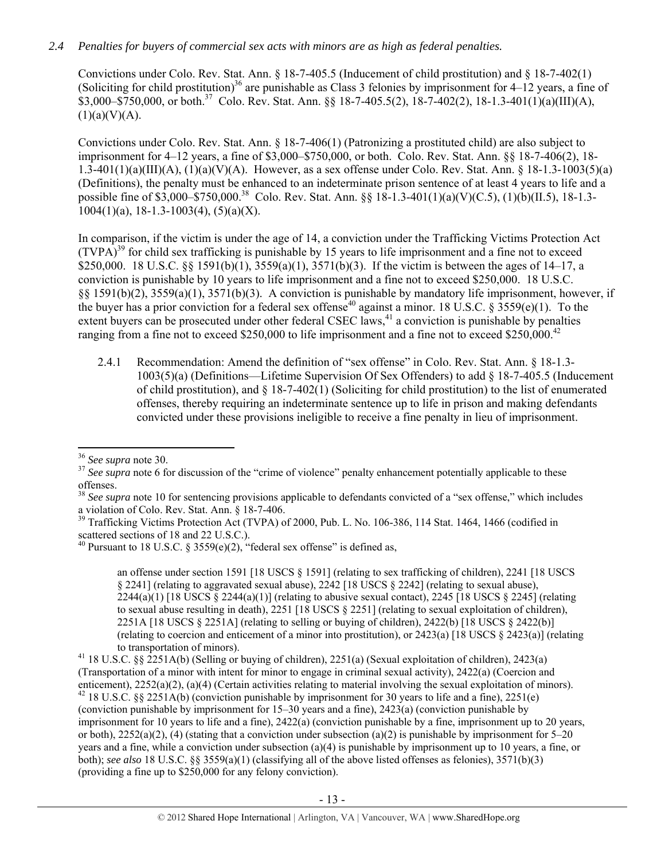## *2.4 Penalties for buyers of commercial sex acts with minors are as high as federal penalties.*

Convictions under Colo. Rev. Stat. Ann. § 18-7-405.5 (Inducement of child prostitution) and § 18-7-402(1) (Soliciting for child prostitution)<sup>36</sup> are punishable as Class 3 felonies by imprisonment for  $4-12$  years, a fine of  $$3,000-\$750,000$ , or both.<sup>37</sup> Colo. Rev. Stat. Ann. §§ 18-7-405.5(2), 18-7-402(2), 18-1.3-401(1)(a)(III)(A),  $(1)(a)(V)(A)$ .

Convictions under Colo. Rev. Stat. Ann. § 18-7-406(1) (Patronizing a prostituted child) are also subject to imprisonment for 4–12 years, a fine of \$3,000–\$750,000, or both. Colo. Rev. Stat. Ann. §§ 18-7-406(2), 18- 1.3-401(1)(a)(III)(A), (1)(a)(V)(A). However, as a sex offense under Colo. Rev. Stat. Ann. § 18-1.3-1003(5)(a) (Definitions), the penalty must be enhanced to an indeterminate prison sentence of at least 4 years to life and a possible fine of \$3,000–\$750,000.<sup>38</sup> Colo. Rev. Stat. Ann. §§ 18-1.3-401(1)(a)(V)(C.5), (1)(b)(II.5), 18-1.3- $1004(1)(a)$ , 18-1.3-1003(4), (5)(a)(X).

In comparison, if the victim is under the age of 14, a conviction under the Trafficking Victims Protection Act  $(TVPA)^{39}$  for child sex trafficking is punishable by 15 years to life imprisonment and a fine not to exceed \$250,000. 18 U.S.C. §§ 1591(b)(1), 3559(a)(1), 3571(b)(3). If the victim is between the ages of 14–17, a conviction is punishable by 10 years to life imprisonment and a fine not to exceed \$250,000. 18 U.S.C. §§ 1591(b)(2), 3559(a)(1), 3571(b)(3). A conviction is punishable by mandatory life imprisonment, however, if the buyer has a prior conviction for a federal sex offense<sup>40</sup> against a minor. 18 U.S.C. § 3559(e)(1). To the extent buyers can be prosecuted under other federal CSEC laws, $41$  a conviction is punishable by penalties ranging from a fine not to exceed \$250,000 to life imprisonment and a fine not to exceed \$250,000.<sup>42</sup>

2.4.1 Recommendation: Amend the definition of "sex offense" in Colo. Rev. Stat. Ann. § 18-1.3- 1003(5)(a) (Definitions—Lifetime Supervision Of Sex Offenders) to add § 18-7-405.5 (Inducement of child prostitution), and  $\S$  18-7-402(1) (Soliciting for child prostitution) to the list of enumerated offenses, thereby requiring an indeterminate sentence up to life in prison and making defendants convicted under these provisions ineligible to receive a fine penalty in lieu of imprisonment.

an offense under section 1591 [18 USCS § 1591] (relating to sex trafficking of children), 2241 [18 USCS § 2241] (relating to aggravated sexual abuse), 2242 [18 USCS § 2242] (relating to sexual abuse),  $2244(a)(1)$  [18 USCS § 2244(a)(1)] (relating to abusive sexual contact), 2245 [18 USCS § 2245] (relating to sexual abuse resulting in death), 2251 [18 USCS § 2251] (relating to sexual exploitation of children), 2251A [18 USCS § 2251A] (relating to selling or buying of children), 2422(b) [18 USCS § 2422(b)] (relating to coercion and enticement of a minor into prostitution), or 2423(a) [18 USCS  $\S$  2423(a)] (relating

<sup>&</sup>lt;sup>36</sup> *See supra* note 30.<br><sup>37</sup> *See supra* note 6 for discussion of the "crime of violence" penalty enhancement potentially applicable to these offenses.

<sup>&</sup>lt;sup>38</sup> See supra note 10 for sentencing provisions applicable to defendants convicted of a "sex offense," which includes a violation of Colo. Rev. Stat. Ann. § 18-7-406.

 $39$  Trafficking Victims Protection Act (TVPA) of 2000, Pub. L. No. 106-386, 114 Stat. 1464, 1466 (codified in scattered sections of 18 and 22 U.S.C.).

<sup>&</sup>lt;sup>40</sup> Pursuant to 18 U.S.C. § 3559(e)(2), "federal sex offense" is defined as,

to transportation of minors).<br><sup>41</sup> 18 U.S.C. §§ 2251A(b) (Selling or buying of children), 2251(a) (Sexual exploitation of children), 2423(a) (Transportation of a minor with intent for minor to engage in criminal sexual activity), 2422(a) (Coercion and enticement),  $2252(a)(2)$ ,  $(a)(4)$  (Certain activities relating to material involving the sexual exploitation of minors).<br><sup>42</sup> 18 U.S.C. §§ 2251A(b) (conviction punishable by imprisonment for 30 years to life and a fine), 22

<sup>(</sup>conviction punishable by imprisonment for 15–30 years and a fine), 2423(a) (conviction punishable by imprisonment for 10 years to life and a fine), 2422(a) (conviction punishable by a fine, imprisonment up to 20 years, or both), 2252(a)(2), (4) (stating that a conviction under subsection (a)(2) is punishable by imprisonment for 5–20 years and a fine, while a conviction under subsection (a)(4) is punishable by imprisonment up to 10 years, a fine, or both); *see also* 18 U.S.C. §§ 3559(a)(1) (classifying all of the above listed offenses as felonies), 3571(b)(3) (providing a fine up to \$250,000 for any felony conviction).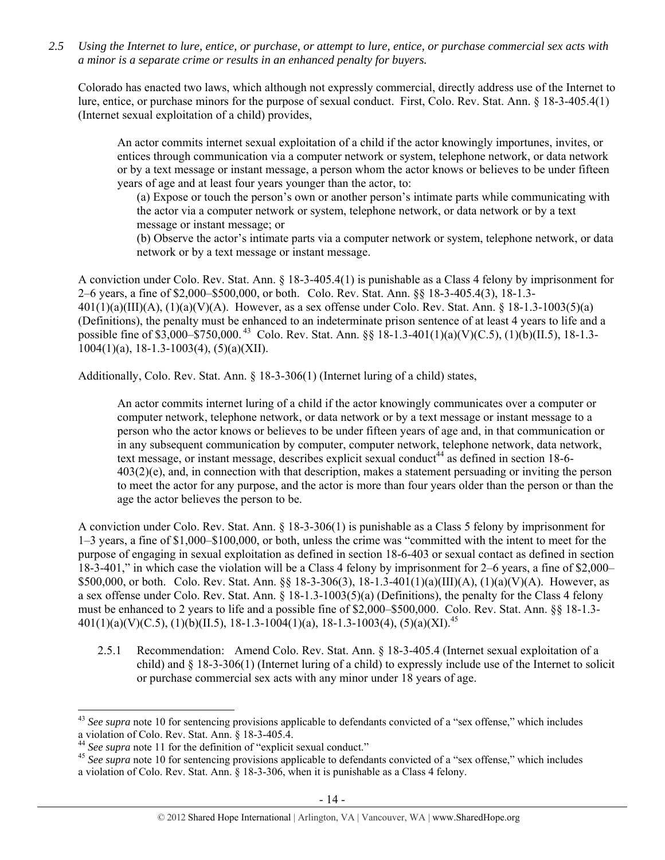*2.5 Using the Internet to lure, entice, or purchase, or attempt to lure, entice, or purchase commercial sex acts with a minor is a separate crime or results in an enhanced penalty for buyers.* 

Colorado has enacted two laws, which although not expressly commercial, directly address use of the Internet to lure, entice, or purchase minors for the purpose of sexual conduct. First, Colo. Rev. Stat. Ann. § 18-3-405.4(1) (Internet sexual exploitation of a child) provides,

An actor commits internet sexual exploitation of a child if the actor knowingly importunes, invites, or entices through communication via a computer network or system, telephone network, or data network or by a text message or instant message, a person whom the actor knows or believes to be under fifteen years of age and at least four years younger than the actor, to:

(a) Expose or touch the person's own or another person's intimate parts while communicating with the actor via a computer network or system, telephone network, or data network or by a text message or instant message; or

(b) Observe the actor's intimate parts via a computer network or system, telephone network, or data network or by a text message or instant message.

A conviction under Colo. Rev. Stat. Ann. § 18-3-405.4(1) is punishable as a Class 4 felony by imprisonment for 2–6 years, a fine of \$2,000–\$500,000, or both. Colo. Rev. Stat. Ann. §§ 18-3-405.4(3), 18-1.3-  $401(1)(a)(III)(A)$ ,  $(1)(a)(V)(A)$ . However, as a sex offense under Colo. Rev. Stat. Ann. § 18-1.3-1003(5)(a) (Definitions), the penalty must be enhanced to an indeterminate prison sentence of at least 4 years to life and a possible fine of \$3,000–\$750,000. 43 Colo. Rev. Stat. Ann. §§ 18-1.3-401(1)(a)(V)(C.5), (1)(b)(II.5), 18-1.3-  $1004(1)(a)$ , 18-1.3-1003(4), (5)(a)(XII).

Additionally, Colo. Rev. Stat. Ann. § 18-3-306(1) (Internet luring of a child) states,

An actor commits internet luring of a child if the actor knowingly communicates over a computer or computer network, telephone network, or data network or by a text message or instant message to a person who the actor knows or believes to be under fifteen years of age and, in that communication or in any subsequent communication by computer, computer network, telephone network, data network, text message, or instant message, describes explicit sexual conduct<sup>44</sup> as defined in section  $18-6-$ 403(2)(e), and, in connection with that description, makes a statement persuading or inviting the person to meet the actor for any purpose, and the actor is more than four years older than the person or than the age the actor believes the person to be.

A conviction under Colo. Rev. Stat. Ann. § 18-3-306(1) is punishable as a Class 5 felony by imprisonment for 1–3 years, a fine of \$1,000–\$100,000, or both, unless the crime was "committed with the intent to meet for the purpose of engaging in sexual exploitation as defined in section 18-6-403 or sexual contact as defined in section 18-3-401," in which case the violation will be a Class 4 felony by imprisonment for 2–6 years, a fine of \$2,000– \$500,000, or both. Colo. Rev. Stat. Ann. §§ 18-3-306(3), 18-1.3-401(1)(a)(III)(A), (1)(a)(V)(A). However, as a sex offense under Colo. Rev. Stat. Ann.  $\S$  18-1.3-1003(5)(a) (Definitions), the penalty for the Class 4 felony must be enhanced to 2 years to life and a possible fine of \$2,000–\$500,000. Colo. Rev. Stat. Ann. §§ 18-1.3-  $401(1)(a)(V)(C.5), (1)(b)(II.5), 18-1.3-1004(1)(a), 18-1.3-1003(4), (5)(a)(XI).$ <sup>45</sup>

2.5.1 Recommendation: Amend Colo. Rev. Stat. Ann. § 18-3-405.4 (Internet sexual exploitation of a child) and § 18-3-306(1) (Internet luring of a child) to expressly include use of the Internet to solicit or purchase commercial sex acts with any minor under 18 years of age.

<sup>&</sup>lt;sup>43</sup> See supra note 10 for sentencing provisions applicable to defendants convicted of a "sex offense," which includes a violation of Colo. Rev. Stat. Ann. § 18-3-405.4.<br><sup>44</sup> See supra note 11 for the definition of "explicit sexual conduct."

<sup>&</sup>lt;sup>45</sup> See supra note 10 for sentencing provisions applicable to defendants convicted of a "sex offense," which includes a violation of Colo. Rev. Stat. Ann. § 18-3-306, when it is punishable as a Class 4 felony.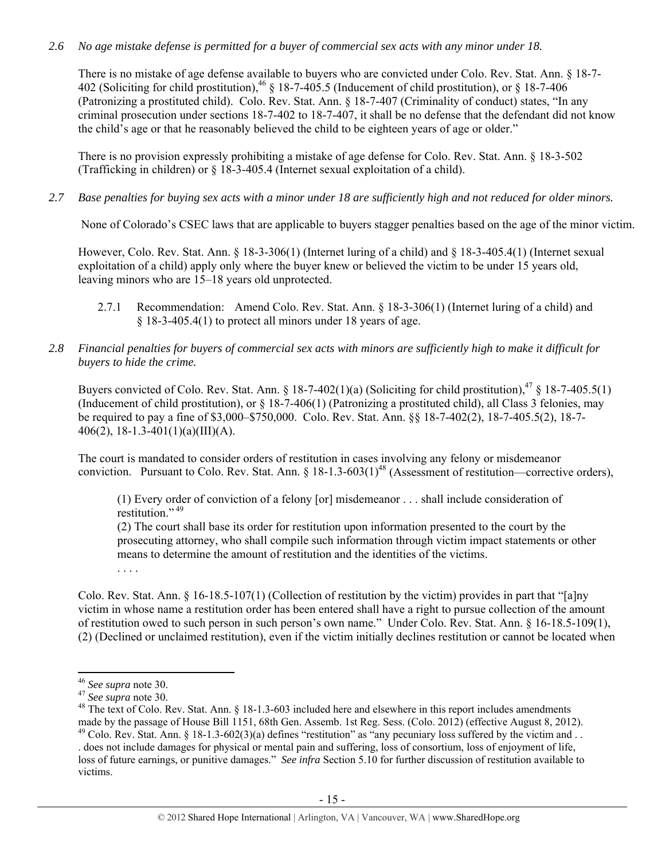## *2.6 No age mistake defense is permitted for a buyer of commercial sex acts with any minor under 18.*

There is no mistake of age defense available to buyers who are convicted under Colo. Rev. Stat. Ann. § 18-7-402 (Soliciting for child prostitution),<sup>46</sup> § 18-7-405.5 (Inducement of child prostitution), or § 18-7-406 (Patronizing a prostituted child). Colo. Rev. Stat. Ann. § 18-7-407 (Criminality of conduct) states, "In any criminal prosecution under sections 18-7-402 to 18-7-407, it shall be no defense that the defendant did not know the child's age or that he reasonably believed the child to be eighteen years of age or older."

There is no provision expressly prohibiting a mistake of age defense for Colo. Rev. Stat. Ann. § 18-3-502 (Trafficking in children) or § 18-3-405.4 (Internet sexual exploitation of a child).

*2.7 Base penalties for buying sex acts with a minor under 18 are sufficiently high and not reduced for older minors.* 

None of Colorado's CSEC laws that are applicable to buyers stagger penalties based on the age of the minor victim.

However, Colo. Rev. Stat. Ann. § 18-3-306(1) (Internet luring of a child) and § 18-3-405.4(1) (Internet sexual exploitation of a child) apply only where the buyer knew or believed the victim to be under 15 years old, leaving minors who are 15–18 years old unprotected.

- 2.7.1 Recommendation: Amend Colo. Rev. Stat. Ann. § 18-3-306(1) (Internet luring of a child) and § 18-3-405.4(1) to protect all minors under 18 years of age.
- *2.8 Financial penalties for buyers of commercial sex acts with minors are sufficiently high to make it difficult for buyers to hide the crime.*

Buyers convicted of Colo. Rev. Stat. Ann. § 18-7-402(1)(a) (Soliciting for child prostitution),<sup>47</sup> § 18-7-405.5(1) (Inducement of child prostitution), or § 18-7-406(1) (Patronizing a prostituted child), all Class 3 felonies, may be required to pay a fine of \$3,000–\$750,000. Colo. Rev. Stat. Ann. §§ 18-7-402(2), 18-7-405.5(2), 18-7- 406(2), 18-1.3-401(1)(a)(III)(A).

The court is mandated to consider orders of restitution in cases involving any felony or misdemeanor conviction. Pursuant to Colo. Rev. Stat. Ann.  $\S 18-1.3-603(1)^{48}$  (Assessment of restitution—corrective orders),

(1) Every order of conviction of a felony [or] misdemeanor . . . shall include consideration of restitution." 49

(2) The court shall base its order for restitution upon information presented to the court by the prosecuting attorney, who shall compile such information through victim impact statements or other means to determine the amount of restitution and the identities of the victims.

Colo. Rev. Stat. Ann. § 16-18.5-107(1) (Collection of restitution by the victim) provides in part that "[a]ny victim in whose name a restitution order has been entered shall have a right to pursue collection of the amount of restitution owed to such person in such person's own name." Under Colo. Rev. Stat. Ann. § 16-18.5-109(1), (2) (Declined or unclaimed restitution), even if the victim initially declines restitution or cannot be located when

. . . .

<sup>&</sup>lt;sup>46</sup> *See supra* note 30.<br><sup>47</sup> *See supra* note 30.<br><sup>48</sup> The text of Colo. Rev. Stat. Ann. § 18-1.3-603 included here and elsewhere in this report includes amendments<br>made by the passage of House Bill 1151, 68th Gen. Assem <sup>49</sup> Colo. Rev. Stat. Ann. § 18-1.3-602(3)(a) defines "restitution" as "any pecuniary loss suffered by the victim and...

<sup>.</sup> does not include damages for physical or mental pain and suffering, loss of consortium, loss of enjoyment of life, loss of future earnings, or punitive damages." *See infra* Section 5.10 for further discussion of restitution available to victims.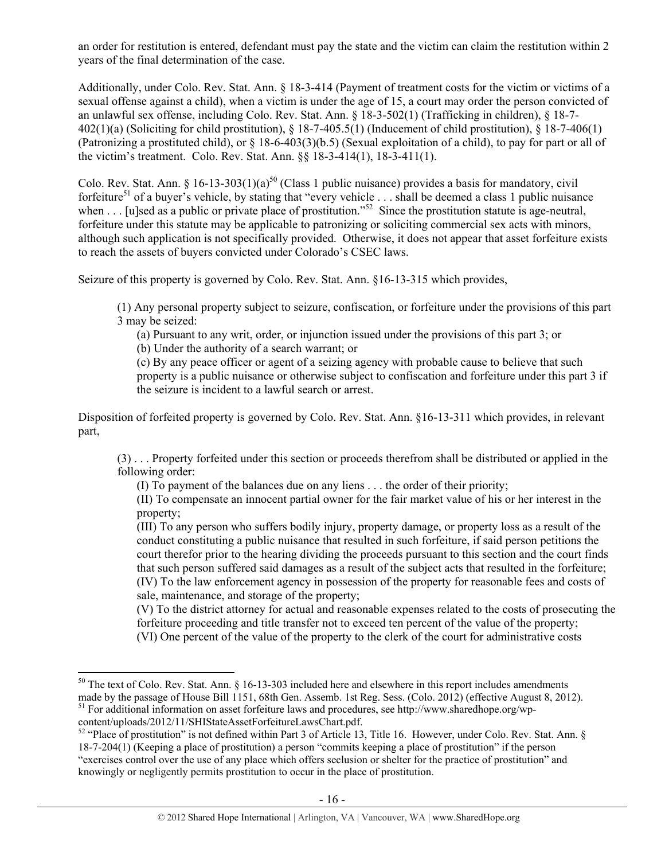an order for restitution is entered, defendant must pay the state and the victim can claim the restitution within 2 years of the final determination of the case.

Additionally, under Colo. Rev. Stat. Ann. § 18-3-414 (Payment of treatment costs for the victim or victims of a sexual offense against a child), when a victim is under the age of 15, a court may order the person convicted of an unlawful sex offense, including Colo. Rev. Stat. Ann. § 18-3-502(1) (Trafficking in children), § 18-7- 402(1)(a) (Soliciting for child prostitution), § 18-7-405.5(1) (Inducement of child prostitution), § 18-7-406(1) (Patronizing a prostituted child), or  $\S$  18-6-403(3)(b.5) (Sexual exploitation of a child), to pay for part or all of the victim's treatment. Colo. Rev. Stat. Ann. §§ 18-3-414(1), 18-3-411(1).

Colo. Rev. Stat. Ann. § 16-13-303(1)(a)<sup>50</sup> (Class 1 public nuisance) provides a basis for mandatory, civil forfeiture<sup>51</sup> of a buyer's vehicle, by stating that "every vehicle  $\dots$  shall be deemed a class 1 public nuisance when . . . [u]sed as a public or private place of prostitution."<sup>52</sup> Since the prostitution statute is age-neutral, forfeiture under this statute may be applicable to patronizing or soliciting commercial sex acts with minors, although such application is not specifically provided. Otherwise, it does not appear that asset forfeiture exists to reach the assets of buyers convicted under Colorado's CSEC laws.

Seizure of this property is governed by Colo. Rev. Stat. Ann. §16-13-315 which provides,

(1) Any personal property subject to seizure, confiscation, or forfeiture under the provisions of this part 3 may be seized:

(a) Pursuant to any writ, order, or injunction issued under the provisions of this part 3; or

(b) Under the authority of a search warrant; or

(c) By any peace officer or agent of a seizing agency with probable cause to believe that such property is a public nuisance or otherwise subject to confiscation and forfeiture under this part 3 if the seizure is incident to a lawful search or arrest.

Disposition of forfeited property is governed by Colo. Rev. Stat. Ann. §16-13-311 which provides, in relevant part,

(3) . . . Property forfeited under this section or proceeds therefrom shall be distributed or applied in the following order:

(I) To payment of the balances due on any liens . . . the order of their priority;

(II) To compensate an innocent partial owner for the fair market value of his or her interest in the property;

(III) To any person who suffers bodily injury, property damage, or property loss as a result of the conduct constituting a public nuisance that resulted in such forfeiture, if said person petitions the court therefor prior to the hearing dividing the proceeds pursuant to this section and the court finds that such person suffered said damages as a result of the subject acts that resulted in the forfeiture; (IV) To the law enforcement agency in possession of the property for reasonable fees and costs of sale, maintenance, and storage of the property;

(V) To the district attorney for actual and reasonable expenses related to the costs of prosecuting the forfeiture proceeding and title transfer not to exceed ten percent of the value of the property; (VI) One percent of the value of the property to the clerk of the court for administrative costs

  $50$  The text of Colo. Rev. Stat. Ann. § 16-13-303 included here and elsewhere in this report includes amendments made by the passage of House Bill 1151, 68th Gen. Assemb. 1st Reg. Sess. (Colo. 2012) (effective August 8, 2012).<br><sup>51</sup> For additional information on asset forfeiture laws and procedures, see http://www.sharedhope.org/wp-<br>c

<sup>&</sup>lt;sup>52</sup> "Place of prostitution" is not defined within Part 3 of Article 13, Title 16. However, under Colo. Rev. Stat. Ann. § 18-7-204(1) (Keeping a place of prostitution) a person "commits keeping a place of prostitution" if the person "exercises control over the use of any place which offers seclusion or shelter for the practice of prostitution" and knowingly or negligently permits prostitution to occur in the place of prostitution.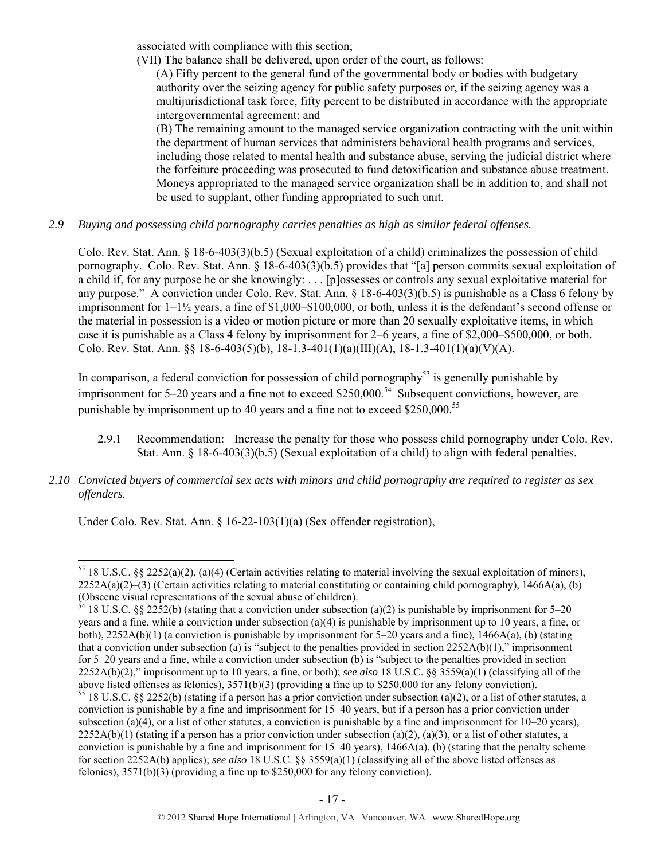associated with compliance with this section;

(VII) The balance shall be delivered, upon order of the court, as follows:

(A) Fifty percent to the general fund of the governmental body or bodies with budgetary authority over the seizing agency for public safety purposes or, if the seizing agency was a multijurisdictional task force, fifty percent to be distributed in accordance with the appropriate intergovernmental agreement; and

(B) The remaining amount to the managed service organization contracting with the unit within the department of human services that administers behavioral health programs and services, including those related to mental health and substance abuse, serving the judicial district where the forfeiture proceeding was prosecuted to fund detoxification and substance abuse treatment. Moneys appropriated to the managed service organization shall be in addition to, and shall not be used to supplant, other funding appropriated to such unit.

*2.9 Buying and possessing child pornography carries penalties as high as similar federal offenses.* 

Colo. Rev. Stat. Ann. § 18-6-403(3)(b.5) (Sexual exploitation of a child) criminalizes the possession of child pornography. Colo. Rev. Stat. Ann. § 18-6-403(3)(b.5) provides that "[a] person commits sexual exploitation of a child if, for any purpose he or she knowingly: . . . [p]ossesses or controls any sexual exploitative material for any purpose." A conviction under Colo. Rev. Stat. Ann. § 18-6-403(3)(b.5) is punishable as a Class 6 felony by imprisonment for  $1-1\frac{1}{2}$  years, a fine of \$1,000–\$100,000, or both, unless it is the defendant's second offense or the material in possession is a video or motion picture or more than 20 sexually exploitative items, in which case it is punishable as a Class 4 felony by imprisonment for 2–6 years, a fine of \$2,000–\$500,000, or both. Colo. Rev. Stat. Ann. §§ 18-6-403(5)(b), 18-1.3-401(1)(a)(III)(A), 18-1.3-401(1)(a)(V)(A).

In comparison, a federal conviction for possession of child pornography<sup>53</sup> is generally punishable by imprisonment for 5–20 years and a fine not to exceed  $$250,000$ .<sup>54</sup> Subsequent convictions, however, are punishable by imprisonment up to 40 years and a fine not to exceed \$250,000.<sup>55</sup>

- 2.9.1 Recommendation: Increase the penalty for those who possess child pornography under Colo. Rev. Stat. Ann. § 18-6-403(3)(b.5) (Sexual exploitation of a child) to align with federal penalties.
- *2.10 Convicted buyers of commercial sex acts with minors and child pornography are required to register as sex offenders.*

Under Colo. Rev. Stat. Ann. § 16-22-103(1)(a) (Sex offender registration),

  $53$  18 U.S.C. §§ 2252(a)(2), (a)(4) (Certain activities relating to material involving the sexual exploitation of minors),  $2252A(a)(2)$ –(3) (Certain activities relating to material constituting or containing child pornography), 1466A(a), (b) (Obscene visual representations of the sexual abuse of children).

<sup>&</sup>lt;sup>44</sup> 18 U.S.C. §§ 2252(b) (stating that a conviction under subsection (a)(2) is punishable by imprisonment for 5–20 years and a fine, while a conviction under subsection (a)(4) is punishable by imprisonment up to 10 years, a fine, or both),  $2252A(b)(1)$  (a conviction is punishable by imprisonment for 5–20 years and a fine),  $1466A(a)$ , (b) (stating that a conviction under subsection (a) is "subject to the penalties provided in section  $2252A(b)(1)$ ," imprisonment for 5–20 years and a fine, while a conviction under subsection (b) is "subject to the penalties provided in section 2252A(b)(2)," imprisonment up to 10 years, a fine, or both); *see also* 18 U.S.C. §§ 3559(a)(1) (classifying all of the above listed offenses as felonies), 3571(b)(3) (providing a fine up to \$250,000 for any felony conviction).

<sup>55 18</sup> U.S.C. §§ 2252(b) (stating if a person has a prior conviction under subsection (a)(2), or a list of other statutes, a conviction is punishable by a fine and imprisonment for 15–40 years, but if a person has a prior conviction under subsection (a)(4), or a list of other statutes, a conviction is punishable by a fine and imprisonment for  $10-20$  years),  $2252A(b)(1)$  (stating if a person has a prior conviction under subsection (a)(2), (a)(3), or a list of other statutes, a conviction is punishable by a fine and imprisonment for 15–40 years), 1466A(a), (b) (stating that the penalty scheme for section 2252A(b) applies); *see also* 18 U.S.C. §§ 3559(a)(1) (classifying all of the above listed offenses as felonies), 3571(b)(3) (providing a fine up to \$250,000 for any felony conviction).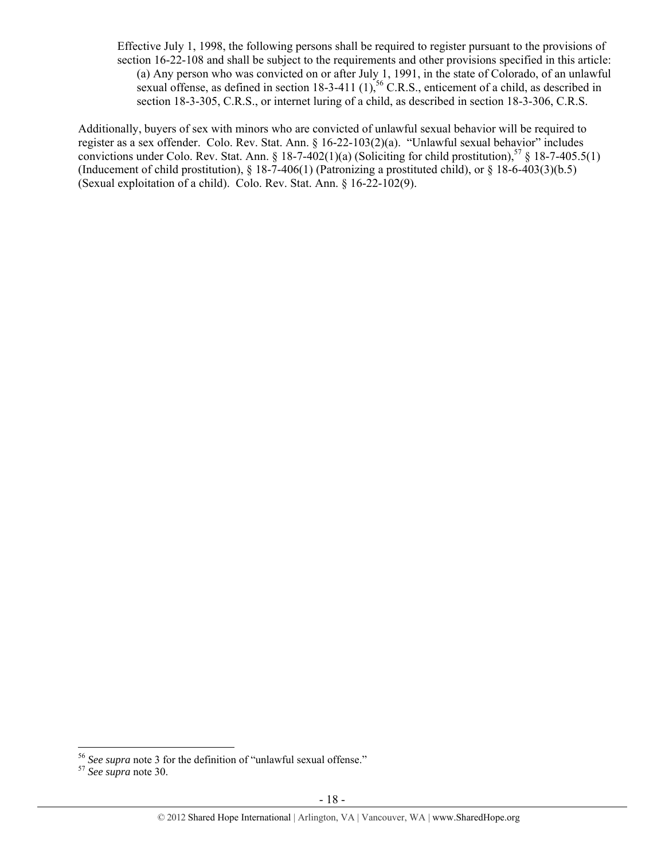Effective July 1, 1998, the following persons shall be required to register pursuant to the provisions of section 16-22-108 and shall be subject to the requirements and other provisions specified in this article: (a) Any person who was convicted on or after July 1, 1991, in the state of Colorado, of an unlawful sexual offense, as defined in section  $18-3-411$   $(1)$ ,  $^{56}$  C.R.S., enticement of a child, as described in section 18-3-305, C.R.S., or internet luring of a child, as described in section 18-3-306, C.R.S.

Additionally, buyers of sex with minors who are convicted of unlawful sexual behavior will be required to register as a sex offender. Colo. Rev. Stat. Ann. § 16-22-103(2)(a). "Unlawful sexual behavior" includes convictions under Colo. Rev. Stat. Ann. § 18-7-402(1)(a) (Soliciting for child prostitution),<sup>57</sup> § 18-7-405.5(1) (Inducement of child prostitution),  $\S$  18-7-406(1) (Patronizing a prostituted child), or  $\S$  18-6-403(3)(b.5) (Sexual exploitation of a child). Colo. Rev. Stat. Ann. § 16-22-102(9).

 <sup>56</sup> *See supra* note 3 for the definition of "unlawful sexual offense." See supra note 30.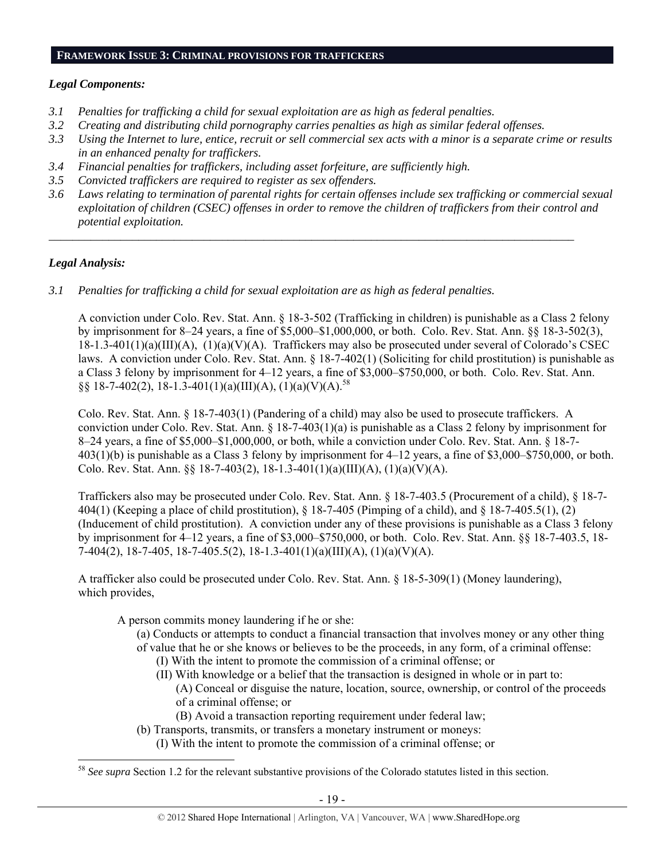## **FRAMEWORK ISSUE 3: CRIMINAL PROVISIONS FOR TRAFFICKERS**

## *Legal Components:*

- *3.1 Penalties for trafficking a child for sexual exploitation are as high as federal penalties.*
- *3.2 Creating and distributing child pornography carries penalties as high as similar federal offenses.*
- *3.3 Using the Internet to lure, entice, recruit or sell commercial sex acts with a minor is a separate crime or results in an enhanced penalty for traffickers.*
- *3.4 Financial penalties for traffickers, including asset forfeiture, are sufficiently high.*
- *3.5 Convicted traffickers are required to register as sex offenders.*
- *3.6 Laws relating to termination of parental rights for certain offenses include sex trafficking or commercial sexual exploitation of children (CSEC) offenses in order to remove the children of traffickers from their control and potential exploitation.*

*\_\_\_\_\_\_\_\_\_\_\_\_\_\_\_\_\_\_\_\_\_\_\_\_\_\_\_\_\_\_\_\_\_\_\_\_\_\_\_\_\_\_\_\_\_\_\_\_\_\_\_\_\_\_\_\_\_\_\_\_\_\_\_\_\_\_\_\_\_\_\_\_\_\_\_\_\_\_\_\_\_\_\_\_\_\_\_\_* 

## *Legal Analysis:*

*3.1 Penalties for trafficking a child for sexual exploitation are as high as federal penalties.* 

A conviction under Colo. Rev. Stat. Ann. § 18-3-502 (Trafficking in children) is punishable as a Class 2 felony by imprisonment for 8–24 years, a fine of \$5,000–\$1,000,000, or both. Colo. Rev. Stat. Ann. §§ 18-3-502(3), 18-1.3-401(1)(a)(III)(A), (1)(a)(V)(A). Traffickers may also be prosecuted under several of Colorado's CSEC laws. A conviction under Colo. Rev. Stat. Ann. § 18-7-402(1) (Soliciting for child prostitution) is punishable as a Class 3 felony by imprisonment for 4–12 years, a fine of \$3,000–\$750,000, or both. Colo. Rev. Stat. Ann.  $\S$ § 18-7-402(2), 18-1.3-401(1)(a)(III)(A), (1)(a)(V)(A).<sup>58</sup>

Colo. Rev. Stat. Ann. § 18-7-403(1) (Pandering of a child) may also be used to prosecute traffickers. A conviction under Colo. Rev. Stat. Ann. § 18-7-403(1)(a) is punishable as a Class 2 felony by imprisonment for 8–24 years, a fine of \$5,000–\$1,000,000, or both, while a conviction under Colo. Rev. Stat. Ann. § 18-7- 403(1)(b) is punishable as a Class 3 felony by imprisonment for 4–12 years, a fine of \$3,000–\$750,000, or both. Colo. Rev. Stat. Ann. §§ 18-7-403(2), 18-1.3-401(1)(a)(III)(A), (1)(a)(V)(A).

Traffickers also may be prosecuted under Colo. Rev. Stat. Ann. § 18-7-403.5 (Procurement of a child), § 18-7- 404(1) (Keeping a place of child prostitution),  $\S$  18-7-405 (Pimping of a child), and  $\S$  18-7-405.5(1), (2) (Inducement of child prostitution). A conviction under any of these provisions is punishable as a Class 3 felony by imprisonment for 4–12 years, a fine of \$3,000–\$750,000, or both. Colo. Rev. Stat. Ann. §§ 18-7-403.5, 18- 7-404(2), 18-7-405, 18-7-405.5(2), 18-1.3-401(1)(a)(III)(A), (1)(a)(V)(A).

A trafficker also could be prosecuted under Colo. Rev. Stat. Ann. § 18-5-309(1) (Money laundering), which provides,

A person commits money laundering if he or she:

- (a) Conducts or attempts to conduct a financial transaction that involves money or any other thing of value that he or she knows or believes to be the proceeds, in any form, of a criminal offense:
	- (I) With the intent to promote the commission of a criminal offense; or
	- (II) With knowledge or a belief that the transaction is designed in whole or in part to:
		- (A) Conceal or disguise the nature, location, source, ownership, or control of the proceeds of a criminal offense; or
		- (B) Avoid a transaction reporting requirement under federal law;
- (b) Transports, transmits, or transfers a monetary instrument or moneys:
	- (I) With the intent to promote the commission of a criminal offense; or

<sup>&</sup>lt;sup>58</sup> See supra Section 1.2 for the relevant substantive provisions of the Colorado statutes listed in this section.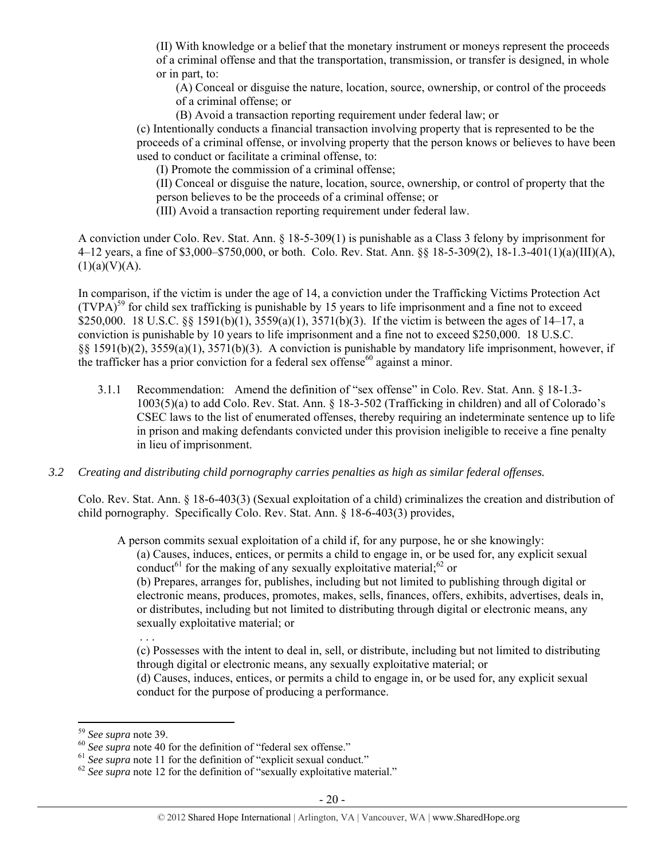(II) With knowledge or a belief that the monetary instrument or moneys represent the proceeds of a criminal offense and that the transportation, transmission, or transfer is designed, in whole or in part, to:

(A) Conceal or disguise the nature, location, source, ownership, or control of the proceeds of a criminal offense; or

(B) Avoid a transaction reporting requirement under federal law; or

(c) Intentionally conducts a financial transaction involving property that is represented to be the proceeds of a criminal offense, or involving property that the person knows or believes to have been used to conduct or facilitate a criminal offense, to:

(I) Promote the commission of a criminal offense;

(II) Conceal or disguise the nature, location, source, ownership, or control of property that the person believes to be the proceeds of a criminal offense; or

(III) Avoid a transaction reporting requirement under federal law.

A conviction under Colo. Rev. Stat. Ann. § 18-5-309(1) is punishable as a Class 3 felony by imprisonment for 4–12 years, a fine of \$3,000–\$750,000, or both. Colo. Rev. Stat. Ann. §§ 18-5-309(2), 18-1.3-401(1)(a)(III)(A),  $(1)(a)(V)(A)$ .

In comparison, if the victim is under the age of 14, a conviction under the Trafficking Victims Protection Act  $(TVPA)^{59}$  for child sex trafficking is punishable by 15 years to life imprisonment and a fine not to exceed \$250,000. 18 U.S.C. §§ 1591(b)(1), 3559(a)(1), 3571(b)(3). If the victim is between the ages of 14–17, a conviction is punishable by 10 years to life imprisonment and a fine not to exceed \$250,000. 18 U.S.C. §§ 1591(b)(2), 3559(a)(1), 3571(b)(3). A conviction is punishable by mandatory life imprisonment, however, if the trafficker has a prior conviction for a federal sex offense $^{60}$  against a minor.

3.1.1 Recommendation: Amend the definition of "sex offense" in Colo. Rev. Stat. Ann. § 18-1.3- 1003(5)(a) to add Colo. Rev. Stat. Ann. § 18-3-502 (Trafficking in children) and all of Colorado's CSEC laws to the list of enumerated offenses, thereby requiring an indeterminate sentence up to life in prison and making defendants convicted under this provision ineligible to receive a fine penalty in lieu of imprisonment.

## *3.2 Creating and distributing child pornography carries penalties as high as similar federal offenses.*

Colo. Rev. Stat. Ann. § 18-6-403(3) (Sexual exploitation of a child) criminalizes the creation and distribution of child pornography. Specifically Colo. Rev. Stat. Ann. § 18-6-403(3) provides,

A person commits sexual exploitation of a child if, for any purpose, he or she knowingly:

(a) Causes, induces, entices, or permits a child to engage in, or be used for, any explicit sexual conduct<sup>61</sup> for the making of any sexually exploitative material;<sup>62</sup> or

(b) Prepares, arranges for, publishes, including but not limited to publishing through digital or electronic means, produces, promotes, makes, sells, finances, offers, exhibits, advertises, deals in, or distributes, including but not limited to distributing through digital or electronic means, any sexually exploitative material; or

. . .

(c) Possesses with the intent to deal in, sell, or distribute, including but not limited to distributing through digital or electronic means, any sexually exploitative material; or

(d) Causes, induces, entices, or permits a child to engage in, or be used for, any explicit sexual conduct for the purpose of producing a performance.

<sup>&</sup>lt;sup>59</sup> See supra note 39.<br>
<sup>60</sup> See supra note 40 for the definition of "federal sex offense."<br>
<sup>61</sup> See supra note 11 for the definition of "explicit sexual conduct."<br>
<sup>62</sup> See supra note 12 for the definition of "sexually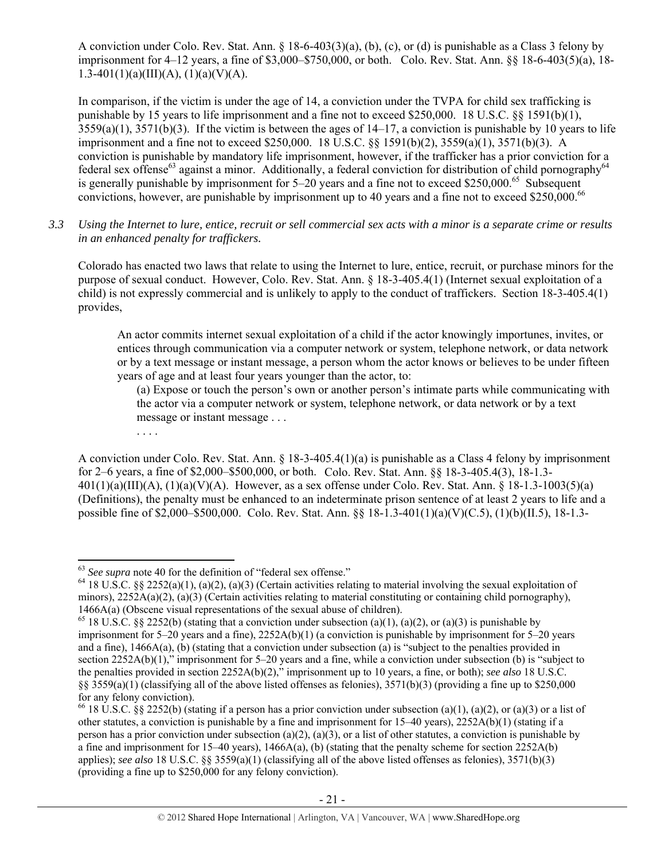A conviction under Colo. Rev. Stat. Ann. § 18-6-403(3)(a), (b), (c), or (d) is punishable as a Class 3 felony by imprisonment for 4–12 years, a fine of \$3,000–\$750,000, or both. Colo. Rev. Stat. Ann. §§ 18-6-403(5)(a), 18-  $1.3-401(1)(a)(III)(A), (1)(a)(V)(A).$ 

In comparison, if the victim is under the age of 14, a conviction under the TVPA for child sex trafficking is punishable by 15 years to life imprisonment and a fine not to exceed \$250,000. 18 U.S.C. §§ 1591(b)(1),  $3559(a)(1)$ ,  $3571(b)(3)$ . If the victim is between the ages of  $14-17$ , a conviction is punishable by 10 years to life imprisonment and a fine not to exceed \$250,000. 18 U.S.C. §§ 1591(b)(2), 3559(a)(1), 3571(b)(3). A conviction is punishable by mandatory life imprisonment, however, if the trafficker has a prior conviction for a federal sex offense<sup>63</sup> against a minor. Additionally, a federal conviction for distribution of child pornography<sup>64</sup> is generally punishable by imprisonment for  $5-20$  years and a fine not to exceed \$250,000.<sup>65</sup> Subsequent convictions, however, are punishable by imprisonment up to 40 years and a fine not to exceed \$250,000.<sup>66</sup>

*3.3 Using the Internet to lure, entice, recruit or sell commercial sex acts with a minor is a separate crime or results in an enhanced penalty for traffickers.* 

Colorado has enacted two laws that relate to using the Internet to lure, entice, recruit, or purchase minors for the purpose of sexual conduct. However, Colo. Rev. Stat. Ann. § 18-3-405.4(1) (Internet sexual exploitation of a child) is not expressly commercial and is unlikely to apply to the conduct of traffickers. Section 18-3-405.4(1) provides,

An actor commits internet sexual exploitation of a child if the actor knowingly importunes, invites, or entices through communication via a computer network or system, telephone network, or data network or by a text message or instant message, a person whom the actor knows or believes to be under fifteen years of age and at least four years younger than the actor, to:

(a) Expose or touch the person's own or another person's intimate parts while communicating with the actor via a computer network or system, telephone network, or data network or by a text message or instant message . . .

. . . .

A conviction under Colo. Rev. Stat. Ann. § 18-3-405.4(1)(a) is punishable as a Class 4 felony by imprisonment for 2–6 years, a fine of \$2,000–\$500,000, or both. Colo. Rev. Stat. Ann. §§ 18-3-405.4(3), 18-1.3-  $401(1)(a)(III)(A)$ ,  $(1)(a)(V)(A)$ . However, as a sex offense under Colo. Rev. Stat. Ann. § 18-1.3-1003(5)(a) (Definitions), the penalty must be enhanced to an indeterminate prison sentence of at least 2 years to life and a possible fine of \$2,000–\$500,000. Colo. Rev. Stat. Ann. §§ 18-1.3-401(1)(a)(V)(C.5), (1)(b)(II.5), 18-1.3-

 $63$  See supra note 40 for the definition of "federal sex offense."

<sup>&</sup>lt;sup>64</sup> 18 U.S.C. §§ 2252(a)(1), (a)(2), (a)(3) (Certain activities relating to material involving the sexual exploitation of minors),  $2252A(a)(2)$ ,  $(a)(3)$  (Certain activities relating to material constituting or containing child pornography), 1466A(a) (Obscene visual representations of the sexual abuse of children).

<sup>&</sup>lt;sup>65</sup> 18 U.S.C. §§ 2252(b) (stating that a conviction under subsection (a)(1), (a)(2), or (a)(3) is punishable by imprisonment for 5–20 years and a fine), 2252A(b)(1) (a conviction is punishable by imprisonment for 5–20 years and a fine), 1466A(a), (b) (stating that a conviction under subsection (a) is "subject to the penalties provided in section 2252A(b)(1)," imprisonment for 5–20 years and a fine, while a conviction under subsection (b) is "subject to the penalties provided in section 2252A(b)(2)," imprisonment up to 10 years, a fine, or both); *see also* 18 U.S.C.  $\S$ § 3559(a)(1) (classifying all of the above listed offenses as felonies), 3571(b)(3) (providing a fine up to \$250,000 for any felony conviction).

<sup>&</sup>lt;sup>66</sup> 18 U.S.C. §§ 2252(b) (stating if a person has a prior conviction under subsection (a)(1), (a)(2), or (a)(3) or a list of other statutes, a conviction is punishable by a fine and imprisonment for  $15-40$  years),  $2252A(b)(1)$  (stating if a person has a prior conviction under subsection (a)(2), (a)(3), or a list of other statutes, a conviction is punishable by a fine and imprisonment for 15–40 years),  $1466A(a)$ , (b) (stating that the penalty scheme for section 2252A(b) applies); *see also* 18 U.S.C. §§ 3559(a)(1) (classifying all of the above listed offenses as felonies), 3571(b)(3) (providing a fine up to \$250,000 for any felony conviction).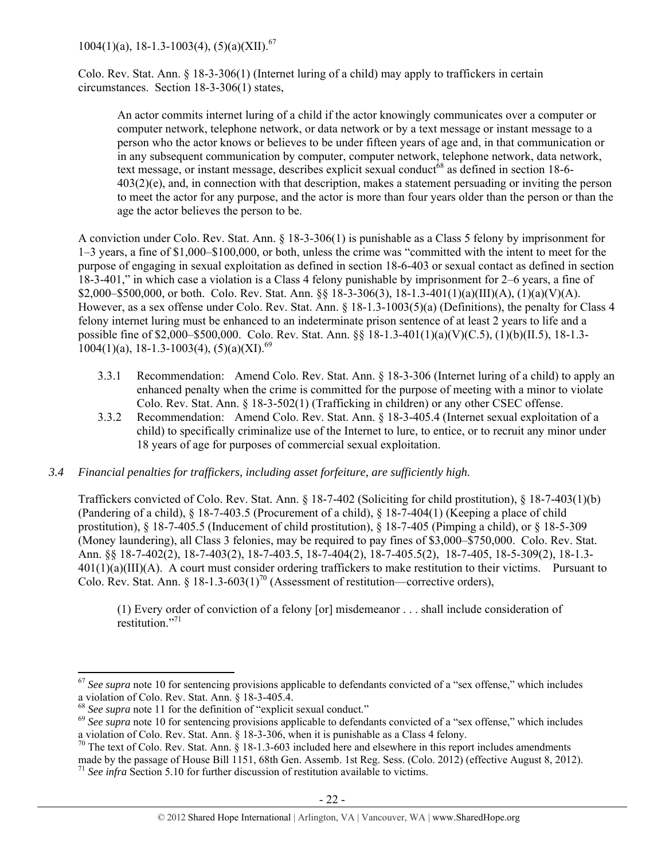$1004(1)(a)$ , 18-1.3-1003(4), (5)(a)(XII).<sup>67</sup>

Colo. Rev. Stat. Ann. § 18-3-306(1) (Internet luring of a child) may apply to traffickers in certain circumstances. Section 18-3-306(1) states,

An actor commits internet luring of a child if the actor knowingly communicates over a computer or computer network, telephone network, or data network or by a text message or instant message to a person who the actor knows or believes to be under fifteen years of age and, in that communication or in any subsequent communication by computer, computer network, telephone network, data network, text message, or instant message, describes explicit sexual conduct<sup>68</sup> as defined in section 18-6-403(2)(e), and, in connection with that description, makes a statement persuading or inviting the person to meet the actor for any purpose, and the actor is more than four years older than the person or than the age the actor believes the person to be.

A conviction under Colo. Rev. Stat. Ann. § 18-3-306(1) is punishable as a Class 5 felony by imprisonment for 1–3 years, a fine of \$1,000–\$100,000, or both, unless the crime was "committed with the intent to meet for the purpose of engaging in sexual exploitation as defined in section 18-6-403 or sexual contact as defined in section 18-3-401," in which case a violation is a Class 4 felony punishable by imprisonment for 2–6 years, a fine of \$2,000–\$500,000, or both. Colo. Rev. Stat. Ann. §§ 18-3-306(3), 18-1.3-401(1)(a)(III)(A), (1)(a)(V)(A). However, as a sex offense under Colo. Rev. Stat. Ann. § 18-1.3-1003(5)(a) (Definitions), the penalty for Class 4 felony internet luring must be enhanced to an indeterminate prison sentence of at least 2 years to life and a possible fine of \$2,000–\$500,000. Colo. Rev. Stat. Ann. §§ 18-1.3-401(1)(a)(V)(C.5), (1)(b)(II.5), 18-1.3-  $1004(1)(a)$ , 18-1.3-1003(4), (5)(a)(XI).<sup>69</sup>

- 3.3.1 Recommendation: Amend Colo. Rev. Stat. Ann. § 18-3-306 (Internet luring of a child) to apply an enhanced penalty when the crime is committed for the purpose of meeting with a minor to violate Colo. Rev. Stat. Ann. § 18-3-502(1) (Trafficking in children) or any other CSEC offense.
- 3.3.2 Recommendation: Amend Colo. Rev. Stat. Ann. § 18-3-405.4 (Internet sexual exploitation of a child) to specifically criminalize use of the Internet to lure, to entice, or to recruit any minor under 18 years of age for purposes of commercial sexual exploitation.

## *3.4 Financial penalties for traffickers, including asset forfeiture, are sufficiently high.*

Traffickers convicted of Colo. Rev. Stat. Ann. § 18-7-402 (Soliciting for child prostitution), § 18-7-403(1)(b) (Pandering of a child), § 18-7-403.5 (Procurement of a child), § 18-7-404(1) (Keeping a place of child prostitution), § 18-7-405.5 (Inducement of child prostitution), § 18-7-405 (Pimping a child), or § 18-5-309 (Money laundering), all Class 3 felonies, may be required to pay fines of \$3,000–\$750,000. Colo. Rev. Stat. Ann. §§ 18-7-402(2), 18-7-403(2), 18-7-403.5, 18-7-404(2), 18-7-405.5(2), 18-7-405, 18-5-309(2), 18-1.3- 401(1)(a)(III)(A). A court must consider ordering traffickers to make restitution to their victims. Pursuant to Colo. Rev. Stat. Ann.  $\delta$  18-1.3-603(1)<sup>70</sup> (Assessment of restitution—corrective orders),

(1) Every order of conviction of a felony [or] misdemeanor . . . shall include consideration of restitution." $71$ 

<sup>&</sup>lt;sup>67</sup> See supra note 10 for sentencing provisions applicable to defendants convicted of a "sex offense," which includes a violation of Colo. Rev. Stat. Ann.  $\S$  18-3-405.4.<br><sup>68</sup> See supra note 11 for the definition of "explicit sexual conduct."

<sup>&</sup>lt;sup>69</sup> See supra note 10 for sentencing provisions applicable to defendants convicted of a "sex offense," which includes a violation of Colo. Rev. Stat. Ann. § 18-3-306, when it is punishable as a Class 4 felony.

<sup>&</sup>lt;sup>70</sup> The text of Colo. Rev. Stat. Ann.  $\tilde{g}$  18-1.3-603 included here and elsewhere in this report includes amendments made by the passage of House Bill 1151, 68th Gen. Assemb. 1st Reg. Sess. (Colo. 2012) (effective Au

 $m<sup>11</sup>$  See infra Section 5.10 for further discussion of restitution available to victims.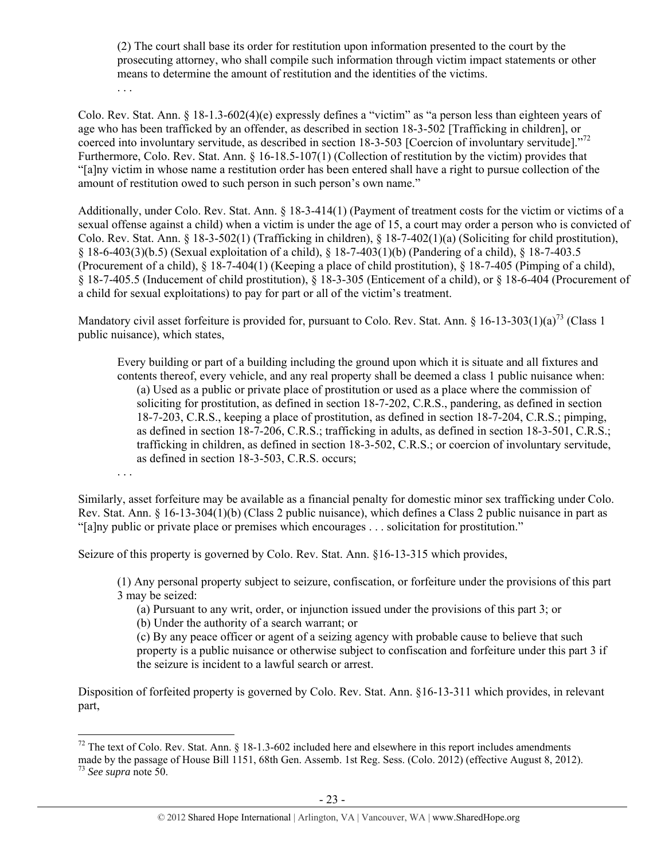(2) The court shall base its order for restitution upon information presented to the court by the prosecuting attorney, who shall compile such information through victim impact statements or other means to determine the amount of restitution and the identities of the victims. . . .

Colo. Rev. Stat. Ann. § 18-1.3-602(4)(e) expressly defines a "victim" as "a person less than eighteen years of age who has been trafficked by an offender, as described in section 18-3-502 [Trafficking in children], or coerced into involuntary servitude, as described in section 18-3-503 [Coercion of involuntary servitude]."<sup>72</sup> Furthermore, Colo. Rev. Stat. Ann. § 16-18.5-107(1) (Collection of restitution by the victim) provides that "[a]ny victim in whose name a restitution order has been entered shall have a right to pursue collection of the amount of restitution owed to such person in such person's own name."

Additionally, under Colo. Rev. Stat. Ann. § 18-3-414(1) (Payment of treatment costs for the victim or victims of a sexual offense against a child) when a victim is under the age of 15, a court may order a person who is convicted of Colo. Rev. Stat. Ann. § 18-3-502(1) (Trafficking in children), § 18-7-402(1)(a) (Soliciting for child prostitution), § 18-6-403(3)(b.5) (Sexual exploitation of a child), § 18-7-403(1)(b) (Pandering of a child), § 18-7-403.5 (Procurement of a child), § 18-7-404(1) (Keeping a place of child prostitution), § 18-7-405 (Pimping of a child), § 18-7-405.5 (Inducement of child prostitution), § 18-3-305 (Enticement of a child), or § 18-6-404 (Procurement of a child for sexual exploitations) to pay for part or all of the victim's treatment.

Mandatory civil asset forfeiture is provided for, pursuant to Colo. Rev. Stat. Ann. § 16-13-303(1)(a)<sup>73</sup> (Class 1 public nuisance), which states,

Every building or part of a building including the ground upon which it is situate and all fixtures and contents thereof, every vehicle, and any real property shall be deemed a class 1 public nuisance when: (a) Used as a public or private place of prostitution or used as a place where the commission of soliciting for prostitution, as defined in section 18-7-202, C.R.S., pandering, as defined in section 18-7-203, C.R.S., keeping a place of prostitution, as defined in section 18-7-204, C.R.S.; pimping, as defined in section 18-7-206, C.R.S.; trafficking in adults, as defined in section 18-3-501, C.R.S.; trafficking in children, as defined in section 18-3-502, C.R.S.; or coercion of involuntary servitude, as defined in section 18-3-503, C.R.S. occurs;

Similarly, asset forfeiture may be available as a financial penalty for domestic minor sex trafficking under Colo. Rev. Stat. Ann. § 16-13-304(1)(b) (Class 2 public nuisance), which defines a Class 2 public nuisance in part as "[a]ny public or private place or premises which encourages . . . solicitation for prostitution."

Seizure of this property is governed by Colo. Rev. Stat. Ann. §16-13-315 which provides,

(1) Any personal property subject to seizure, confiscation, or forfeiture under the provisions of this part 3 may be seized:

(a) Pursuant to any writ, order, or injunction issued under the provisions of this part 3; or

(b) Under the authority of a search warrant; or

. . .

(c) By any peace officer or agent of a seizing agency with probable cause to believe that such property is a public nuisance or otherwise subject to confiscation and forfeiture under this part 3 if the seizure is incident to a lawful search or arrest.

Disposition of forfeited property is governed by Colo. Rev. Stat. Ann. §16-13-311 which provides, in relevant part,

 $^{72}$  The text of Colo. Rev. Stat. Ann. § 18-1.3-602 included here and elsewhere in this report includes amendments made by the passage of House Bill 1151, 68th Gen. Assemb. 1st Reg. Sess. (Colo. 2012) (effective August 8, 2012).<br><sup>73</sup> *See supra* note 50.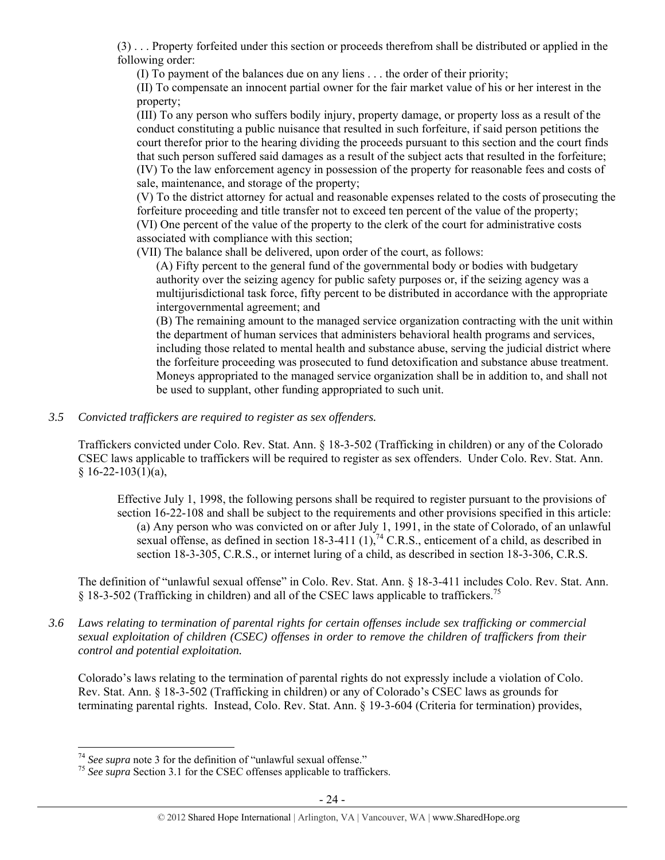(3) . . . Property forfeited under this section or proceeds therefrom shall be distributed or applied in the following order:

(I) To payment of the balances due on any liens . . . the order of their priority;

(II) To compensate an innocent partial owner for the fair market value of his or her interest in the property;

(III) To any person who suffers bodily injury, property damage, or property loss as a result of the conduct constituting a public nuisance that resulted in such forfeiture, if said person petitions the court therefor prior to the hearing dividing the proceeds pursuant to this section and the court finds that such person suffered said damages as a result of the subject acts that resulted in the forfeiture; (IV) To the law enforcement agency in possession of the property for reasonable fees and costs of sale, maintenance, and storage of the property;

(V) To the district attorney for actual and reasonable expenses related to the costs of prosecuting the forfeiture proceeding and title transfer not to exceed ten percent of the value of the property; (VI) One percent of the value of the property to the clerk of the court for administrative costs associated with compliance with this section;

(VII) The balance shall be delivered, upon order of the court, as follows:

(A) Fifty percent to the general fund of the governmental body or bodies with budgetary authority over the seizing agency for public safety purposes or, if the seizing agency was a multijurisdictional task force, fifty percent to be distributed in accordance with the appropriate intergovernmental agreement; and

(B) The remaining amount to the managed service organization contracting with the unit within the department of human services that administers behavioral health programs and services, including those related to mental health and substance abuse, serving the judicial district where the forfeiture proceeding was prosecuted to fund detoxification and substance abuse treatment. Moneys appropriated to the managed service organization shall be in addition to, and shall not be used to supplant, other funding appropriated to such unit.

## *3.5 Convicted traffickers are required to register as sex offenders.*

Traffickers convicted under Colo. Rev. Stat. Ann. § 18-3-502 (Trafficking in children) or any of the Colorado CSEC laws applicable to traffickers will be required to register as sex offenders. Under Colo. Rev. Stat. Ann.  $§ 16-22-103(1)(a),$ 

Effective July 1, 1998, the following persons shall be required to register pursuant to the provisions of section 16-22-108 and shall be subject to the requirements and other provisions specified in this article: (a) Any person who was convicted on or after July 1, 1991, in the state of Colorado, of an unlawful sexual offense, as defined in section  $18-3-411$   $(1)$ ,  $^{74}$  C.R.S., enticement of a child, as described in section 18-3-305, C.R.S., or internet luring of a child, as described in section 18-3-306, C.R.S.

The definition of "unlawful sexual offense" in Colo. Rev. Stat. Ann. § 18-3-411 includes Colo. Rev. Stat. Ann.  $§$  18-3-502 (Trafficking in children) and all of the CSEC laws applicable to traffickers.<sup>75</sup>

*3.6 Laws relating to termination of parental rights for certain offenses include sex trafficking or commercial sexual exploitation of children (CSEC) offenses in order to remove the children of traffickers from their control and potential exploitation.* 

Colorado's laws relating to the termination of parental rights do not expressly include a violation of Colo. Rev. Stat. Ann. § 18-3-502 (Trafficking in children) or any of Colorado's CSEC laws as grounds for terminating parental rights. Instead, Colo. Rev. Stat. Ann. § 19-3-604 (Criteria for termination) provides,

 $74$  See supra note 3 for the definition of "unlawful sexual offense."

<sup>&</sup>lt;sup>75</sup> See supra Section 3.1 for the CSEC offenses applicable to traffickers.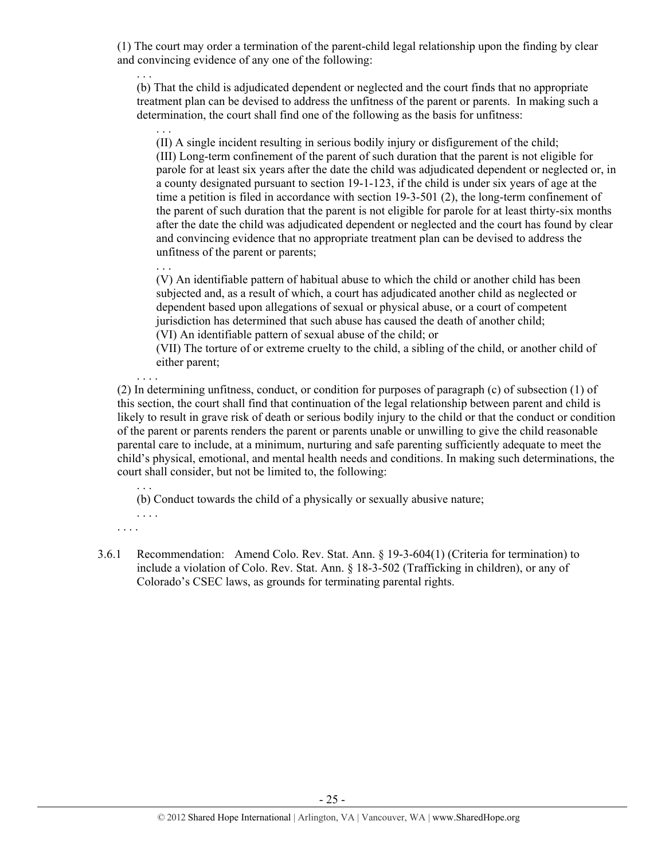(1) The court may order a termination of the parent-child legal relationship upon the finding by clear and convincing evidence of any one of the following:

. . . (b) That the child is adjudicated dependent or neglected and the court finds that no appropriate treatment plan can be devised to address the unfitness of the parent or parents. In making such a determination, the court shall find one of the following as the basis for unfitness:

. . . (II) A single incident resulting in serious bodily injury or disfigurement of the child; (III) Long-term confinement of the parent of such duration that the parent is not eligible for parole for at least six years after the date the child was adjudicated dependent or neglected or, in a county designated pursuant to section 19-1-123, if the child is under six years of age at the time a petition is filed in accordance with section 19-3-501 (2), the long-term confinement of the parent of such duration that the parent is not eligible for parole for at least thirty-six months after the date the child was adjudicated dependent or neglected and the court has found by clear and convincing evidence that no appropriate treatment plan can be devised to address the unfitness of the parent or parents;

(V) An identifiable pattern of habitual abuse to which the child or another child has been subjected and, as a result of which, a court has adjudicated another child as neglected or dependent based upon allegations of sexual or physical abuse, or a court of competent jurisdiction has determined that such abuse has caused the death of another child; (VI) An identifiable pattern of sexual abuse of the child; or

(VII) The torture of or extreme cruelty to the child, a sibling of the child, or another child of either parent;

. . . . (2) In determining unfitness, conduct, or condition for purposes of paragraph (c) of subsection (1) of this section, the court shall find that continuation of the legal relationship between parent and child is likely to result in grave risk of death or serious bodily injury to the child or that the conduct or condition of the parent or parents renders the parent or parents unable or unwilling to give the child reasonable parental care to include, at a minimum, nurturing and safe parenting sufficiently adequate to meet the child's physical, emotional, and mental health needs and conditions. In making such determinations, the court shall consider, but not be limited to, the following:

(b) Conduct towards the child of a physically or sexually abusive nature;

. . . . . . . .

. . .

. . .

3.6.1 Recommendation: Amend Colo. Rev. Stat. Ann. § 19-3-604(1) (Criteria for termination) to include a violation of Colo. Rev. Stat. Ann. § 18-3-502 (Trafficking in children), or any of Colorado's CSEC laws, as grounds for terminating parental rights.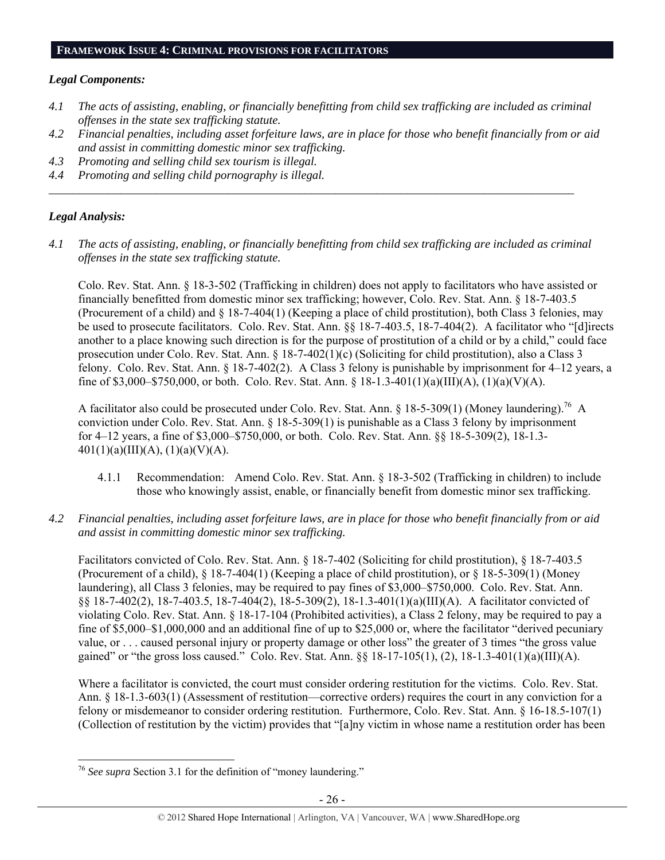## *Legal Components:*

- *4.1 The acts of assisting, enabling, or financially benefitting from child sex trafficking are included as criminal offenses in the state sex trafficking statute.*
- *4.2 Financial penalties, including asset forfeiture laws, are in place for those who benefit financially from or aid and assist in committing domestic minor sex trafficking.*
- *4.3 Promoting and selling child sex tourism is illegal.*
- *4.4 Promoting and selling child pornography is illegal.*

## *Legal Analysis:*

*4.1 The acts of assisting, enabling, or financially benefitting from child sex trafficking are included as criminal offenses in the state sex trafficking statute.* 

*\_\_\_\_\_\_\_\_\_\_\_\_\_\_\_\_\_\_\_\_\_\_\_\_\_\_\_\_\_\_\_\_\_\_\_\_\_\_\_\_\_\_\_\_\_\_\_\_\_\_\_\_\_\_\_\_\_\_\_\_\_\_\_\_\_\_\_\_\_\_\_\_\_\_\_\_\_\_\_\_\_\_\_\_\_\_\_\_* 

Colo. Rev. Stat. Ann. § 18-3-502 (Trafficking in children) does not apply to facilitators who have assisted or financially benefitted from domestic minor sex trafficking; however, Colo. Rev. Stat. Ann. § 18-7-403.5 (Procurement of a child) and § 18-7-404(1) (Keeping a place of child prostitution), both Class 3 felonies, may be used to prosecute facilitators. Colo. Rev. Stat. Ann. §§ 18-7-403.5, 18-7-404(2). A facilitator who "[d]irects another to a place knowing such direction is for the purpose of prostitution of a child or by a child," could face prosecution under Colo. Rev. Stat. Ann. § 18-7-402(1)(c) (Soliciting for child prostitution), also a Class 3 felony. Colo. Rev. Stat. Ann. § 18-7-402(2). A Class 3 felony is punishable by imprisonment for 4–12 years, a fine of \$3,000–\$750,000, or both. Colo. Rev. Stat. Ann. § 18-1.3-401(1)(a)(III)(A), (1)(a)(V)(A).

A facilitator also could be prosecuted under Colo. Rev. Stat. Ann. § 18-5-309(1) (Money laundering).<sup>76</sup> A conviction under Colo. Rev. Stat. Ann. § 18-5-309(1) is punishable as a Class 3 felony by imprisonment for 4–12 years, a fine of \$3,000–\$750,000, or both. Colo. Rev. Stat. Ann. §§ 18-5-309(2), 18-1.3-  $401(1)(a)(III)(A), (1)(a)(V)(A).$ 

- 4.1.1 Recommendation: Amend Colo. Rev. Stat. Ann. § 18-3-502 (Trafficking in children) to include those who knowingly assist, enable, or financially benefit from domestic minor sex trafficking.
- *4.2 Financial penalties, including asset forfeiture laws, are in place for those who benefit financially from or aid and assist in committing domestic minor sex trafficking.*

Facilitators convicted of Colo. Rev. Stat. Ann. § 18-7-402 (Soliciting for child prostitution), § 18-7-403.5 (Procurement of a child), § 18-7-404(1) (Keeping a place of child prostitution), or § 18-5-309(1) (Money laundering), all Class 3 felonies, may be required to pay fines of \$3,000–\$750,000. Colo. Rev. Stat. Ann. §§ 18-7-402(2), 18-7-403.5, 18-7-404(2), 18-5-309(2), 18-1.3-401(1)(a)(III)(A). A facilitator convicted of violating Colo. Rev. Stat. Ann. § 18-17-104 (Prohibited activities), a Class 2 felony, may be required to pay a fine of \$5,000–\$1,000,000 and an additional fine of up to \$25,000 or, where the facilitator "derived pecuniary value, or . . . caused personal injury or property damage or other loss" the greater of 3 times "the gross value gained" or "the gross loss caused." Colo. Rev. Stat. Ann. §§ 18-17-105(1), (2), 18-1.3-401(1)(a)(III)(A).

Where a facilitator is convicted, the court must consider ordering restitution for the victims. Colo. Rev. Stat. Ann. § 18-1.3-603(1) (Assessment of restitution—corrective orders) requires the court in any conviction for a felony or misdemeanor to consider ordering restitution. Furthermore, Colo. Rev. Stat. Ann. § 16-18.5-107(1) (Collection of restitution by the victim) provides that "[a]ny victim in whose name a restitution order has been

<sup>76</sup> *See supra* Section 3.1 for the definition of "money laundering."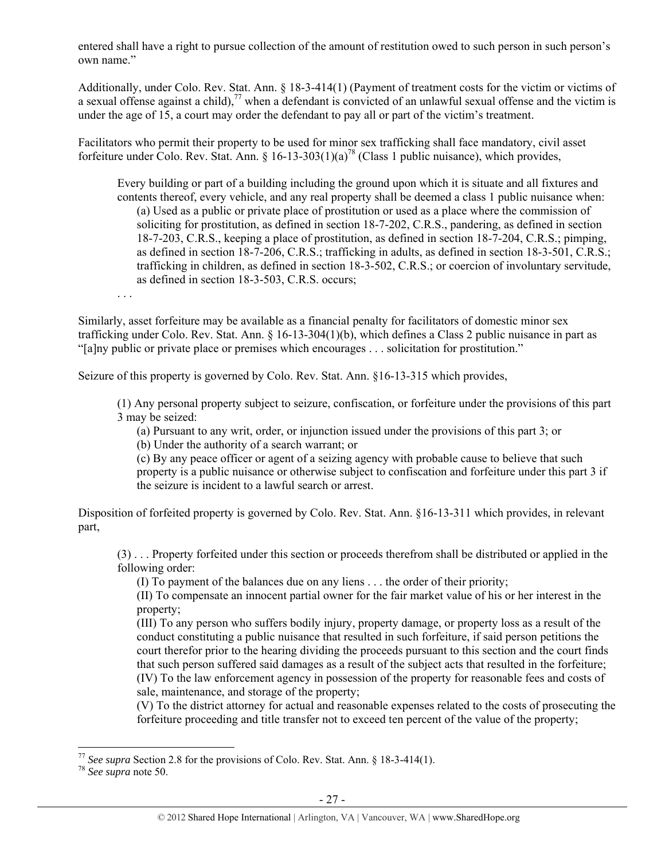entered shall have a right to pursue collection of the amount of restitution owed to such person in such person's own name."

Additionally, under Colo. Rev. Stat. Ann. § 18-3-414(1) (Payment of treatment costs for the victim or victims of a sexual offense against a child),<sup>77</sup> when a defendant is convicted of an unlawful sexual offense and the victim is under the age of 15, a court may order the defendant to pay all or part of the victim's treatment.

Facilitators who permit their property to be used for minor sex trafficking shall face mandatory, civil asset forfeiture under Colo. Rev. Stat. Ann. § 16-13-303(1)(a)<sup>78</sup> (Class 1 public nuisance), which provides,

Every building or part of a building including the ground upon which it is situate and all fixtures and contents thereof, every vehicle, and any real property shall be deemed a class 1 public nuisance when: (a) Used as a public or private place of prostitution or used as a place where the commission of soliciting for prostitution, as defined in section 18-7-202, C.R.S., pandering, as defined in section 18-7-203, C.R.S., keeping a place of prostitution, as defined in section 18-7-204, C.R.S.; pimping, as defined in section 18-7-206, C.R.S.; trafficking in adults, as defined in section 18-3-501, C.R.S.; trafficking in children, as defined in section 18-3-502, C.R.S.; or coercion of involuntary servitude, as defined in section 18-3-503, C.R.S. occurs;

. . .

Similarly, asset forfeiture may be available as a financial penalty for facilitators of domestic minor sex trafficking under Colo. Rev. Stat. Ann. § 16-13-304(1)(b), which defines a Class 2 public nuisance in part as "[a]ny public or private place or premises which encourages . . . solicitation for prostitution."

Seizure of this property is governed by Colo. Rev. Stat. Ann. §16-13-315 which provides,

(1) Any personal property subject to seizure, confiscation, or forfeiture under the provisions of this part 3 may be seized:

(a) Pursuant to any writ, order, or injunction issued under the provisions of this part 3; or

(b) Under the authority of a search warrant; or

(c) By any peace officer or agent of a seizing agency with probable cause to believe that such property is a public nuisance or otherwise subject to confiscation and forfeiture under this part 3 if the seizure is incident to a lawful search or arrest.

Disposition of forfeited property is governed by Colo. Rev. Stat. Ann. §16-13-311 which provides, in relevant part,

(3) . . . Property forfeited under this section or proceeds therefrom shall be distributed or applied in the following order:

(I) To payment of the balances due on any liens . . . the order of their priority;

(II) To compensate an innocent partial owner for the fair market value of his or her interest in the property;

(III) To any person who suffers bodily injury, property damage, or property loss as a result of the conduct constituting a public nuisance that resulted in such forfeiture, if said person petitions the court therefor prior to the hearing dividing the proceeds pursuant to this section and the court finds that such person suffered said damages as a result of the subject acts that resulted in the forfeiture; (IV) To the law enforcement agency in possession of the property for reasonable fees and costs of sale, maintenance, and storage of the property;

(V) To the district attorney for actual and reasonable expenses related to the costs of prosecuting the forfeiture proceeding and title transfer not to exceed ten percent of the value of the property;

<sup>77</sup> *See supra* Section 2.8 for the provisions of Colo. Rev. Stat. Ann. § 18-3-414(1). 78 *See supra* note 50.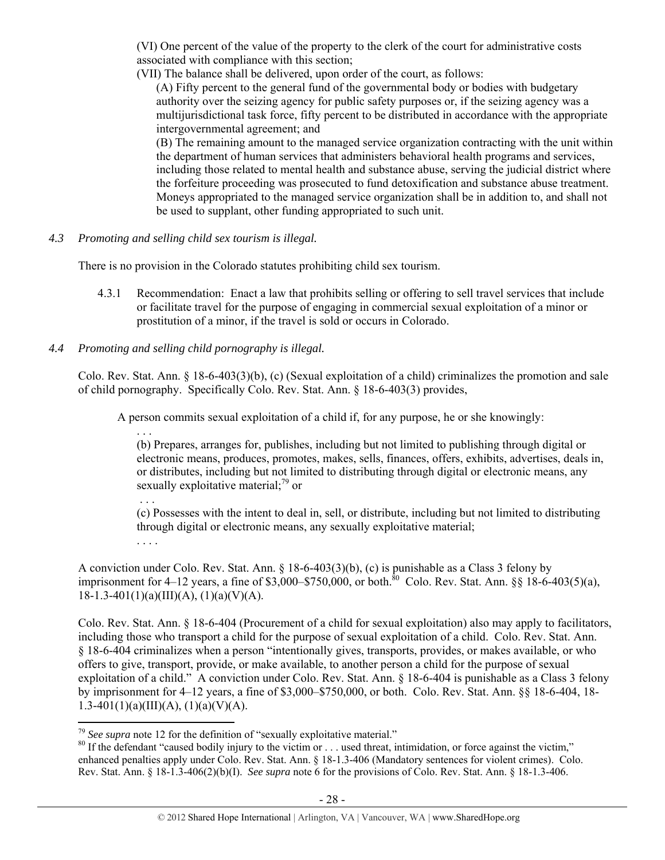(VI) One percent of the value of the property to the clerk of the court for administrative costs associated with compliance with this section;

(VII) The balance shall be delivered, upon order of the court, as follows:

(A) Fifty percent to the general fund of the governmental body or bodies with budgetary authority over the seizing agency for public safety purposes or, if the seizing agency was a multijurisdictional task force, fifty percent to be distributed in accordance with the appropriate intergovernmental agreement; and

(B) The remaining amount to the managed service organization contracting with the unit within the department of human services that administers behavioral health programs and services, including those related to mental health and substance abuse, serving the judicial district where the forfeiture proceeding was prosecuted to fund detoxification and substance abuse treatment. Moneys appropriated to the managed service organization shall be in addition to, and shall not be used to supplant, other funding appropriated to such unit.

*4.3 Promoting and selling child sex tourism is illegal.* 

There is no provision in the Colorado statutes prohibiting child sex tourism.

- 4.3.1 Recommendation: Enact a law that prohibits selling or offering to sell travel services that include or facilitate travel for the purpose of engaging in commercial sexual exploitation of a minor or prostitution of a minor, if the travel is sold or occurs in Colorado.
- *4.4 Promoting and selling child pornography is illegal.*

Colo. Rev. Stat. Ann. § 18-6-403(3)(b), (c) (Sexual exploitation of a child) criminalizes the promotion and sale of child pornography. Specifically Colo. Rev. Stat. Ann. § 18-6-403(3) provides,

A person commits sexual exploitation of a child if, for any purpose, he or she knowingly:

. . . (b) Prepares, arranges for, publishes, including but not limited to publishing through digital or electronic means, produces, promotes, makes, sells, finances, offers, exhibits, advertises, deals in, or distributes, including but not limited to distributing through digital or electronic means, any sexually exploitative material;<sup>79</sup> or

 . . . (c) Possesses with the intent to deal in, sell, or distribute, including but not limited to distributing through digital or electronic means, any sexually exploitative material; . . . .

A conviction under Colo. Rev. Stat. Ann. § 18-6-403(3)(b), (c) is punishable as a Class 3 felony by imprisonment for 4–12 years, a fine of \$3,000–\$750,000, or both.<sup>80</sup> Colo. Rev. Stat. Ann. §§ 18-6-403(5)(a),  $18-1.3-401(1)(a)(III)(A), (1)(a)(V)(A).$ 

Colo. Rev. Stat. Ann. § 18-6-404 (Procurement of a child for sexual exploitation) also may apply to facilitators, including those who transport a child for the purpose of sexual exploitation of a child. Colo. Rev. Stat. Ann. § 18-6-404 criminalizes when a person "intentionally gives, transports, provides, or makes available, or who offers to give, transport, provide, or make available, to another person a child for the purpose of sexual exploitation of a child." A conviction under Colo. Rev. Stat. Ann. § 18-6-404 is punishable as a Class 3 felony by imprisonment for 4–12 years, a fine of \$3,000–\$750,000, or both. Colo. Rev. Stat. Ann. §§ 18-6-404, 18-  $1.3-401(1)(a)(III)(A), (1)(a)(V)(A).$ 

 $79$  See supra note 12 for the definition of "sexually exploitative material."

<sup>&</sup>lt;sup>80</sup> If the defendant "caused bodily injury to the victim or . . . used threat, intimidation, or force against the victim," enhanced penalties apply under Colo. Rev. Stat. Ann. § 18-1.3-406 (Mandatory sentences for violent crimes). Colo. Rev. Stat. Ann. § 18-1.3-406(2)(b)(I). *See supra* note 6 for the provisions of Colo. Rev. Stat. Ann. § 18-1.3-406.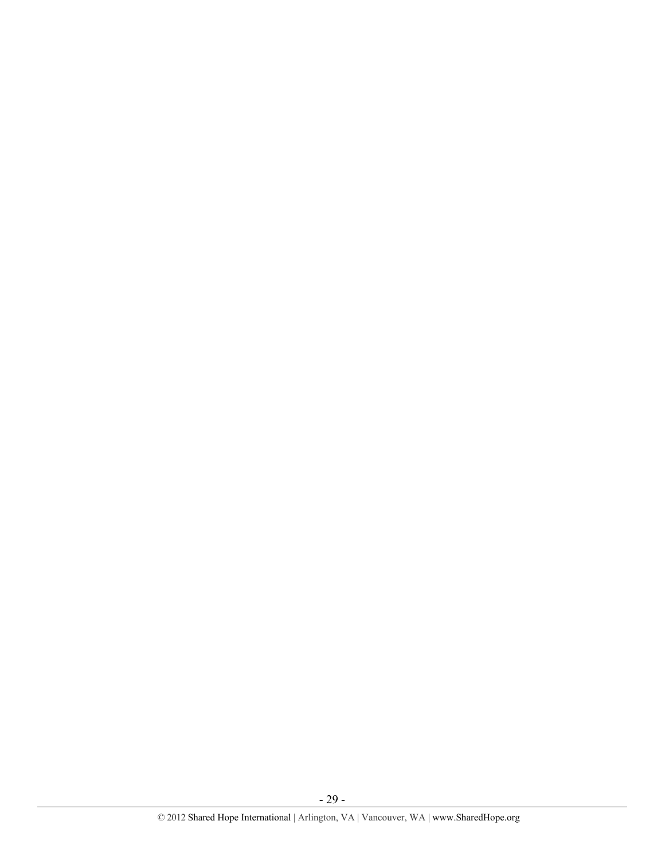## © 2012 Shared Hope International | Arlington, VA | Vancouver, WA | www.SharedHope.org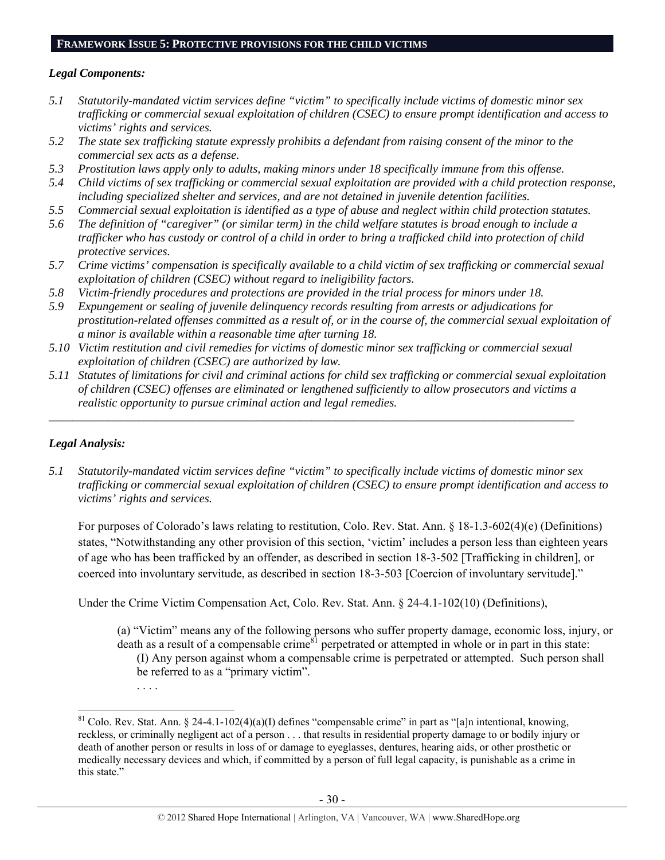## **FRAMEWORK ISSUE 5: PROTECTIVE PROVISIONS FOR THE CHILD VICTIMS**

## *Legal Components:*

- *5.1 Statutorily-mandated victim services define "victim" to specifically include victims of domestic minor sex trafficking or commercial sexual exploitation of children (CSEC) to ensure prompt identification and access to victims' rights and services.*
- *5.2 The state sex trafficking statute expressly prohibits a defendant from raising consent of the minor to the commercial sex acts as a defense.*
- *5.3 Prostitution laws apply only to adults, making minors under 18 specifically immune from this offense.*
- *5.4 Child victims of sex trafficking or commercial sexual exploitation are provided with a child protection response, including specialized shelter and services, and are not detained in juvenile detention facilities.*
- *5.5 Commercial sexual exploitation is identified as a type of abuse and neglect within child protection statutes.*
- *5.6 The definition of "caregiver" (or similar term) in the child welfare statutes is broad enough to include a trafficker who has custody or control of a child in order to bring a trafficked child into protection of child protective services.*
- *5.7 Crime victims' compensation is specifically available to a child victim of sex trafficking or commercial sexual exploitation of children (CSEC) without regard to ineligibility factors.*
- *5.8 Victim-friendly procedures and protections are provided in the trial process for minors under 18.*
- *5.9 Expungement or sealing of juvenile delinquency records resulting from arrests or adjudications for prostitution-related offenses committed as a result of, or in the course of, the commercial sexual exploitation of a minor is available within a reasonable time after turning 18.*
- *5.10 Victim restitution and civil remedies for victims of domestic minor sex trafficking or commercial sexual exploitation of children (CSEC) are authorized by law.*

*\_\_\_\_\_\_\_\_\_\_\_\_\_\_\_\_\_\_\_\_\_\_\_\_\_\_\_\_\_\_\_\_\_\_\_\_\_\_\_\_\_\_\_\_\_\_\_\_\_\_\_\_\_\_\_\_\_\_\_\_\_\_\_\_\_\_\_\_\_\_\_\_\_\_\_\_\_\_\_\_\_\_\_\_\_\_\_\_* 

*5.11 Statutes of limitations for civil and criminal actions for child sex trafficking or commercial sexual exploitation of children (CSEC) offenses are eliminated or lengthened sufficiently to allow prosecutors and victims a realistic opportunity to pursue criminal action and legal remedies.* 

## *Legal Analysis:*

*5.1 Statutorily-mandated victim services define "victim" to specifically include victims of domestic minor sex trafficking or commercial sexual exploitation of children (CSEC) to ensure prompt identification and access to victims' rights and services.* 

For purposes of Colorado's laws relating to restitution, Colo. Rev. Stat. Ann. § 18-1.3-602(4)(e) (Definitions) states, "Notwithstanding any other provision of this section, 'victim' includes a person less than eighteen years of age who has been trafficked by an offender, as described in section 18-3-502 [Trafficking in children], or coerced into involuntary servitude, as described in section 18-3-503 [Coercion of involuntary servitude]."

Under the Crime Victim Compensation Act, Colo. Rev. Stat. Ann. § 24-4.1-102(10) (Definitions),

(a) "Victim" means any of the following persons who suffer property damage, economic loss, injury, or death as a result of a compensable crime $81$  perpetrated or attempted in whole or in part in this state: (I) Any person against whom a compensable crime is perpetrated or attempted. Such person shall be referred to as a "primary victim". . . . .

<sup>&</sup>lt;sup>81</sup> Colo. Rev. Stat. Ann. § 24-4.1-102(4)(a)(I) defines "compensable crime" in part as "[a]n intentional, knowing, reckless, or criminally negligent act of a person . . . that results in residential property damage to or bodily injury or death of another person or results in loss of or damage to eyeglasses, dentures, hearing aids, or other prosthetic or medically necessary devices and which, if committed by a person of full legal capacity, is punishable as a crime in this state."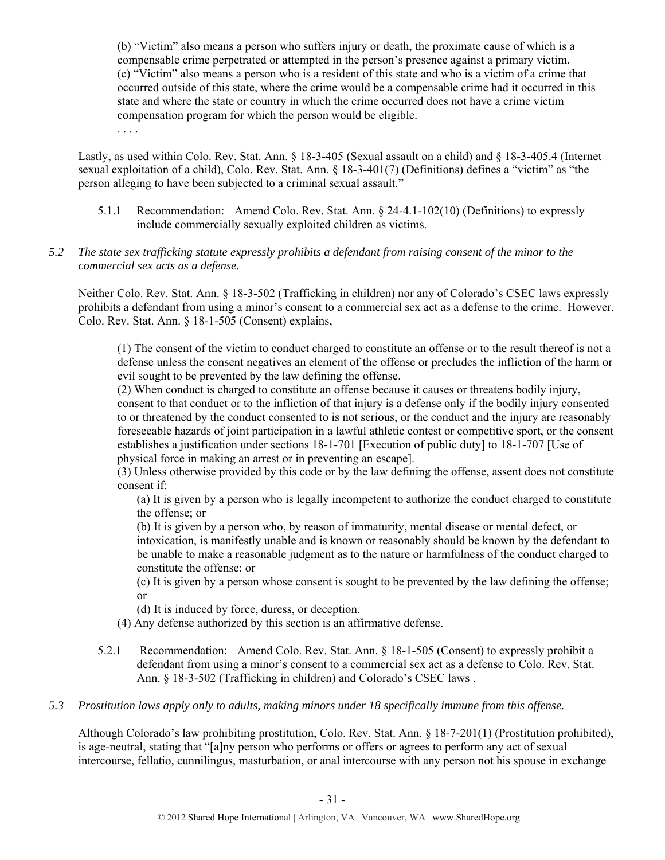(b) "Victim" also means a person who suffers injury or death, the proximate cause of which is a compensable crime perpetrated or attempted in the person's presence against a primary victim. (c) "Victim" also means a person who is a resident of this state and who is a victim of a crime that occurred outside of this state, where the crime would be a compensable crime had it occurred in this state and where the state or country in which the crime occurred does not have a crime victim compensation program for which the person would be eligible.

Lastly, as used within Colo. Rev. Stat. Ann. § 18-3-405 (Sexual assault on a child) and § 18-3-405.4 (Internet sexual exploitation of a child), Colo. Rev. Stat. Ann. § 18-3-401(7) (Definitions) defines a "victim" as "the person alleging to have been subjected to a criminal sexual assault."

- 5.1.1 Recommendation: Amend Colo. Rev. Stat. Ann. § 24-4.1-102(10) (Definitions) to expressly include commercially sexually exploited children as victims.
- *5.2 The state sex trafficking statute expressly prohibits a defendant from raising consent of the minor to the commercial sex acts as a defense.*

. . . .

Neither Colo. Rev. Stat. Ann. § 18-3-502 (Trafficking in children) nor any of Colorado's CSEC laws expressly prohibits a defendant from using a minor's consent to a commercial sex act as a defense to the crime. However, Colo. Rev. Stat. Ann. § 18-1-505 (Consent) explains,

(1) The consent of the victim to conduct charged to constitute an offense or to the result thereof is not a defense unless the consent negatives an element of the offense or precludes the infliction of the harm or evil sought to be prevented by the law defining the offense.

(2) When conduct is charged to constitute an offense because it causes or threatens bodily injury, consent to that conduct or to the infliction of that injury is a defense only if the bodily injury consented to or threatened by the conduct consented to is not serious, or the conduct and the injury are reasonably foreseeable hazards of joint participation in a lawful athletic contest or competitive sport, or the consent establishes a justification under sections 18-1-701 [Execution of public duty] to 18-1-707 [Use of physical force in making an arrest or in preventing an escape].

(3) Unless otherwise provided by this code or by the law defining the offense, assent does not constitute consent if:

(a) It is given by a person who is legally incompetent to authorize the conduct charged to constitute the offense; or

(b) It is given by a person who, by reason of immaturity, mental disease or mental defect, or intoxication, is manifestly unable and is known or reasonably should be known by the defendant to be unable to make a reasonable judgment as to the nature or harmfulness of the conduct charged to constitute the offense; or

(c) It is given by a person whose consent is sought to be prevented by the law defining the offense; or

- (d) It is induced by force, duress, or deception.
- (4) Any defense authorized by this section is an affirmative defense.
- 5.2.1 Recommendation: Amend Colo. Rev. Stat. Ann. § 18-1-505 (Consent) to expressly prohibit a defendant from using a minor's consent to a commercial sex act as a defense to Colo. Rev. Stat. Ann. § 18-3-502 (Trafficking in children) and Colorado's CSEC laws.

## *5.3 Prostitution laws apply only to adults, making minors under 18 specifically immune from this offense.*

Although Colorado's law prohibiting prostitution, Colo. Rev. Stat. Ann. § 18-7-201(1) (Prostitution prohibited), is age-neutral, stating that "[a]ny person who performs or offers or agrees to perform any act of sexual intercourse, fellatio, cunnilingus, masturbation, or anal intercourse with any person not his spouse in exchange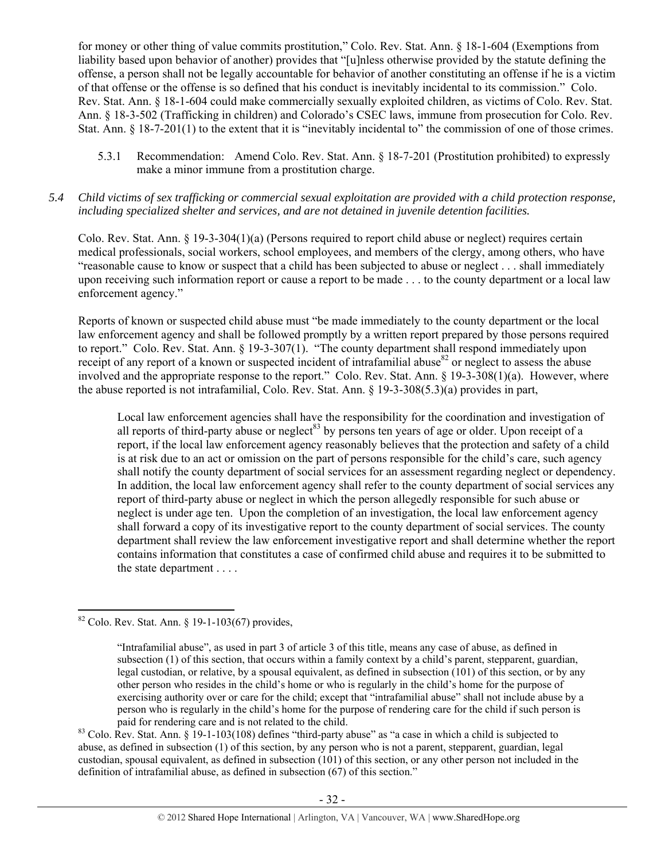for money or other thing of value commits prostitution," Colo. Rev. Stat. Ann. § 18-1-604 (Exemptions from liability based upon behavior of another) provides that "[u]nless otherwise provided by the statute defining the offense, a person shall not be legally accountable for behavior of another constituting an offense if he is a victim of that offense or the offense is so defined that his conduct is inevitably incidental to its commission." Colo. Rev. Stat. Ann. § 18-1-604 could make commercially sexually exploited children, as victims of Colo. Rev. Stat. Ann. § 18-3-502 (Trafficking in children) and Colorado's CSEC laws, immune from prosecution for Colo. Rev. Stat. Ann. § 18-7-201(1) to the extent that it is "inevitably incidental to" the commission of one of those crimes.

5.3.1 Recommendation: Amend Colo. Rev. Stat. Ann. § 18-7-201 (Prostitution prohibited) to expressly make a minor immune from a prostitution charge.

## *5.4 Child victims of sex trafficking or commercial sexual exploitation are provided with a child protection response, including specialized shelter and services, and are not detained in juvenile detention facilities.*

Colo. Rev. Stat. Ann.  $\S 19-3-304(1)(a)$  (Persons required to report child abuse or neglect) requires certain medical professionals, social workers, school employees, and members of the clergy, among others, who have "reasonable cause to know or suspect that a child has been subjected to abuse or neglect . . . shall immediately upon receiving such information report or cause a report to be made . . . to the county department or a local law enforcement agency."

Reports of known or suspected child abuse must "be made immediately to the county department or the local law enforcement agency and shall be followed promptly by a written report prepared by those persons required to report." Colo. Rev. Stat. Ann. § 19-3-307(1). "The county department shall respond immediately upon receipt of any report of a known or suspected incident of intrafamilial abuse $82$  or neglect to assess the abuse involved and the appropriate response to the report." Colo. Rev. Stat. Ann. § 19-3-308(1)(a). However, where the abuse reported is not intrafamilial, Colo. Rev. Stat. Ann. § 19-3-308(5.3)(a) provides in part,

Local law enforcement agencies shall have the responsibility for the coordination and investigation of all reports of third-party abuse or neglect<sup>83</sup> by persons ten years of age or older. Upon receipt of a report, if the local law enforcement agency reasonably believes that the protection and safety of a child is at risk due to an act or omission on the part of persons responsible for the child's care, such agency shall notify the county department of social services for an assessment regarding neglect or dependency. In addition, the local law enforcement agency shall refer to the county department of social services any report of third-party abuse or neglect in which the person allegedly responsible for such abuse or neglect is under age ten. Upon the completion of an investigation, the local law enforcement agency shall forward a copy of its investigative report to the county department of social services. The county department shall review the law enforcement investigative report and shall determine whether the report contains information that constitutes a case of confirmed child abuse and requires it to be submitted to the state department . . . .

paid for rendering care and is not related to the child.<br><sup>83</sup> Colo. Rev. Stat. Ann. § 19-1-103(108) defines "third-party abuse" as "a case in which a child is subjected to abuse, as defined in subsection (1) of this section, by any person who is not a parent, stepparent, guardian, legal custodian, spousal equivalent, as defined in subsection  $(101)$  of this section, or any other person not included in the definition of intrafamilial abuse, as defined in subsection (67) of this section."

  $82$  Colo. Rev. Stat. Ann. § 19-1-103(67) provides,

<sup>&</sup>quot;Intrafamilial abuse", as used in part 3 of article 3 of this title, means any case of abuse, as defined in subsection (1) of this section, that occurs within a family context by a child's parent, stepparent, guardian, legal custodian, or relative, by a spousal equivalent, as defined in subsection (101) of this section, or by any other person who resides in the child's home or who is regularly in the child's home for the purpose of exercising authority over or care for the child; except that "intrafamilial abuse" shall not include abuse by a person who is regularly in the child's home for the purpose of rendering care for the child if such person is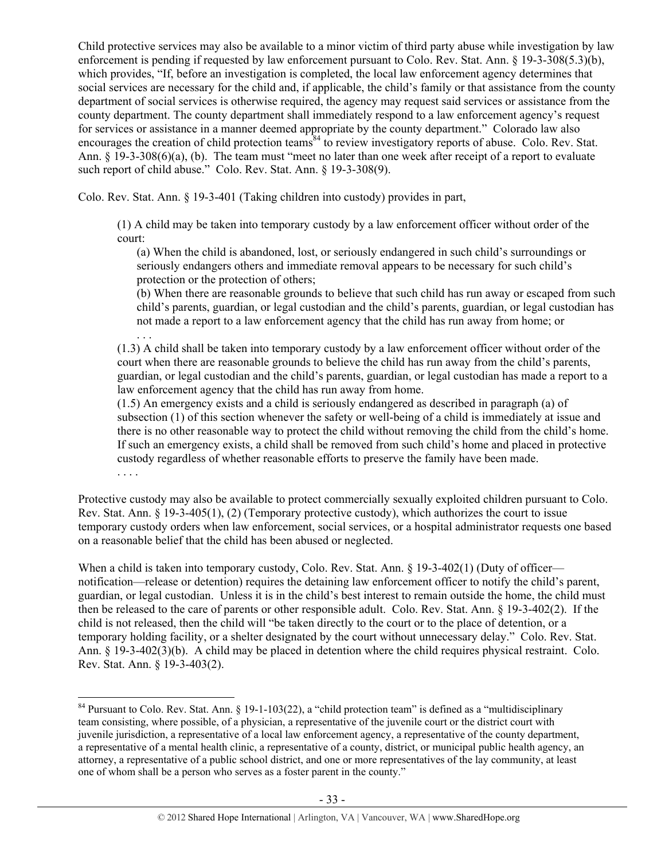Child protective services may also be available to a minor victim of third party abuse while investigation by law enforcement is pending if requested by law enforcement pursuant to Colo. Rev. Stat. Ann. § 19-3-308(5.3)(b), which provides, "If, before an investigation is completed, the local law enforcement agency determines that social services are necessary for the child and, if applicable, the child's family or that assistance from the county department of social services is otherwise required, the agency may request said services or assistance from the county department. The county department shall immediately respond to a law enforcement agency's request for services or assistance in a manner deemed appropriate by the county department." Colorado law also encourages the creation of child protection teams<sup>84</sup> to review investigatory reports of abuse. Colo. Rev. Stat. Ann. § 19-3-308(6)(a), (b). The team must "meet no later than one week after receipt of a report to evaluate such report of child abuse." Colo. Rev. Stat. Ann. § 19-3-308(9).

Colo. Rev. Stat. Ann. § 19-3-401 (Taking children into custody) provides in part,

. . .

(1) A child may be taken into temporary custody by a law enforcement officer without order of the court:

(a) When the child is abandoned, lost, or seriously endangered in such child's surroundings or seriously endangers others and immediate removal appears to be necessary for such child's protection or the protection of others;

(b) When there are reasonable grounds to believe that such child has run away or escaped from such child's parents, guardian, or legal custodian and the child's parents, guardian, or legal custodian has not made a report to a law enforcement agency that the child has run away from home; or

(1.3) A child shall be taken into temporary custody by a law enforcement officer without order of the court when there are reasonable grounds to believe the child has run away from the child's parents, guardian, or legal custodian and the child's parents, guardian, or legal custodian has made a report to a law enforcement agency that the child has run away from home.

(1.5) An emergency exists and a child is seriously endangered as described in paragraph (a) of subsection (1) of this section whenever the safety or well-being of a child is immediately at issue and there is no other reasonable way to protect the child without removing the child from the child's home. If such an emergency exists, a child shall be removed from such child's home and placed in protective custody regardless of whether reasonable efforts to preserve the family have been made. . . . .

Protective custody may also be available to protect commercially sexually exploited children pursuant to Colo. Rev. Stat. Ann. § 19-3-405(1), (2) (Temporary protective custody), which authorizes the court to issue temporary custody orders when law enforcement, social services, or a hospital administrator requests one based on a reasonable belief that the child has been abused or neglected.

When a child is taken into temporary custody, Colo. Rev. Stat. Ann. § 19-3-402(1) (Duty of officer notification—release or detention) requires the detaining law enforcement officer to notify the child's parent, guardian, or legal custodian. Unless it is in the child's best interest to remain outside the home, the child must then be released to the care of parents or other responsible adult. Colo. Rev. Stat. Ann. § 19-3-402(2). If the child is not released, then the child will "be taken directly to the court or to the place of detention, or a temporary holding facility, or a shelter designated by the court without unnecessary delay." Colo. Rev. Stat. Ann. § 19-3-402(3)(b). A child may be placed in detention where the child requires physical restraint. Colo. Rev. Stat. Ann. § 19-3-403(2).

 $84$  Pursuant to Colo. Rev. Stat. Ann. § 19-1-103(22), a "child protection team" is defined as a "multidisciplinary team consisting, where possible, of a physician, a representative of the juvenile court or the district court with juvenile jurisdiction, a representative of a local law enforcement agency, a representative of the county department, a representative of a mental health clinic, a representative of a county, district, or municipal public health agency, an attorney, a representative of a public school district, and one or more representatives of the lay community, at least one of whom shall be a person who serves as a foster parent in the county."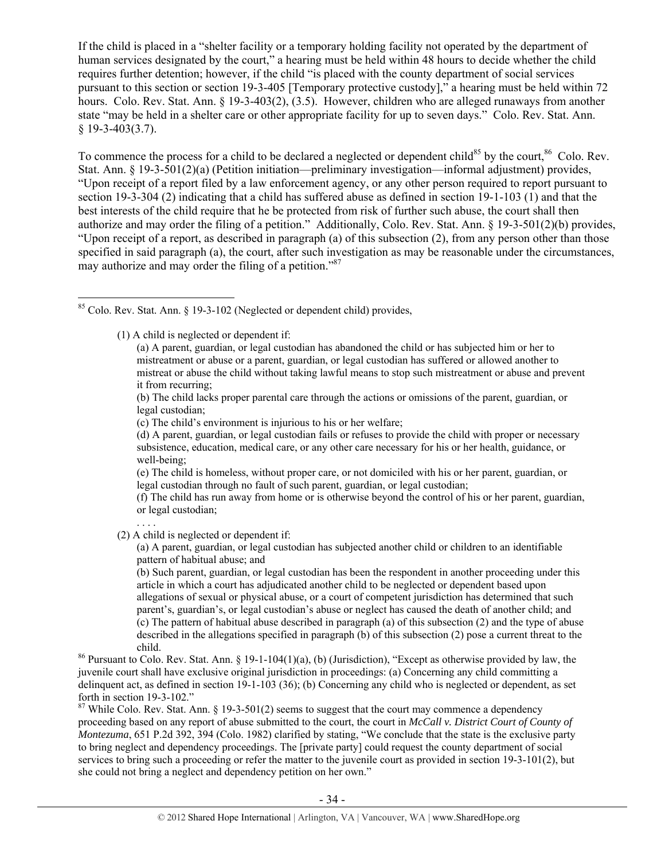If the child is placed in a "shelter facility or a temporary holding facility not operated by the department of human services designated by the court," a hearing must be held within 48 hours to decide whether the child requires further detention; however, if the child "is placed with the county department of social services pursuant to this section or section 19-3-405 [Temporary protective custody]," a hearing must be held within 72 hours. Colo. Rev. Stat. Ann. § 19-3-403(2), (3.5). However, children who are alleged runaways from another state "may be held in a shelter care or other appropriate facility for up to seven days." Colo. Rev. Stat. Ann. § 19-3-403(3.7).

To commence the process for a child to be declared a neglected or dependent child<sup>85</sup> by the court.<sup>86</sup> Colo. Rev. Stat. Ann. § 19-3-501(2)(a) (Petition initiation—preliminary investigation—informal adjustment) provides, "Upon receipt of a report filed by a law enforcement agency, or any other person required to report pursuant to section 19-3-304 (2) indicating that a child has suffered abuse as defined in section 19-1-103 (1) and that the best interests of the child require that he be protected from risk of further such abuse, the court shall then authorize and may order the filing of a petition." Additionally, Colo. Rev. Stat. Ann. § 19-3-501(2)(b) provides, "Upon receipt of a report, as described in paragraph (a) of this subsection (2), from any person other than those specified in said paragraph (a), the court, after such investigation as may be reasonable under the circumstances, may authorize and may order the filing of a petition."<sup>87</sup>

 85 Colo. Rev. Stat. Ann. § 19-3-102 (Neglected or dependent child) provides,

(1) A child is neglected or dependent if:

(b) The child lacks proper parental care through the actions or omissions of the parent, guardian, or legal custodian;

(c) The child's environment is injurious to his or her welfare;

(e) The child is homeless, without proper care, or not domiciled with his or her parent, guardian, or legal custodian through no fault of such parent, guardian, or legal custodian;

(f) The child has run away from home or is otherwise beyond the control of his or her parent, guardian, or legal custodian;

. . . . (2) A child is neglected or dependent if:

(a) A parent, guardian, or legal custodian has subjected another child or children to an identifiable pattern of habitual abuse; and

(b) Such parent, guardian, or legal custodian has been the respondent in another proceeding under this article in which a court has adjudicated another child to be neglected or dependent based upon allegations of sexual or physical abuse, or a court of competent jurisdiction has determined that such parent's, guardian's, or legal custodian's abuse or neglect has caused the death of another child; and (c) The pattern of habitual abuse described in paragraph (a) of this subsection (2) and the type of abuse described in the allegations specified in paragraph (b) of this subsection (2) pose a current threat to the

child. <sup>86</sup> Pursuant to Colo. Rev. Stat. Ann. § 19-1-104(1)(a), (b) (Jurisdiction), "Except as otherwise provided by law, the juvenile court shall have exclusive original jurisdiction in proceedings: (a) Concerning any child committing a delinquent act, as defined in section 19-1-103 (36); (b) Concerning any child who is neglected or dependent, as set forth in section 19-3-102."

 $87$  While Colo. Rev. Stat. Ann. § 19-3-501(2) seems to suggest that the court may commence a dependency proceeding based on any report of abuse submitted to the court, the court in *McCall v. District Court of County of Montezuma*, 651 P.2d 392, 394 (Colo. 1982) clarified by stating, "We conclude that the state is the exclusive party to bring neglect and dependency proceedings. The [private party] could request the county department of social services to bring such a proceeding or refer the matter to the juvenile court as provided in section 19-3-101(2), but she could not bring a neglect and dependency petition on her own."

<sup>(</sup>a) A parent, guardian, or legal custodian has abandoned the child or has subjected him or her to mistreatment or abuse or a parent, guardian, or legal custodian has suffered or allowed another to mistreat or abuse the child without taking lawful means to stop such mistreatment or abuse and prevent it from recurring;

<sup>(</sup>d) A parent, guardian, or legal custodian fails or refuses to provide the child with proper or necessary subsistence, education, medical care, or any other care necessary for his or her health, guidance, or well-being;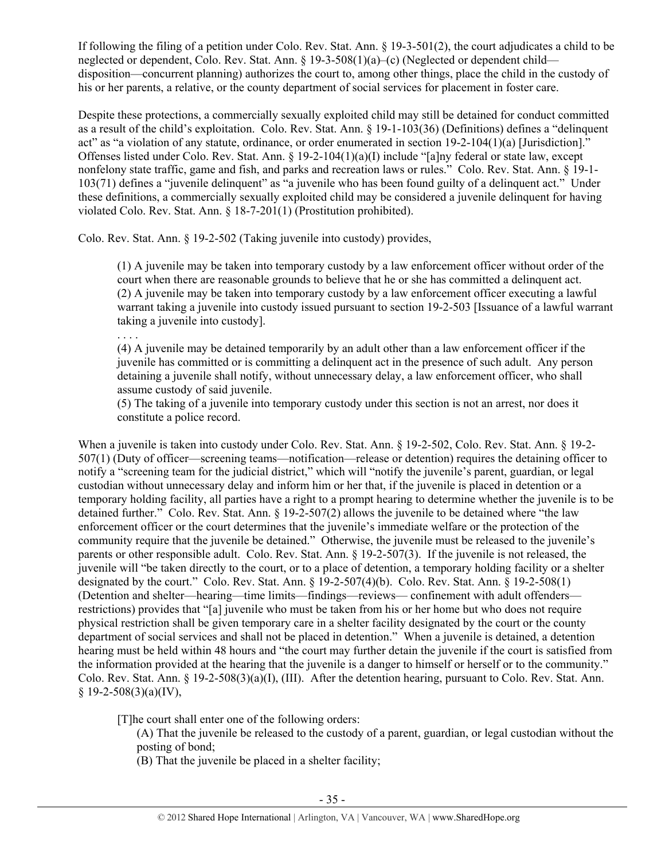If following the filing of a petition under Colo. Rev. Stat. Ann. § 19-3-501(2), the court adjudicates a child to be neglected or dependent, Colo. Rev. Stat. Ann. § 19-3-508(1)(a)–(c) (Neglected or dependent child disposition—concurrent planning) authorizes the court to, among other things, place the child in the custody of his or her parents, a relative, or the county department of social services for placement in foster care.

Despite these protections, a commercially sexually exploited child may still be detained for conduct committed as a result of the child's exploitation. Colo. Rev. Stat. Ann. § 19-1-103(36) (Definitions) defines a "delinquent act" as "a violation of any statute, ordinance, or order enumerated in section 19-2-104(1)(a) [Jurisdiction]." Offenses listed under Colo. Rev. Stat. Ann. § 19-2-104(1)(a)(I) include "[a]ny federal or state law, except nonfelony state traffic, game and fish, and parks and recreation laws or rules." Colo. Rev. Stat. Ann. § 19-1- 103(71) defines a "juvenile delinquent" as "a juvenile who has been found guilty of a delinquent act." Under these definitions, a commercially sexually exploited child may be considered a juvenile delinquent for having violated Colo. Rev. Stat. Ann. § 18-7-201(1) (Prostitution prohibited).

Colo. Rev. Stat. Ann. § 19-2-502 (Taking juvenile into custody) provides,

. . . .

(1) A juvenile may be taken into temporary custody by a law enforcement officer without order of the court when there are reasonable grounds to believe that he or she has committed a delinquent act. (2) A juvenile may be taken into temporary custody by a law enforcement officer executing a lawful warrant taking a juvenile into custody issued pursuant to section 19-2-503 [Issuance of a lawful warrant taking a juvenile into custody].

(4) A juvenile may be detained temporarily by an adult other than a law enforcement officer if the juvenile has committed or is committing a delinquent act in the presence of such adult. Any person detaining a juvenile shall notify, without unnecessary delay, a law enforcement officer, who shall assume custody of said juvenile.

(5) The taking of a juvenile into temporary custody under this section is not an arrest, nor does it constitute a police record.

When a juvenile is taken into custody under Colo. Rev. Stat. Ann. § 19-2-502, Colo. Rev. Stat. Ann. § 19-2- 507(1) (Duty of officer—screening teams—notification—release or detention) requires the detaining officer to notify a "screening team for the judicial district," which will "notify the juvenile's parent, guardian, or legal custodian without unnecessary delay and inform him or her that, if the juvenile is placed in detention or a temporary holding facility, all parties have a right to a prompt hearing to determine whether the juvenile is to be detained further." Colo. Rev. Stat. Ann. § 19-2-507(2) allows the juvenile to be detained where "the law enforcement officer or the court determines that the juvenile's immediate welfare or the protection of the community require that the juvenile be detained." Otherwise, the juvenile must be released to the juvenile's parents or other responsible adult. Colo. Rev. Stat. Ann. § 19-2-507(3). If the juvenile is not released, the juvenile will "be taken directly to the court, or to a place of detention, a temporary holding facility or a shelter designated by the court." Colo. Rev. Stat. Ann. § 19-2-507(4)(b). Colo. Rev. Stat. Ann. § 19-2-508(1) (Detention and shelter—hearing—time limits—findings—reviews— confinement with adult offenders restrictions) provides that "[a] juvenile who must be taken from his or her home but who does not require physical restriction shall be given temporary care in a shelter facility designated by the court or the county department of social services and shall not be placed in detention." When a juvenile is detained, a detention hearing must be held within 48 hours and "the court may further detain the juvenile if the court is satisfied from the information provided at the hearing that the juvenile is a danger to himself or herself or to the community." Colo. Rev. Stat. Ann. § 19-2-508(3)(a)(I), (III). After the detention hearing, pursuant to Colo. Rev. Stat. Ann.  $§$  19-2-508(3)(a)(IV),

[T]he court shall enter one of the following orders:

(A) That the juvenile be released to the custody of a parent, guardian, or legal custodian without the posting of bond;

(B) That the juvenile be placed in a shelter facility;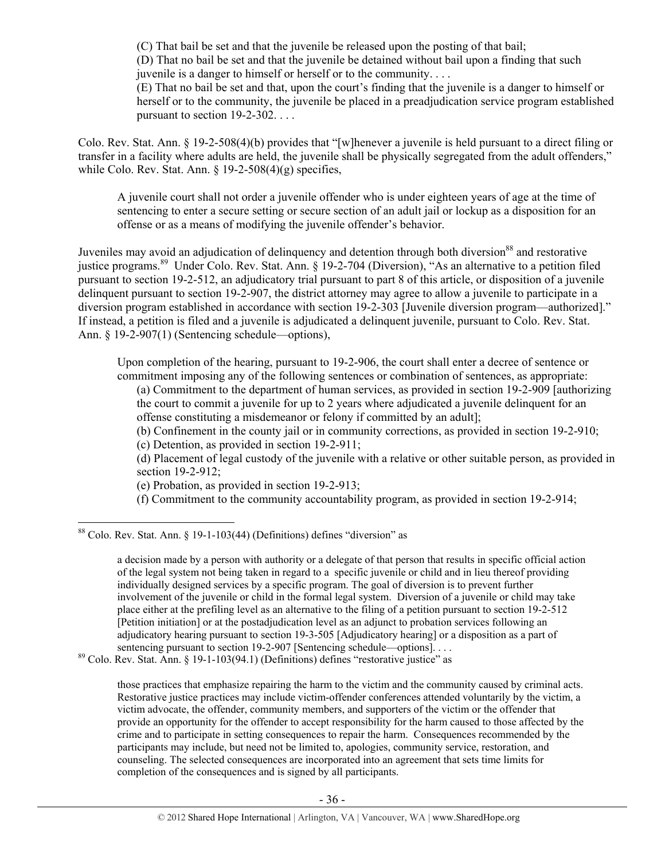(C) That bail be set and that the juvenile be released upon the posting of that bail;

(D) That no bail be set and that the juvenile be detained without bail upon a finding that such juvenile is a danger to himself or herself or to the community. . . .

(E) That no bail be set and that, upon the court's finding that the juvenile is a danger to himself or herself or to the community, the juvenile be placed in a preadjudication service program established pursuant to section 19-2-302. . . .

Colo. Rev. Stat. Ann. § 19-2-508(4)(b) provides that "[w]henever a juvenile is held pursuant to a direct filing or transfer in a facility where adults are held, the juvenile shall be physically segregated from the adult offenders," while Colo. Rev. Stat. Ann.  $\S$  19-2-508(4)(g) specifies,

A juvenile court shall not order a juvenile offender who is under eighteen years of age at the time of sentencing to enter a secure setting or secure section of an adult jail or lockup as a disposition for an offense or as a means of modifying the juvenile offender's behavior.

Juveniles may avoid an adjudication of delinquency and detention through both diversion<sup>88</sup> and restorative justice programs.<sup>89</sup> Under Colo. Rev. Stat. Ann. § 19-2-704 (Diversion), "As an alternative to a petition filed pursuant to section 19-2-512, an adjudicatory trial pursuant to part 8 of this article, or disposition of a juvenile delinquent pursuant to section 19-2-907, the district attorney may agree to allow a juvenile to participate in a diversion program established in accordance with section 19-2-303 [Juvenile diversion program—authorized]." If instead, a petition is filed and a juvenile is adjudicated a delinquent juvenile, pursuant to Colo. Rev. Stat. Ann. § 19-2-907(1) (Sentencing schedule—options),

Upon completion of the hearing, pursuant to 19-2-906, the court shall enter a decree of sentence or commitment imposing any of the following sentences or combination of sentences, as appropriate:

(a) Commitment to the department of human services, as provided in section 19-2-909 [authorizing the court to commit a juvenile for up to 2 years where adjudicated a juvenile delinquent for an offense constituting a misdemeanor or felony if committed by an adult];

- (b) Confinement in the county jail or in community corrections, as provided in section 19-2-910;
- (c) Detention, as provided in section 19-2-911;

(d) Placement of legal custody of the juvenile with a relative or other suitable person, as provided in section 19-2-912;

(e) Probation, as provided in section 19-2-913;

(f) Commitment to the community accountability program, as provided in section 19-2-914;

 $89$  Colo. Rev. Stat. Ann. § 19-1-103(94.1) (Definitions) defines "restorative justice" as

those practices that emphasize repairing the harm to the victim and the community caused by criminal acts. Restorative justice practices may include victim-offender conferences attended voluntarily by the victim, a victim advocate, the offender, community members, and supporters of the victim or the offender that provide an opportunity for the offender to accept responsibility for the harm caused to those affected by the crime and to participate in setting consequences to repair the harm. Consequences recommended by the participants may include, but need not be limited to, apologies, community service, restoration, and counseling. The selected consequences are incorporated into an agreement that sets time limits for completion of the consequences and is signed by all participants.

<sup>88</sup> Colo. Rev. Stat. Ann. § 19-1-103(44) (Definitions) defines "diversion" as

a decision made by a person with authority or a delegate of that person that results in specific official action of the legal system not being taken in regard to a specific juvenile or child and in lieu thereof providing individually designed services by a specific program. The goal of diversion is to prevent further involvement of the juvenile or child in the formal legal system. Diversion of a juvenile or child may take place either at the prefiling level as an alternative to the filing of a petition pursuant to section 19-2-512 [Petition initiation] or at the postadjudication level as an adjunct to probation services following an adjudicatory hearing pursuant to section 19-3-505 [Adjudicatory hearing] or a disposition as a part of sentencing pursuant to section 19-2-907 [Sentencing schedule—options]....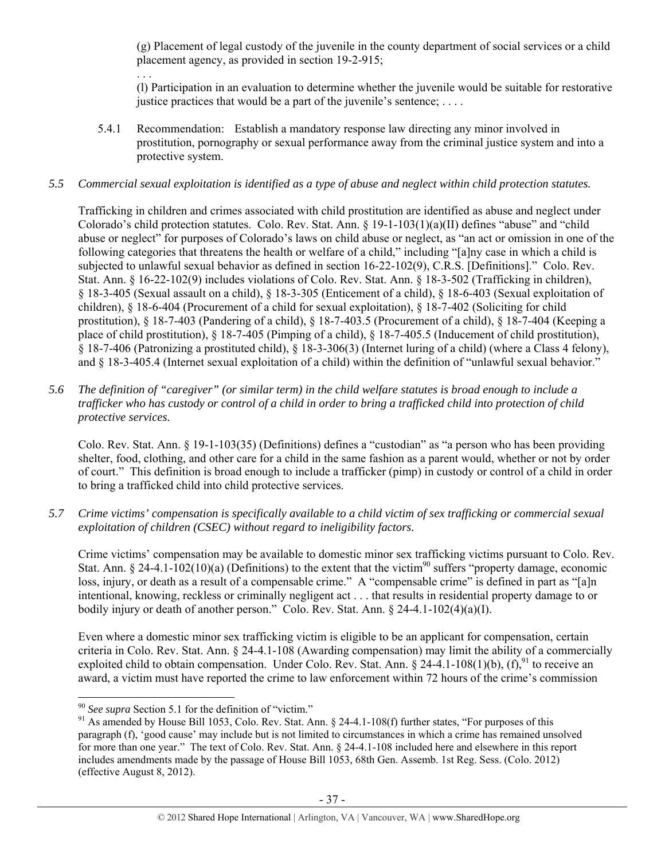(g) Placement of legal custody of the juvenile in the county department of social services or a child placement agency, as provided in section 19-2-915;

(l) Participation in an evaluation to determine whether the juvenile would be suitable for restorative justice practices that would be a part of the juvenile's sentence;  $\dots$ 

5.4.1 Recommendation: Establish a mandatory response law directing any minor involved in prostitution, pornography or sexual performance away from the criminal justice system and into a protective system.

## *5.5 Commercial sexual exploitation is identified as a type of abuse and neglect within child protection statutes.*

Trafficking in children and crimes associated with child prostitution are identified as abuse and neglect under Colorado's child protection statutes. Colo. Rev. Stat. Ann. § 19-1-103(1)(a)(II) defines "abuse" and "child abuse or neglect" for purposes of Colorado's laws on child abuse or neglect, as "an act or omission in one of the following categories that threatens the health or welfare of a child," including "[a]ny case in which a child is subjected to unlawful sexual behavior as defined in section 16-22-102(9), C.R.S. [Definitions]." Colo. Rev. Stat. Ann. § 16-22-102(9) includes violations of Colo. Rev. Stat. Ann. § 18-3-502 (Trafficking in children), § 18-3-405 (Sexual assault on a child), § 18-3-305 (Enticement of a child), § 18-6-403 (Sexual exploitation of children), § 18-6-404 (Procurement of a child for sexual exploitation), § 18-7-402 (Soliciting for child prostitution), § 18-7-403 (Pandering of a child), § 18-7-403.5 (Procurement of a child), § 18-7-404 (Keeping a place of child prostitution), § 18-7-405 (Pimping of a child), § 18-7-405.5 (Inducement of child prostitution), § 18-7-406 (Patronizing a prostituted child), § 18-3-306(3) (Internet luring of a child) (where a Class 4 felony), and § 18-3-405.4 (Internet sexual exploitation of a child) within the definition of "unlawful sexual behavior."

*5.6 The definition of "caregiver" (or similar term) in the child welfare statutes is broad enough to include a trafficker who has custody or control of a child in order to bring a trafficked child into protection of child protective services.* 

Colo. Rev. Stat. Ann. § 19-1-103(35) (Definitions) defines a "custodian" as "a person who has been providing shelter, food, clothing, and other care for a child in the same fashion as a parent would, whether or not by order of court." This definition is broad enough to include a trafficker (pimp) in custody or control of a child in order to bring a trafficked child into child protective services.

*5.7 Crime victims' compensation is specifically available to a child victim of sex trafficking or commercial sexual exploitation of children (CSEC) without regard to ineligibility factors.* 

Crime victims' compensation may be available to domestic minor sex trafficking victims pursuant to Colo. Rev. Stat. Ann. § 24-4.1-102(10)(a) (Definitions) to the extent that the victim<sup>90</sup> suffers "property damage, economic loss, injury, or death as a result of a compensable crime." A "compensable crime" is defined in part as "[a]n intentional, knowing, reckless or criminally negligent act . . . that results in residential property damage to or bodily injury or death of another person." Colo. Rev. Stat. Ann. § 24-4.1-102(4)(a)(I).

Even where a domestic minor sex trafficking victim is eligible to be an applicant for compensation, certain criteria in Colo. Rev. Stat. Ann. § 24-4.1-108 (Awarding compensation) may limit the ability of a commercially exploited child to obtain compensation. Under Colo. Rev. Stat. Ann.  $\frac{24-4.1-108(1)(b)}{1}$ , (f),  $\frac{91}{1}$  to receive an award, a victim must have reported the crime to law enforcement within 72 hours of the crime's commission

. . .

<sup>&</sup>lt;sup>90</sup> *See supra* Section 5.1 for the definition of "victim."<br><sup>91</sup> As amended by House Bill 1053, Colo. Rev. Stat. Ann. § 24-4.1-108(f) further states, "For purposes of this paragraph (f), 'good cause' may include but is not limited to circumstances in which a crime has remained unsolved for more than one year." The text of Colo. Rev. Stat. Ann. § 24-4.1-108 included here and elsewhere in this report includes amendments made by the passage of House Bill 1053, 68th Gen. Assemb. 1st Reg. Sess. (Colo. 2012) (effective August 8, 2012).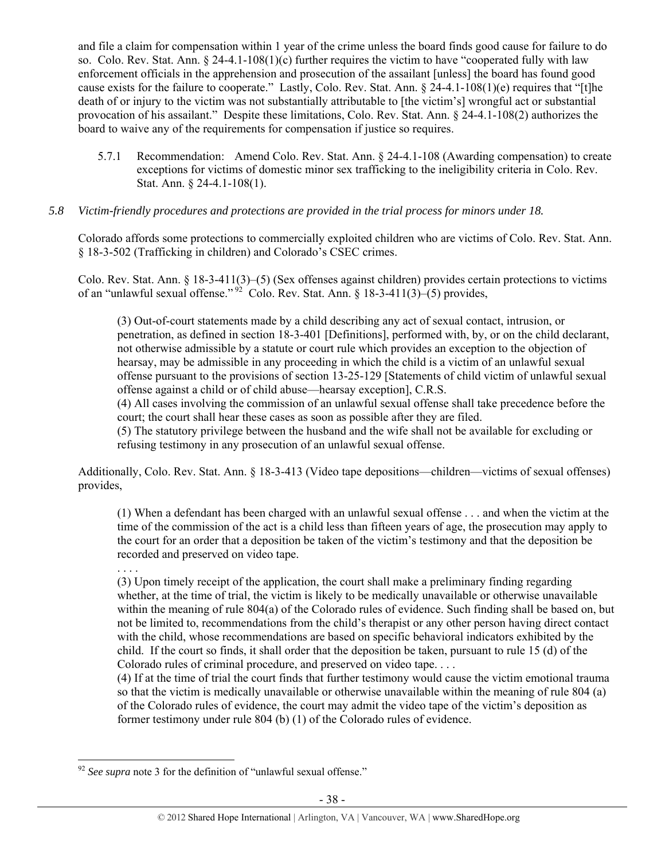and file a claim for compensation within 1 year of the crime unless the board finds good cause for failure to do so. Colo. Rev. Stat. Ann. § 24-4.1-108(1)(c) further requires the victim to have "cooperated fully with law enforcement officials in the apprehension and prosecution of the assailant [unless] the board has found good cause exists for the failure to cooperate." Lastly, Colo. Rev. Stat. Ann. § 24-4.1-108(1)(e) requires that "[t]he death of or injury to the victim was not substantially attributable to [the victim's] wrongful act or substantial provocation of his assailant." Despite these limitations, Colo. Rev. Stat. Ann. § 24-4.1-108(2) authorizes the board to waive any of the requirements for compensation if justice so requires.

5.7.1 Recommendation: Amend Colo. Rev. Stat. Ann. § 24-4.1-108 (Awarding compensation) to create exceptions for victims of domestic minor sex trafficking to the ineligibility criteria in Colo. Rev. Stat. Ann. § 24-4.1-108(1).

## *5.8 Victim-friendly procedures and protections are provided in the trial process for minors under 18.*

Colorado affords some protections to commercially exploited children who are victims of Colo. Rev. Stat. Ann. § 18-3-502 (Trafficking in children) and Colorado's CSEC crimes.

Colo. Rev. Stat. Ann. § 18-3-411(3)–(5) (Sex offenses against children) provides certain protections to victims of an "unlawful sexual offense."  $92$  Colo. Rev. Stat. Ann. § 18-3-411(3)–(5) provides,

(3) Out-of-court statements made by a child describing any act of sexual contact, intrusion, or penetration, as defined in section 18-3-401 [Definitions], performed with, by, or on the child declarant, not otherwise admissible by a statute or court rule which provides an exception to the objection of hearsay, may be admissible in any proceeding in which the child is a victim of an unlawful sexual offense pursuant to the provisions of section 13-25-129 [Statements of child victim of unlawful sexual offense against a child or of child abuse—hearsay exception], C.R.S.

(4) All cases involving the commission of an unlawful sexual offense shall take precedence before the court; the court shall hear these cases as soon as possible after they are filed.

(5) The statutory privilege between the husband and the wife shall not be available for excluding or refusing testimony in any prosecution of an unlawful sexual offense.

Additionally, Colo. Rev. Stat. Ann. § 18-3-413 (Video tape depositions—children—victims of sexual offenses) provides,

(1) When a defendant has been charged with an unlawful sexual offense . . . and when the victim at the time of the commission of the act is a child less than fifteen years of age, the prosecution may apply to the court for an order that a deposition be taken of the victim's testimony and that the deposition be recorded and preserved on video tape.

(3) Upon timely receipt of the application, the court shall make a preliminary finding regarding whether, at the time of trial, the victim is likely to be medically unavailable or otherwise unavailable within the meaning of rule 804(a) of the Colorado rules of evidence. Such finding shall be based on, but not be limited to, recommendations from the child's therapist or any other person having direct contact with the child, whose recommendations are based on specific behavioral indicators exhibited by the child. If the court so finds, it shall order that the deposition be taken, pursuant to rule 15 (d) of the Colorado rules of criminal procedure, and preserved on video tape. . . .

(4) If at the time of trial the court finds that further testimony would cause the victim emotional trauma so that the victim is medically unavailable or otherwise unavailable within the meaning of rule 804 (a) of the Colorado rules of evidence, the court may admit the video tape of the victim's deposition as former testimony under rule 804 (b) (1) of the Colorado rules of evidence.

. . . .

 <sup>92</sup> See supra note 3 for the definition of "unlawful sexual offense."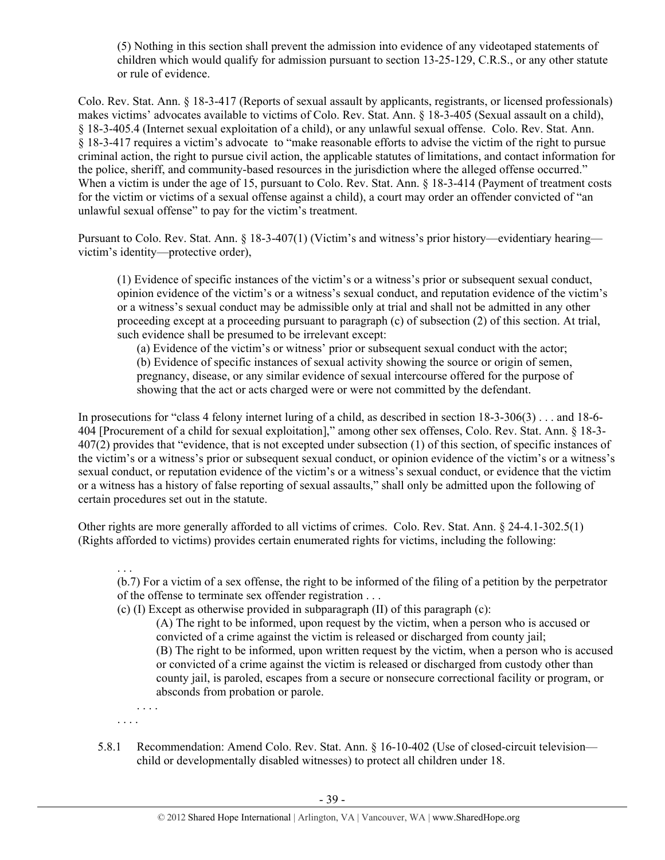(5) Nothing in this section shall prevent the admission into evidence of any videotaped statements of children which would qualify for admission pursuant to section 13-25-129, C.R.S., or any other statute or rule of evidence.

Colo. Rev. Stat. Ann. § 18-3-417 (Reports of sexual assault by applicants, registrants, or licensed professionals) makes victims' advocates available to victims of Colo. Rev. Stat. Ann. § 18-3-405 (Sexual assault on a child), § 18-3-405.4 (Internet sexual exploitation of a child), or any unlawful sexual offense. Colo. Rev. Stat. Ann. § 18-3-417 requires a victim's advocate to "make reasonable efforts to advise the victim of the right to pursue criminal action, the right to pursue civil action, the applicable statutes of limitations, and contact information for the police, sheriff, and community-based resources in the jurisdiction where the alleged offense occurred." When a victim is under the age of 15, pursuant to Colo. Rev. Stat. Ann. § 18-3-414 (Payment of treatment costs for the victim or victims of a sexual offense against a child), a court may order an offender convicted of "an unlawful sexual offense" to pay for the victim's treatment.

Pursuant to Colo. Rev. Stat. Ann. § 18-3-407(1) (Victim's and witness's prior history—evidentiary hearing victim's identity—protective order),

(1) Evidence of specific instances of the victim's or a witness's prior or subsequent sexual conduct, opinion evidence of the victim's or a witness's sexual conduct, and reputation evidence of the victim's or a witness's sexual conduct may be admissible only at trial and shall not be admitted in any other proceeding except at a proceeding pursuant to paragraph (c) of subsection (2) of this section. At trial, such evidence shall be presumed to be irrelevant except:

(a) Evidence of the victim's or witness' prior or subsequent sexual conduct with the actor; (b) Evidence of specific instances of sexual activity showing the source or origin of semen, pregnancy, disease, or any similar evidence of sexual intercourse offered for the purpose of showing that the act or acts charged were or were not committed by the defendant.

In prosecutions for "class 4 felony internet luring of a child, as described in section 18-3-306(3) . . . and 18-6- 404 [Procurement of a child for sexual exploitation]," among other sex offenses, Colo. Rev. Stat. Ann. § 18-3- 407(2) provides that "evidence, that is not excepted under subsection (1) of this section, of specific instances of the victim's or a witness's prior or subsequent sexual conduct, or opinion evidence of the victim's or a witness's sexual conduct, or reputation evidence of the victim's or a witness's sexual conduct, or evidence that the victim or a witness has a history of false reporting of sexual assaults," shall only be admitted upon the following of certain procedures set out in the statute.

Other rights are more generally afforded to all victims of crimes. Colo. Rev. Stat. Ann. § 24-4.1-302.5(1) (Rights afforded to victims) provides certain enumerated rights for victims, including the following:

 . . . (b.7) For a victim of a sex offense, the right to be informed of the filing of a petition by the perpetrator of the offense to terminate sex offender registration . . .

(c) (I) Except as otherwise provided in subparagraph (II) of this paragraph (c):

(A) The right to be informed, upon request by the victim, when a person who is accused or convicted of a crime against the victim is released or discharged from county jail; (B) The right to be informed, upon written request by the victim, when a person who is accused or convicted of a crime against the victim is released or discharged from custody other than county jail, is paroled, escapes from a secure or nonsecure correctional facility or program, or absconds from probation or parole.

```
. . . . 
. . . .
```
5.8.1 Recommendation: Amend Colo. Rev. Stat. Ann. § 16-10-402 (Use of closed-circuit television child or developmentally disabled witnesses) to protect all children under 18.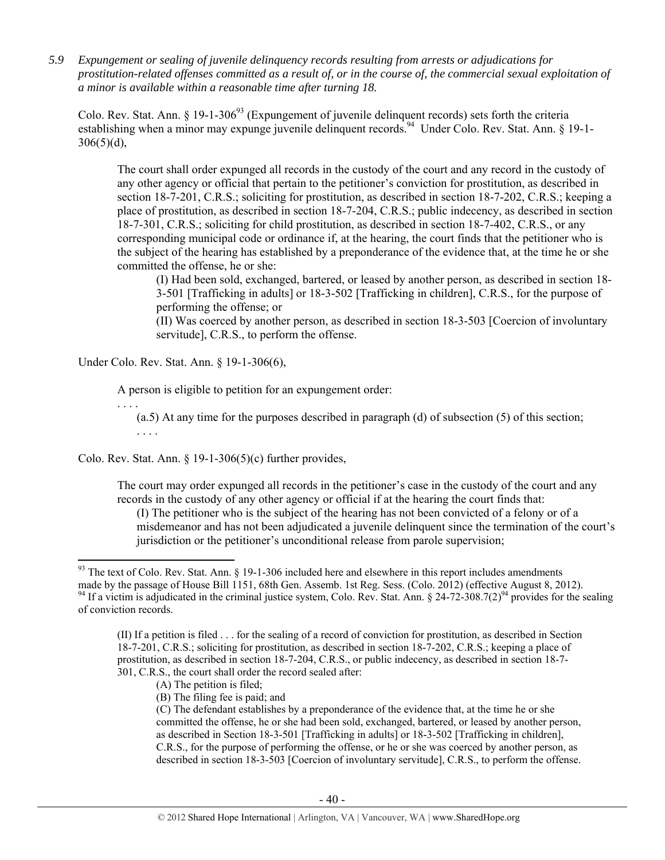*5.9 Expungement or sealing of juvenile delinquency records resulting from arrests or adjudications for prostitution-related offenses committed as a result of, or in the course of, the commercial sexual exploitation of a minor is available within a reasonable time after turning 18.* 

Colo. Rev. Stat. Ann. § 19-1-306<sup>93</sup> (Expungement of juvenile delinquent records) sets forth the criteria establishing when a minor may expunge juvenile delinquent records.<sup>94</sup> Under Colo. Rev. Stat. Ann. § 19-1- $306(5)(d)$ ,

The court shall order expunged all records in the custody of the court and any record in the custody of any other agency or official that pertain to the petitioner's conviction for prostitution, as described in section 18-7-201, C.R.S.; soliciting for prostitution, as described in section 18-7-202, C.R.S.; keeping a place of prostitution, as described in section 18-7-204, C.R.S.; public indecency, as described in section 18-7-301, C.R.S.; soliciting for child prostitution, as described in section 18-7-402, C.R.S., or any corresponding municipal code or ordinance if, at the hearing, the court finds that the petitioner who is the subject of the hearing has established by a preponderance of the evidence that, at the time he or she committed the offense, he or she:

(I) Had been sold, exchanged, bartered, or leased by another person, as described in section 18- 3-501 [Trafficking in adults] or 18-3-502 [Trafficking in children], C.R.S., for the purpose of performing the offense; or

(II) Was coerced by another person, as described in section 18-3-503 [Coercion of involuntary servitude], C.R.S., to perform the offense.

Under Colo. Rev. Stat. Ann. § 19-1-306(6),

A person is eligible to petition for an expungement order:

. . . . (a.5) At any time for the purposes described in paragraph (d) of subsection (5) of this section; . . . .

Colo. Rev. Stat. Ann.  $\S$  19-1-306(5)(c) further provides,

The court may order expunged all records in the petitioner's case in the custody of the court and any records in the custody of any other agency or official if at the hearing the court finds that:

(I) The petitioner who is the subject of the hearing has not been convicted of a felony or of a misdemeanor and has not been adjudicated a juvenile delinquent since the termination of the court's jurisdiction or the petitioner's unconditional release from parole supervision;

<sup>&</sup>lt;sup>93</sup> The text of Colo. Rev. Stat. Ann. § 19-1-306 included here and elsewhere in this report includes amendments made by the passage of House Bill 1151, 68th Gen. Assemb. 1st Reg. Sess. (Colo. 2012) (effective August 8, 2 <sup>94</sup> If a victim is adjudicated in the criminal justice system, Colo. Rev. Stat. Ann. § 24-72-308.7(2)<sup>94</sup> provides for the sealing of conviction records.

<sup>(</sup>II) If a petition is filed . . . for the sealing of a record of conviction for prostitution, as described in Section 18-7-201, C.R.S.; soliciting for prostitution, as described in section 18-7-202, C.R.S.; keeping a place of prostitution, as described in section 18-7-204, C.R.S., or public indecency, as described in section 18-7- 301, C.R.S., the court shall order the record sealed after:

 <sup>(</sup>A) The petition is filed;

 <sup>(</sup>B) The filing fee is paid; and

<sup>(</sup>C) The defendant establishes by a preponderance of the evidence that, at the time he or she committed the offense, he or she had been sold, exchanged, bartered, or leased by another person, as described in Section 18-3-501 [Trafficking in adults] or 18-3-502 [Trafficking in children], C.R.S., for the purpose of performing the offense, or he or she was coerced by another person, as described in section 18-3-503 [Coercion of involuntary servitude], C.R.S., to perform the offense.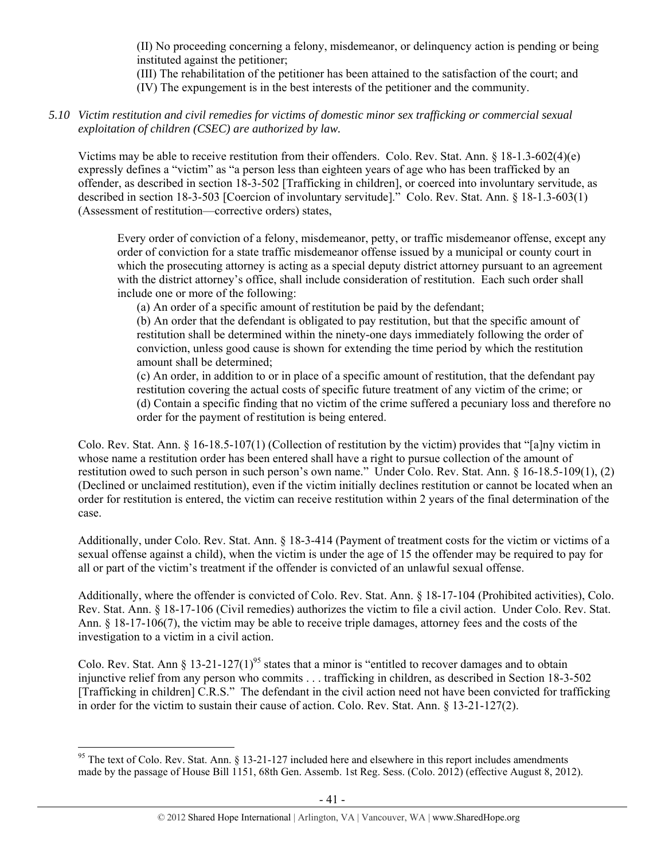(II) No proceeding concerning a felony, misdemeanor, or delinquency action is pending or being instituted against the petitioner;

(III) The rehabilitation of the petitioner has been attained to the satisfaction of the court; and (IV) The expungement is in the best interests of the petitioner and the community.

## *5.10 Victim restitution and civil remedies for victims of domestic minor sex trafficking or commercial sexual exploitation of children (CSEC) are authorized by law.*

Victims may be able to receive restitution from their offenders. Colo. Rev. Stat. Ann. § 18-1.3-602(4)(e) expressly defines a "victim" as "a person less than eighteen years of age who has been trafficked by an offender, as described in section 18-3-502 [Trafficking in children], or coerced into involuntary servitude, as described in section 18-3-503 [Coercion of involuntary servitude]." Colo. Rev. Stat. Ann. § 18-1.3-603(1) (Assessment of restitution—corrective orders) states,

Every order of conviction of a felony, misdemeanor, petty, or traffic misdemeanor offense, except any order of conviction for a state traffic misdemeanor offense issued by a municipal or county court in which the prosecuting attorney is acting as a special deputy district attorney pursuant to an agreement with the district attorney's office, shall include consideration of restitution. Each such order shall include one or more of the following:

(a) An order of a specific amount of restitution be paid by the defendant;

(b) An order that the defendant is obligated to pay restitution, but that the specific amount of restitution shall be determined within the ninety-one days immediately following the order of conviction, unless good cause is shown for extending the time period by which the restitution amount shall be determined;

(c) An order, in addition to or in place of a specific amount of restitution, that the defendant pay restitution covering the actual costs of specific future treatment of any victim of the crime; or (d) Contain a specific finding that no victim of the crime suffered a pecuniary loss and therefore no order for the payment of restitution is being entered.

Colo. Rev. Stat. Ann. § 16-18.5-107(1) (Collection of restitution by the victim) provides that "[a]ny victim in whose name a restitution order has been entered shall have a right to pursue collection of the amount of restitution owed to such person in such person's own name." Under Colo. Rev. Stat. Ann. § 16-18.5-109(1), (2) (Declined or unclaimed restitution), even if the victim initially declines restitution or cannot be located when an order for restitution is entered, the victim can receive restitution within 2 years of the final determination of the case.

Additionally, under Colo. Rev. Stat. Ann. § 18-3-414 (Payment of treatment costs for the victim or victims of a sexual offense against a child), when the victim is under the age of 15 the offender may be required to pay for all or part of the victim's treatment if the offender is convicted of an unlawful sexual offense.

Additionally, where the offender is convicted of Colo. Rev. Stat. Ann. § 18-17-104 (Prohibited activities), Colo. Rev. Stat. Ann. § 18-17-106 (Civil remedies) authorizes the victim to file a civil action. Under Colo. Rev. Stat. Ann. § 18-17-106(7), the victim may be able to receive triple damages, attorney fees and the costs of the investigation to a victim in a civil action.

Colo. Rev. Stat. Ann  $\S$  13-21-127(1)<sup>95</sup> states that a minor is "entitled to recover damages and to obtain injunctive relief from any person who commits . . . trafficking in children, as described in Section 18-3-502 [Trafficking in children] C.R.S." The defendant in the civil action need not have been convicted for trafficking in order for the victim to sustain their cause of action. Colo. Rev. Stat. Ann. § 13-21-127(2).

  $95$  The text of Colo. Rev. Stat. Ann. § 13-21-127 included here and elsewhere in this report includes amendments made by the passage of House Bill 1151, 68th Gen. Assemb. 1st Reg. Sess. (Colo. 2012) (effective August 8, 2012).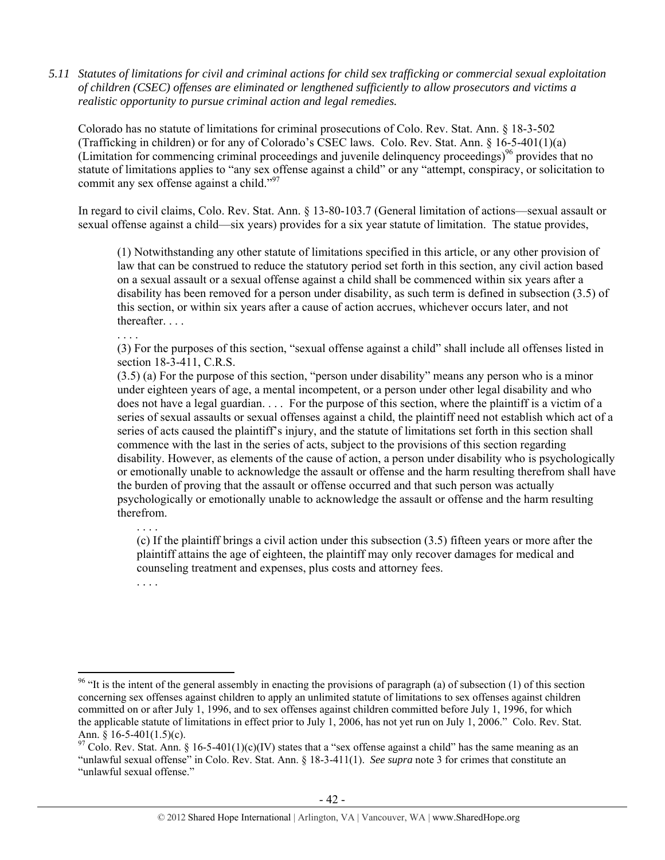*5.11 Statutes of limitations for civil and criminal actions for child sex trafficking or commercial sexual exploitation of children (CSEC) offenses are eliminated or lengthened sufficiently to allow prosecutors and victims a realistic opportunity to pursue criminal action and legal remedies.* 

Colorado has no statute of limitations for criminal prosecutions of Colo. Rev. Stat. Ann. § 18-3-502 (Trafficking in children) or for any of Colorado's CSEC laws. Colo. Rev. Stat. Ann. § 16-5-401(1)(a) (Limitation for commencing criminal proceedings and juvenile delinquency proceedings)<sup>96</sup> provides that no statute of limitations applies to "any sex offense against a child" or any "attempt, conspiracy, or solicitation to commit any sex offense against a child."<sup>97</sup>

In regard to civil claims, Colo. Rev. Stat. Ann. § 13-80-103.7 (General limitation of actions—sexual assault or sexual offense against a child—six years) provides for a six year statute of limitation. The statue provides,

(1) Notwithstanding any other statute of limitations specified in this article, or any other provision of law that can be construed to reduce the statutory period set forth in this section, any civil action based on a sexual assault or a sexual offense against a child shall be commenced within six years after a disability has been removed for a person under disability, as such term is defined in subsection (3.5) of this section, or within six years after a cause of action accrues, whichever occurs later, and not thereafter. . . .

(3) For the purposes of this section, "sexual offense against a child" shall include all offenses listed in section 18-3-411, C.R.S.

(3.5) (a) For the purpose of this section, "person under disability" means any person who is a minor under eighteen years of age, a mental incompetent, or a person under other legal disability and who does not have a legal guardian. . . . For the purpose of this section, where the plaintiff is a victim of a series of sexual assaults or sexual offenses against a child, the plaintiff need not establish which act of a series of acts caused the plaintiff's injury, and the statute of limitations set forth in this section shall commence with the last in the series of acts, subject to the provisions of this section regarding disability. However, as elements of the cause of action, a person under disability who is psychologically or emotionally unable to acknowledge the assault or offense and the harm resulting therefrom shall have the burden of proving that the assault or offense occurred and that such person was actually psychologically or emotionally unable to acknowledge the assault or offense and the harm resulting therefrom.

. . . . (c) If the plaintiff brings a civil action under this subsection (3.5) fifteen years or more after the plaintiff attains the age of eighteen, the plaintiff may only recover damages for medical and counseling treatment and expenses, plus costs and attorney fees.

  $96$  "It is the intent of the general assembly in enacting the provisions of paragraph (a) of subsection (1) of this section concerning sex offenses against children to apply an unlimited statute of limitations to sex offenses against children committed on or after July 1, 1996, and to sex offenses against children committed before July 1, 1996, for which the applicable statute of limitations in effect prior to July 1, 2006, has not yet run on July 1, 2006." Colo. Rev. Stat. Ann. § 16-5-401(1.5)(c).

<sup>&</sup>lt;sup>97</sup> Colo. Rev. Stat. Ann. § 16-5-401(1)(c)(IV) states that a "sex offense against a child" has the same meaning as an "unlawful sexual offense" in Colo. Rev. Stat. Ann. § 18-3-411(1). *See supra* note 3 for crimes that constitute an "unlawful sexual offense."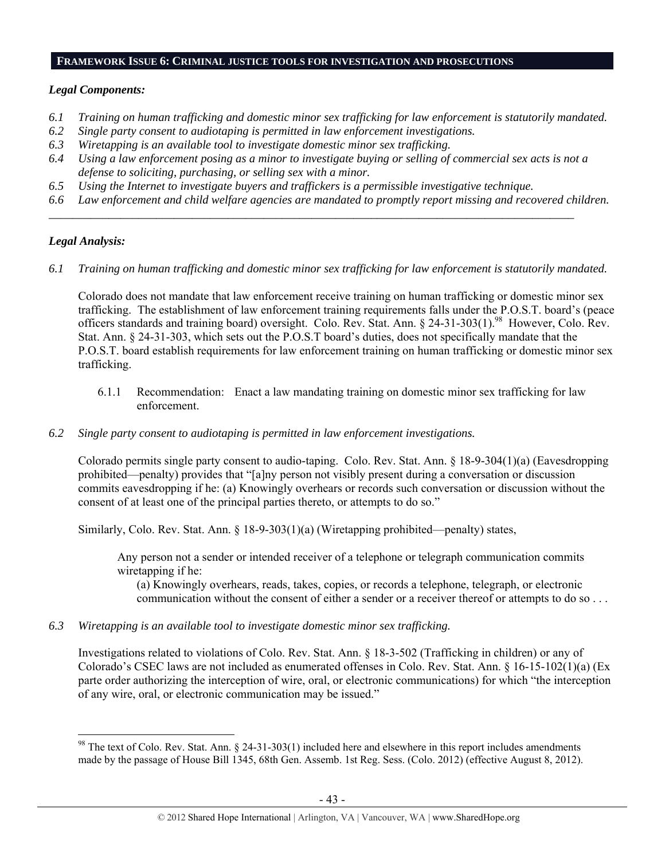### **FRAMEWORK ISSUE 6: CRIMINAL JUSTICE TOOLS FOR INVESTIGATION AND PROSECUTIONS**

## *Legal Components:*

- *6.1 Training on human trafficking and domestic minor sex trafficking for law enforcement is statutorily mandated.*
- *6.2 Single party consent to audiotaping is permitted in law enforcement investigations.*
- *6.3 Wiretapping is an available tool to investigate domestic minor sex trafficking.*
- *6.4 Using a law enforcement posing as a minor to investigate buying or selling of commercial sex acts is not a defense to soliciting, purchasing, or selling sex with a minor.*

*\_\_\_\_\_\_\_\_\_\_\_\_\_\_\_\_\_\_\_\_\_\_\_\_\_\_\_\_\_\_\_\_\_\_\_\_\_\_\_\_\_\_\_\_\_\_\_\_\_\_\_\_\_\_\_\_\_\_\_\_\_\_\_\_\_\_\_\_\_\_\_\_\_\_\_\_\_\_\_\_\_\_\_\_\_\_\_\_* 

- *6.5 Using the Internet to investigate buyers and traffickers is a permissible investigative technique.*
- *6.6 Law enforcement and child welfare agencies are mandated to promptly report missing and recovered children.*

## *Legal Analysis:*

*6.1 Training on human trafficking and domestic minor sex trafficking for law enforcement is statutorily mandated.* 

Colorado does not mandate that law enforcement receive training on human trafficking or domestic minor sex trafficking. The establishment of law enforcement training requirements falls under the P.O.S.T. board's (peace officers standards and training board) oversight. Colo. Rev. Stat. Ann. § 24-31-303(1).<sup>98</sup> However, Colo. Rev. Stat. Ann. § 24-31-303, which sets out the P.O.S.T board's duties, does not specifically mandate that the P.O.S.T. board establish requirements for law enforcement training on human trafficking or domestic minor sex trafficking.

- 6.1.1 Recommendation: Enact a law mandating training on domestic minor sex trafficking for law enforcement.
- *6.2 Single party consent to audiotaping is permitted in law enforcement investigations.*

Colorado permits single party consent to audio-taping. Colo. Rev. Stat. Ann. § 18-9-304(1)(a) (Eavesdropping prohibited—penalty) provides that "[a]ny person not visibly present during a conversation or discussion commits eavesdropping if he: (a) Knowingly overhears or records such conversation or discussion without the consent of at least one of the principal parties thereto, or attempts to do so."

Similarly, Colo. Rev. Stat. Ann. § 18-9-303(1)(a) (Wiretapping prohibited—penalty) states,

Any person not a sender or intended receiver of a telephone or telegraph communication commits wiretapping if he:

(a) Knowingly overhears, reads, takes, copies, or records a telephone, telegraph, or electronic communication without the consent of either a sender or a receiver thereof or attempts to do so . . .

*6.3 Wiretapping is an available tool to investigate domestic minor sex trafficking.* 

Investigations related to violations of Colo. Rev. Stat. Ann. § 18-3-502 (Trafficking in children) or any of Colorado's CSEC laws are not included as enumerated offenses in Colo. Rev. Stat. Ann. § 16-15-102(1)(a) (Ex parte order authorizing the interception of wire, oral, or electronic communications) for which "the interception of any wire, oral, or electronic communication may be issued."

<sup>98</sup> The text of Colo. Rev. Stat. Ann. § 24-31-303(1) included here and elsewhere in this report includes amendments made by the passage of House Bill 1345, 68th Gen. Assemb. 1st Reg. Sess. (Colo. 2012) (effective August 8, 2012).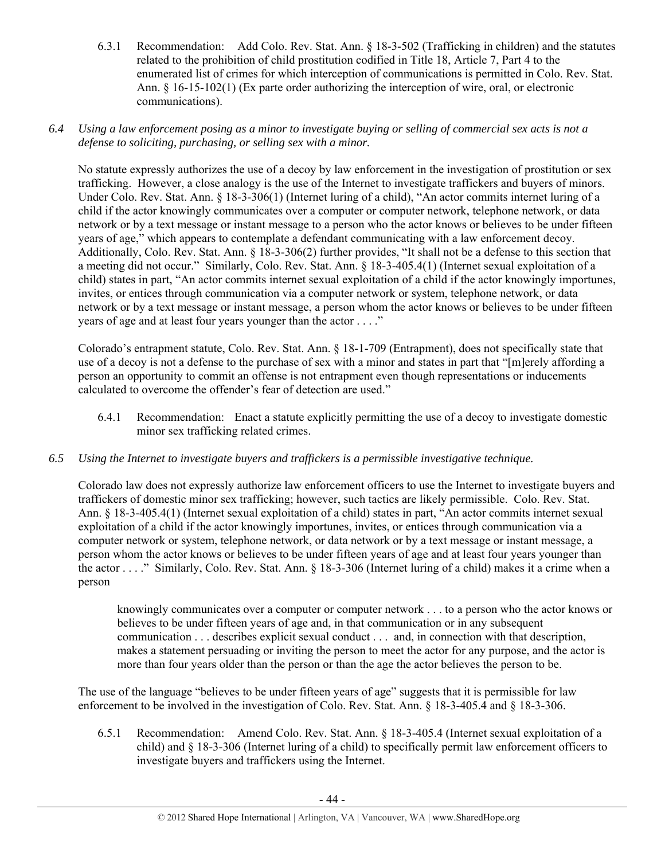6.3.1 Recommendation: Add Colo. Rev. Stat. Ann. § 18-3-502 (Trafficking in children) and the statutes related to the prohibition of child prostitution codified in Title 18, Article 7, Part 4 to the enumerated list of crimes for which interception of communications is permitted in Colo. Rev. Stat. Ann. § 16-15-102(1) (Ex parte order authorizing the interception of wire, oral, or electronic communications).

## *6.4 Using a law enforcement posing as a minor to investigate buying or selling of commercial sex acts is not a defense to soliciting, purchasing, or selling sex with a minor.*

No statute expressly authorizes the use of a decoy by law enforcement in the investigation of prostitution or sex trafficking. However, a close analogy is the use of the Internet to investigate traffickers and buyers of minors. Under Colo. Rev. Stat. Ann. § 18-3-306(1) (Internet luring of a child), "An actor commits internet luring of a child if the actor knowingly communicates over a computer or computer network, telephone network, or data network or by a text message or instant message to a person who the actor knows or believes to be under fifteen years of age," which appears to contemplate a defendant communicating with a law enforcement decoy. Additionally, Colo. Rev. Stat. Ann. § 18-3-306(2) further provides, "It shall not be a defense to this section that a meeting did not occur." Similarly, Colo. Rev. Stat. Ann. § 18-3-405.4(1) (Internet sexual exploitation of a child) states in part, "An actor commits internet sexual exploitation of a child if the actor knowingly importunes, invites, or entices through communication via a computer network or system, telephone network, or data network or by a text message or instant message, a person whom the actor knows or believes to be under fifteen years of age and at least four years younger than the actor . . . ."

Colorado's entrapment statute, Colo. Rev. Stat. Ann. § 18-1-709 (Entrapment), does not specifically state that use of a decoy is not a defense to the purchase of sex with a minor and states in part that "[m]erely affording a person an opportunity to commit an offense is not entrapment even though representations or inducements calculated to overcome the offender's fear of detection are used."

6.4.1 Recommendation: Enact a statute explicitly permitting the use of a decoy to investigate domestic minor sex trafficking related crimes.

## *6.5 Using the Internet to investigate buyers and traffickers is a permissible investigative technique.*

Colorado law does not expressly authorize law enforcement officers to use the Internet to investigate buyers and traffickers of domestic minor sex trafficking; however, such tactics are likely permissible. Colo. Rev. Stat. Ann. § 18-3-405.4(1) (Internet sexual exploitation of a child) states in part, "An actor commits internet sexual exploitation of a child if the actor knowingly importunes, invites, or entices through communication via a computer network or system, telephone network, or data network or by a text message or instant message, a person whom the actor knows or believes to be under fifteen years of age and at least four years younger than the actor . . . ." Similarly, Colo. Rev. Stat. Ann. § 18-3-306 (Internet luring of a child) makes it a crime when a person

knowingly communicates over a computer or computer network . . . to a person who the actor knows or believes to be under fifteen years of age and, in that communication or in any subsequent communication . . . describes explicit sexual conduct . . . and, in connection with that description, makes a statement persuading or inviting the person to meet the actor for any purpose, and the actor is more than four years older than the person or than the age the actor believes the person to be.

The use of the language "believes to be under fifteen years of age" suggests that it is permissible for law enforcement to be involved in the investigation of Colo. Rev. Stat. Ann. § 18-3-405.4 and § 18-3-306.

6.5.1 Recommendation: Amend Colo. Rev. Stat. Ann. § 18-3-405.4 (Internet sexual exploitation of a child) and § 18-3-306 (Internet luring of a child) to specifically permit law enforcement officers to investigate buyers and traffickers using the Internet.